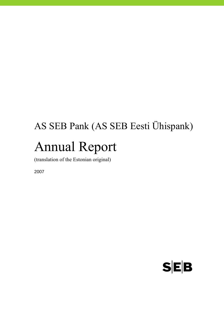# AS SEB Pank (AS SEB Eesti Ühispank) Annual Report

(translation of the Estonian original)

2007

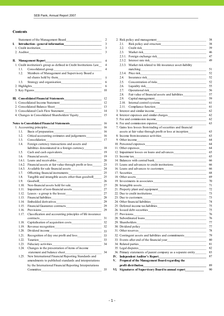#### **Contents**

|    |       | Statement of the Management Board_                                        | $\overline{c}$ |                | 2. Risk policy and management_____                            |
|----|-------|---------------------------------------------------------------------------|----------------|----------------|---------------------------------------------------------------|
| L. |       |                                                                           | 3              | 2.1.           |                                                               |
|    |       |                                                                           | 3              | 2.2.           |                                                               |
|    |       |                                                                           | $\overline{3}$ | 2.3.           | Market risk                                                   |
|    |       |                                                                           |                |                |                                                               |
|    |       | II. Management Report                                                     | $\overline{4}$ |                |                                                               |
|    |       | 1. Credit institution's group as defined in Credit Institutions Law_      | $\overline{4}$ |                | 2.3.3. Market risk related to life insurance asset-liability  |
|    | 1.1.  |                                                                           | 4              |                |                                                               |
|    | 1.2.  | Members of Management and Supervisory Board a                             |                |                |                                                               |
|    |       |                                                                           |                | 2.4.           |                                                               |
|    |       |                                                                           | 5              |                |                                                               |
|    | 1.3.  |                                                                           | 6              | 2.5.           |                                                               |
|    |       |                                                                           | 6              | 2.6.           |                                                               |
|    |       |                                                                           | 10             | 2.7.           | Operational risk                                              |
|    |       |                                                                           |                | 2.8.           | Fair value of financial assets and liabilities                |
|    |       | III. Consolidated Financial Statements<br><u> </u> 12                     |                | 2.9.           |                                                               |
|    |       |                                                                           | 12             | 2.10.          | Internal control systems                                      |
|    |       |                                                                           |                |                |                                                               |
|    |       |                                                                           |                |                |                                                               |
|    |       | 4. Changes in Consolidated Shareholders' Equity________________           | 15             |                | 4. Interest expenses and similar charges                      |
|    |       |                                                                           |                |                | 5. Fee and commission income                                  |
|    |       | Notes to Consolidated Financial Statements<br>16                          |                |                | 6. Fee and commission expense                                 |
|    |       |                                                                           |                |                | 7. Gains less losses from trading of securities and financial |
|    | 1.1.  |                                                                           |                |                | assets at fair value through profit or loss at inception      |
|    | 1.2.  | Critical accounting estimates and judgements _____________ 16             |                |                | 8. Income from insurance activities                           |
|    | 1.3.  |                                                                           | 17             |                | 9. Other income                                               |
|    | 1.4.  | Foreign currency transactions and assets and                              |                |                | 10. Personnel expenses                                        |
|    |       | liabilities denominated in a foreign currency______________ 18            |                |                | 11. Other expenses                                            |
|    | 1.5.  | Cash and cash equivalents 19                                              |                |                | 12. Impairment losses on loans and advances                   |
|    | 1.6.  |                                                                           |                |                | 13. Income tax                                                |
|    |       |                                                                           |                |                |                                                               |
|    |       | 1.6.2. Financial assets at fair value through profit or loss _________ 23 |                |                | 15. Loans and advances to credit institutions                 |
|    |       |                                                                           | 24             |                |                                                               |
|    | 1.7.  |                                                                           |                | 17. Securities |                                                               |
|    | 1.8.  | Tangible and intangible assets other than goodwill 25                     |                |                |                                                               |
|    | 1.9.  | Goodwill 26                                                               |                |                |                                                               |
|    | 1.10. |                                                                           |                |                |                                                               |
|    | 1.11. |                                                                           | 27             |                |                                                               |
|    | 1.12. |                                                                           | 27             |                | 22. Due to credit institutions                                |
|    | 1.13. |                                                                           |                |                |                                                               |
|    | 1.14. |                                                                           | 29             |                | 24. Other financial liabilities                               |
|    | 1.15. |                                                                           | 29             |                | 25. Deferred income tax liabilities                           |
|    |       | 1.16. Provisions                                                          | 29             |                | 26. Issued debt securities                                    |
|    | 1.17. | Classification and accounting principles of life insurance                |                |                | 27. Provisions                                                |
|    |       |                                                                           |                |                | 28. Subordinated loans                                        |
|    | 1.18. |                                                                           |                |                | 29. Shareholders                                              |
|    | 1.19. |                                                                           |                |                |                                                               |
|    | 1.20. | Dividend income                                                           |                |                | 31. Other reserves                                            |
|    | 1.21. |                                                                           |                |                | 32. Contingent assets and liabilities and commitments         |
|    |       |                                                                           |                |                |                                                               |
|    | 1.22. | Taxation 33                                                               |                |                |                                                               |
|    | 1.23. |                                                                           |                |                |                                                               |
|    | 1.24. | Changes in the presentation of items of income                            |                |                |                                                               |
|    |       |                                                                           | 34             |                | 36. Primary statements of parent company as a separate entire |
|    |       | 1.25. New International Financial Reporting Standards and                 |                |                |                                                               |
|    |       | amendments to published standards and interpretations                     |                |                | V. Proposal of the Management Board regarding the             |
|    |       | by the International Financial Reporting Interpretations                  |                |                |                                                               |
|    |       |                                                                           | 35             |                | VI. Signatures of Supervisory Board to annual report          |
|    |       |                                                                           |                |                |                                                               |

|        | Statement of the Management Board_<br>_____________________________                                                                                                                                                            | $\overline{2}$ |                                                                                   | 38     |
|--------|--------------------------------------------------------------------------------------------------------------------------------------------------------------------------------------------------------------------------------|----------------|-----------------------------------------------------------------------------------|--------|
| I.     |                                                                                                                                                                                                                                | $\overline{3}$ | 2.1.                                                                              | 38     |
|        |                                                                                                                                                                                                                                | 3              | 2.2.                                                                              | 39     |
|        |                                                                                                                                                                                                                                | $\mathbf{3}$   | 2.3.                                                                              | 46     |
|        |                                                                                                                                                                                                                                |                |                                                                                   | 47     |
|        | II. Management Report                                                                                                                                                                                                          | $\overline{4}$ | 2.3.2. Interest rate risk                                                         | 49     |
|        | 1. Credit institution's group as defined in Credit Institutions Law                                                                                                                                                            | $\overline{4}$ | 2.3.3. Market risk related to life insurance asset-liability                      |        |
| 1.1.   | Consolidated group                                                                                                                                                                                                             | $\overline{4}$ |                                                                                   | -51    |
| 1.2.   | Members of Management and Supervisory Board a                                                                                                                                                                                  |                |                                                                                   | 52     |
|        |                                                                                                                                                                                                                                |                | 2.4.                                                                              | 52     |
| 1.3.   |                                                                                                                                                                                                                                | 6              | 2.5.                                                                              | 52     |
|        |                                                                                                                                                                                                                                |                |                                                                                   |        |
|        |                                                                                                                                                                                                                                | 6              | 2.6.                                                                              | 55     |
|        | 3. Key Figures 10 and 10 and 10 and 10 and 10 and 10 and 10 and 10 and 10 and 10 and 10 and 10 and 10 and 10 and 10 and 10 and 10 and 10 and 10 and 10 and 10 and 10 and 10 and 10 and 10 and 10 and 10 and 10 and 10 and 10 a |                | 2.7.<br>Operational risk<br>$-$ 56                                                |        |
|        |                                                                                                                                                                                                                                |                | 2.8.                                                                              | 57     |
|        |                                                                                                                                                                                                                                | 12             | 2.9.<br>Capital management                                                        | 59     |
|        |                                                                                                                                                                                                                                |                |                                                                                   |        |
|        |                                                                                                                                                                                                                                |                |                                                                                   | 61     |
|        |                                                                                                                                                                                                                                |                |                                                                                   | 62     |
|        |                                                                                                                                                                                                                                |                | 4. Interest expenses and similar charges                                          | 62     |
|        |                                                                                                                                                                                                                                |                |                                                                                   | 62     |
|        |                                                                                                                                                                                                                                |                | 6. Fee and commission expense                                                     | 63     |
|        | 1. Accounting principles                                                                                                                                                                                                       |                | 7. Gains less losses from trading of securities and financial                     |        |
| 1.1.   |                                                                                                                                                                                                                                |                | assets at fair value through profit or loss at inception_________________________ | 63     |
| 1.2.   | Critical accounting estimates and judgements____________ 16                                                                                                                                                                    |                | 8. Income from insurance activities                                               | 63     |
| 1.3.   | Consolidation                                                                                                                                                                                                                  |                | 9. Other income                                                                   | 64     |
| 1.4.   | Foreign currency transactions and assets and                                                                                                                                                                                   |                |                                                                                   | 64     |
|        | liabilities denominated in a foreign currency______________ 18                                                                                                                                                                 |                | 11. Other expenses                                                                | 64     |
| 1.5.   |                                                                                                                                                                                                                                |                | 12. Impairment losses on loans and advances                                       | 65     |
| 1.6.   |                                                                                                                                                                                                                                |                | 13. Income tax                                                                    | 65     |
|        | 1.6.1. Loans and receivables 20                                                                                                                                                                                                |                |                                                                                   | 66     |
| 1.6.2. | Financial assets at fair value through profit or loss_________ 23                                                                                                                                                              |                | 15. Loans and advances to credit institutions___________________________________  | 66     |
| 1.6.3. |                                                                                                                                                                                                                                |                |                                                                                   | 66     |
| 1.7.   |                                                                                                                                                                                                                                |                | 17. Securities                                                                    | 68     |
| 1.8.   | Offsetting financial instruments<br>Tangible and intangible assets other than goodwill 25                                                                                                                                      |                |                                                                                   | 69     |
| 1.9.   | Goodwill                                                                                                                                                                                                                       | 26             |                                                                                   | 70     |
| 1.10.  |                                                                                                                                                                                                                                |                |                                                                                   | 71     |
| 1.11.  |                                                                                                                                                                                                                                |                |                                                                                   |        |
| 1.12.  |                                                                                                                                                                                                                                | 27             |                                                                                   | 73     |
| 1.13.  | Financial liabilities                                                                                                                                                                                                          | 28             | 23. Due to customers                                                              | 73     |
| 1.14.  |                                                                                                                                                                                                                                | 29             | 24. Other financial liabilities                                                   | 74     |
| 1.15.  |                                                                                                                                                                                                                                | 29             | 25. Deferred income tax liabilities                                               | $75\,$ |
|        |                                                                                                                                                                                                                                | 29             |                                                                                   | 75     |
| 1.17.  | Classification and accounting principles of life insurance                                                                                                                                                                     |                |                                                                                   |        |
|        | contracts                                                                                                                                                                                                                      | 31             |                                                                                   | 76     |
| 1.18.  |                                                                                                                                                                                                                                |                |                                                                                   | 77     |
|        |                                                                                                                                                                                                                                |                |                                                                                   | 77     |
| 1.20.  |                                                                                                                                                                                                                                |                |                                                                                   | 78     |
| 1.21.  |                                                                                                                                                                                                                                |                | 32. Contingent assets and liabilities and commitments                             | 79     |
|        |                                                                                                                                                                                                                                |                |                                                                                   |        |
| 1.22.  |                                                                                                                                                                                                                                |                |                                                                                   | 80     |
| 1.23.  |                                                                                                                                                                                                                                |                |                                                                                   | 81     |
| 1.24.  | Changes in the presentation of items of income                                                                                                                                                                                 |                | 36. Primary statements of parent company as a separate entity_______              | 82     |
|        | 1.25. New International Financial Reporting Standards and                                                                                                                                                                      | 34             |                                                                                   | 83     |
|        |                                                                                                                                                                                                                                |                |                                                                                   | 87     |
|        | amendments to published standards and interpretations                                                                                                                                                                          |                | V. Proposal of the Management Board regarding the                                 |        |
|        | by the International Financial Reporting Interpretations                                                                                                                                                                       |                | profit distribution                                                               | 89     |
|        |                                                                                                                                                                                                                                | 35             | VI. Signatures of Supervisory Board to annual report                              | 90     |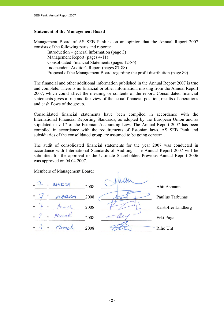# **Statement of the Management Board**

Management Board of AS SEB Pank is on an opinion that the Annual Report 2007 consists of the following parts and reports:

 Introduction – general information (page 3) Management Report (pages 4-11) Consolidated Financial Statements (pages 12-86) Independent Auditor's Report (pages 87-88) Proposal of the Management Board regarding the profit distribution (page 89).

The financial and other additional information published in the Annual Report 2007 is true and complete. There is no financial or other information, missing from the Annual Report 2007, which could affect the meaning or contents of the report. Consolidated financial statements gives a true and fair view of the actual financial position, results of operations and cash flows of the group.

Consolidated financial statements have been compiled in accordance with the International Financial Reporting Standards, as adopted by the European Union and as stipulated in § 17 of the Estonian Accounting Law. The Annual Report 2007 has been compiled in accordance with the requirements of Estonian laws. AS SEB Pank and subsidiaries of the consolidated group are assumed to be going concern..

The audit of consolidated financial statements for the year 2007 was conducted in accordance with International Standards of Auditing. The Annual Report 2007 will be submitted for the approval to the Ultimate Shareholder. Previous Annual Report 2006 was approved on 04.04.2007.

Members of Management Board:

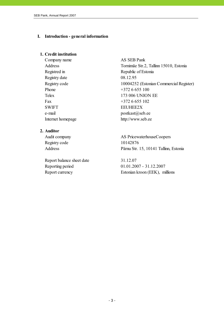#### **I. Introduction - general information**

# **1. Credit institution**

Company name AS SEB Pank Registry date 08.12.95 Phone  $+3726655100$ Fax  $+372\ 6\ 655\ 102$ SWIFT EEUHEE2X e-mail postkast@seb.ee

# **2. Auditor**

Registry code 10142876

Report balance sheet date 31.12.07

Address Tornimäe Str.2, Tallinn 15010, Estonia Registred in Republic of Estonia Registry code 10004252 (Estonian Commercial Register) Telex 173 006 UNION EE Internet homepage http://www.seb.ee

Audit company AS PricewaterhouseCoopers Address Pärnu Str. 15, 10141 Tallinn, Estonia

Reporting period 01.01.2007 - 31.12.2007 Report currency Estonian kroon (EEK), millions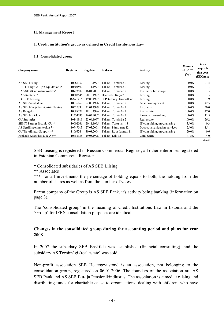#### **II. Management Report**

#### **1. Credit institution's group as defined in Credit Institutions Law**

#### **1.1. Consolidated group**

| Company name                        | Register  | Reg.date   | <b>Address</b>             | Activity                    | Owner-<br>ship***<br>$(\%)$ | At an<br>acquisi-<br>tion cost<br>(EEK mio) |
|-------------------------------------|-----------|------------|----------------------------|-----------------------------|-----------------------------|---------------------------------------------|
| AS SEB Liising                      | 10281767  | 03.10.1997 | Tallinn, Tornimäe 2        | Leasing                     | 100.0%                      | 23.4                                        |
| HF Liisingu AS (on liquidation) $*$ | 10304592  | 07.11.1997 | Tallinn, Tornimäe 2        | Leasing                     | 100.0%                      |                                             |
| AS SEB Kindlustusmaakler*           | 10723587  | 16.01.2001 | Tallinn, Tornimäe 2        | Insurance brokerage         | 100.0%                      |                                             |
| AS Rentacar*                        | 10303546  | 20.10.1997 | Haapsalu, Karja 27         | Leasing                     | 100.0%                      |                                             |
| <b>JSC SEB Leasing</b>              | R-6603.16 | 19.06.1997 | St.Peterburg, Kropotkina 1 | Leasing                     | 100.0%                      | 1.9                                         |
| AS SEB Varahaldus                   | 10035169  | 22.05.1996 | Tallinn, Tornimäe 2        | Asset management            | 100.0%                      | 42.5                                        |
| AS SEB Elu- ja Pensionikindlustus   | 10525330  | 21.01.1999 | Tallinn, Tornimäe 2        | Insurance                   | 100.0%                      | 30.0                                        |
| AS Bangalo                          | 10088272  | 18.10.1996 | Tallinn, Tornimäe 2        | Real estate                 | 100.0%                      | 47.0                                        |
| AS SEB Enskilda                     | 11354037  | 16.02.2007 | Tallinn, Tornimäe 2        | Financial consulting        | 100.0%                      | 11.5                                        |
| OÜ Strongler                        | 10141919  | 23.04.1997 | Tallinn, Tornimäe 2        | Real estate                 | 100.0%                      | 26.2                                        |
| SEB IT Partner Estonia OÜ**         | 10002566  | 20.11.1995 | Tallinn, Tartu mnt 13      | IT consulting, programming  | 35.0%                       | 0.3                                         |
| AS Sertifits eerimis kes kus **     | 10747013  | 27.03.2001 | Tallinn, Pärnu mnt 12      | Data communication services | 25.0%                       | 15.1                                        |
| OÙ TietoEnator Support **           | 11065244  | 30.08.2004 | Tallinn, Roosikrantsi 11   | IT consulting, programming  | 20.0%                       | 0.6                                         |
| Pankade Kaardikeskuse AS**          | 10452335  | 19.05.1998 | Tallinn, Laki 12           | Card centre                 | 41.5%                       | 4.0                                         |
|                                     |           |            |                            |                             |                             | 202.5                                       |

SEB Leasing is registered in Russian Commercial Register, all other enterprises registered in Estonian Commercial Register.

#### \* Consolidated subsidaries of AS SEB Liising

\*\* Associates

\*\*\* For all investments the percentage of holding equals to both, the holding from the number of shares as well as from the number of votes.

Parent company of the Group is AS SEB Pank, it's activity being banking (information on page 3).

The 'consolidated group' in the meaning of Credit Institutions Law in Estonia and the 'Group' for IFRS consolidation purposes are identical.

# **Changes in the consolidated group during the accounting period and plans for year 2008**

In 2007 the subsidary SEB Enskilda was established (financial consulting), and the subsidary AS Tornimägi (real estate) was sold.

Non-profit association SEB Heategevusfond is an association, not belonging to the consolidation group, registered on 06.01.2006. The founders of the association are AS SEB Pank and AS SEB Elu- ja Pensionikindlustus. The association is aimed at raising and distributing funds for charitable cause to organisations, dealing with children, who have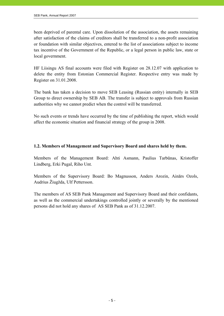been deprived of parental care. Upon dissolution of the association, the assets remaining after satisfaction of the claims of creditors shall be transferred to a non-profit association or foundation with similar objectives, entered to the list of associations subject to income tax incentive of the Government of the Republic, or a legal person in public law, state or local government.

HF Liisingu AS final accounts were filed with Register on 28.12.07 with application to delete the entity from Estonian Commercial Register. Respective entry was made by Register on 31.01.2008.

The bank has taken a decision to move SEB Leasing (Russian entity) internally in SEB Group to direct ownership by SEB AB. The transfer is subject to approvals from Russian authorities why we cannot predict when the control will be transferred.

No such events or trends have occurred by the time of publishing the report, which would affect the economic situation and financial strategy of the group in 2008.

# **1.2. Members of Management and Supervisory Board and shares held by them.**

Members of the Management Board: Ahti Asmann, Paulius Tarbūnas, Kristoffer Lindberg, Erki Pugal, Riho Unt.

Members of the Supervisory Board: Bo Magnusson, Anders Arozin, Ainārs Ozols, Audrius Žiugžda, Ulf Pettersson.

The members of AS SEB Pank Management and Supervisory Board and their confidants, as well as the commercial undertakings controlled jointly or severally by the mentioned persons did not hold any shares of AS SEB Pank as of 31.12.2007.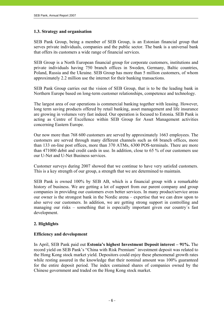# **1.3. Strategy and organisation**

SEB Pank Group, being a member of SEB Group, is an Estonian financial group that serves private individuals, companies and the public sector. The bank is a universal bank that offers its customers a wide range of financial services.

SEB Group is a North European financial group for corporate customers, institutions and private individuals having 750 branch offices in Sweden, Germany, Baltic countries, Poland, Russia and the Ukraine. SEB Group has more than 5 million customers, of whom approximately 2.2 million use the internet for their banking transactions.

SEB Pank Group carries out the vision of SEB Group, that is to be the leading bank in Northern Europe based on long-term customer relationships, competence and technology.

The largest area of our operations is commercial banking together with leasing. However, long term saving products offered by retail banking, asset management and life insurance are growing in volumes very fast indeed. Our operation is focused to Estonia. SEB Pank is acting as Centre of Excellence within SEB Group for Asset Management activities concerning Eastern Europe.

Our now more than 768 600 customers are served by approximately 1663 employees. The customers are served through many different channels such as 68 branch offices, more than 133 on-line post offices, more than 370 ATMs, 6300 POS-terminals. There are more than 471000 debit and credit cards in use. In addition, close to 65 % of our customers use our U-Net and U-Net Business services.

Customer surveys during 2007 showed that we continue to have very satisfed customers. This is a key strength of our group, a strength that we are determined to maintain.

SEB Pank is owned 100% by SEB AB, which is a financial group with a remarkable history of business. We are getting a lot of support from our parent company and group companies in providing our customers even better services. In many product/service areas our owner is the strongest bank in the Nordic arena – expertise that we can draw upon to also serve our customers. In addition, we are getting strong support in controlling and managing our risks – something that is especially important given our country´s fast development.

# **2. Highlights**

# **Efficiency and development**

In April, SEB Pank paid out **Estonia's highest Investment Deposit interest – 91%.** The record yield on SEB Pank's "China with Risk Premium" investment deposit was related to the Hong Kong stock market yield. Depositors could enjoy these phenomenal growth rates while resting assured in the knowledge that their nominal amount was 100% guaranteed for the entire deposit period. The index contained shares of companies owned by the Chinese government and traded on the Hong Kong stock market.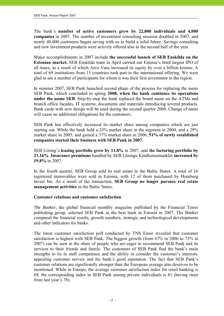The bank's **number of active customers grew by 22,000 individuals and 4,000 companies** in 2007. The number of investment consulting sessions doubled in 2007, and nearly 40,000 customers began saving with us to build a solid future. Savings consulting and new investment products were actively offered also in the second half of the year.

Major accomplishments in 2007 include **the successful launch of SEB Enskilda on the Estonian market.** SEB Enskilda team in April carried out Estonia's third largest IPO of all times, as a result of which Arco Vara increased its equity by over a billion kroons. A total of 69 institutions from 15 countries took part in the international offering. We were glad to see a number of participants for whom it was their first investment in the region.

In summer 2007, SEB Pank launched second phase of the process for replacing the name SEB Pank, which concluded in spring **2008, when the bank continues its operations under the name SEB**. Step-by-step the bank replaced the brand name on the ATMs and branch office façades, IT systems, documents and materials introducing several products. Bank cards with new design will be used during the second quarter 2008. Change of name will cause no additional obligations for the customers.

SEB Pank has effectively increased its market share among companies which are just starting out. While the bank held a 23% market share in the segment in 2004, and a 29% market share in 2005, and gained a 37% market share in 2006, **51% of newly established companies started their business with SEB Pank in 2007.**

SEB Liising's **leasing portfolio grew by 11.8%** in 2007, and t**he factoring portfolio by 21.16%**. **Insurance premiums** handled by SEB Liisingu Kindlustusmaakler **increased by 19.8%** in 2007.

In the fourth quarter, SEB Group sold its real estate in the Baltic States. A total of 16 registered immovables were sold in Estonia, with 12 of them purchased by Homburg Invest Inc. As a result of the transaction, **SEB Group no longer pursues real estate management activities** in the Baltic States.

# **Customer relations and customer satisfaction**

*The Banker*, the global financial monthly magazine published by the Financial Times publishing group, selected SEB Pank as the best bank in Estonia in 2007. The Banker compared the financial results, growth numbers, strategic and technological developments and other indicators for banks.

The latest customer satisfaction poll conducted by TNS Emor revealed that customer satisfaction is highest with SEB Pank. The biggest growth (from 67% in 2006 to 73% in 2007) can be seen in the share of people who are eager to recommend SEB Pank and its services to their friends and family. The customers of SEB Pank find the bank's main strengths to lie in staff competence and the ability to consider the customer's interests, appealing customer service and the bank's good reputation. The fact that SEB Pank's customer relations are significantly stronger than the European average also deserves to be mentioned. While in Europe, the average customer satisfaction index for retail banking is 69, the corresponding index in SEB Pank among private individuals is 81 (having risen from last year's 78).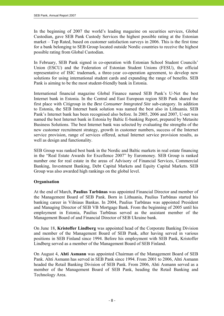In the beginning of 2007 the world's leading magazine on securities services, Global Custodian, gave SEB Pank Custody Services the highest possible rating at the Estonian market – Top Rated, based on customer satisfaction surveys in 2006. This is the first time for a bank belonging to SEB Group located outside Nordic countries to receive the highest possible rating from Global Custodian.

In February, SEB Pank signed in co-operation with Estonian School Student Councils' Union (ESCU) and the Federation of Estonian Student Unions (FESU), the official representative of ISIC trademark, a three-year co-operation agreement, to develop new solutions for using international student cards and expanding the range of benefits. SEB Pank is aiming to be the most student-friendly bank in Estonia.

International financial magazine Global Finance named SEB Pank's U-Net the best Internet bank in Estonia. In the Central and East European region SEB Pank shared the first place with Citigroup in the *Best Consumer Integrated Site* sub-category. In addition to Estonia, the SEB Internet bank solution was named the best also in Lithuania. SEB Pank's Internet bank has been recognised also before. In 2005, 2006 and 2007, U-net was named the best Internet bank in Estonia by Baltic E-banking Report, prepared by Metasite Business Solutions. The best Internet bank was selected by evaluating the strengths of the new customer recruitment strategy, growth in customer numbers, success of the Internet service provision, range of services offered, actual Internet service provision results, as well as design and functionality.

SEB Group was ranked best bank in the Nordic and Baltic markets in real estate financing in the "Real Estate Awards for Excellence 2007" by Euromoney. SEB Group is ranked number one for real estate in the areas of Advisory of Financial Services, Commercial Banking, Investment Banking, Debt Capital Markets and Equity Capital Markets. SEB Group was also awarded high rankings on the global level.

# **Organisation**

At the end of March, **Paulius Tarbūnas** was appointed Financial Director and member of the Management Board of SEB Pank. Born in Lithuania, Paulius Tarbūnas started his banking career in Vilniaus Bankas. In 2004, Paulius Tarbūnas was appointed President and Managing Director of SEB VB Mortgage Bank. From the beginning of 2005 until his employment in Estonia, Paulius Tarbūnas served as the assistant member of the Management Board of and Financial Director of SEB Ukraine bank.

On June 18, **Kristoffer Lindberg** was appointed head of the Corporate Banking Division and member of the Management Board of SEB Pank, after having served in various positions in SEB Finland since 1994. Before his employment with SEB Pank, Kristoffer Lindberg served as a member of the Management Board of SEB Finland.

On August 4, **Ahti Asmann** was appointed Chairman of the Management Board of SEB Pank. Ahti Asmann has served in SEB Pank since 1994. From 2001 to 2006, Ahti Asmann headed the Retail Banking Division of SEB Pank. From 2006, Ahti Asmann served as a member of the Management Board of SEB Pank, heading the Retail Banking and Technology Area.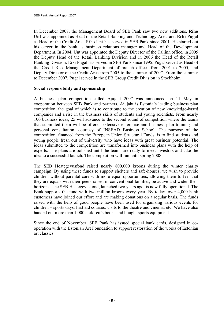In December 2007, the Management Board of SEB Pank saw two new additions. **Riho Unt** was appointed as Head of the Retail Banking and Technology Area, and **Erki Pugal**  as Head of the Credit Area. Riho Unt has served in SEB Pank since 2001. He started out his career in the bank as business relations manager and Head of the Development Department. In 2004, Unt was appointed the Deputy Director of the Tallinn office, in 2005 the Deputy Head of the Retail Banking Division and in 2006 the Head of the Retail Banking Division. Erki Pugal has served in SEB Pank since 1995. Pugal served as Head of the Credit Risk Management Department of branch offices from 2001 to 2005, and Deputy Director of the Credit Area from 2005 to the summer of 2007. From the summer to December 2007, Pugal served in the SEB Group Credit Division in Stockholm.

#### **Social responsibility and sponsorship**

A business plan competition called Ajujaht 2007 was announced on 11 May in cooperation between SEB Pank and partners. Ajujaht is Estonia's leading business plan competition, the goal of which is to contribute to the creation of new knowledge-based companies and a rise in the business skills of students and young scientists. From nearly 100 business ideas, 25 will advance to the second round of competition where the teams that submitted them will be offered extensive enterprise and business plan training and personal consultation, courtesy of INSEAD Business School. The purpose of the competition, financed from the European Union Structural Funds, is to find students and young people fresh out of university who have ideas with great business potential. The ideas submitted to the competition are transformed into business plans with the help of experts. The plans are polished until the teams are ready to meet investors and take the idea to a successful launch. The competition will run until spring 2008.

The SEB Heategevusfond raised nearly 800,000 kroons during the winter charity campaign. By using these funds to support shelters and safe-houses, we wish to provide children without parental care with more equal opportunities, allowing them to feel that they are equals with their peers raised in conventional families, be active and widen their horizons. The SEB Heategevusfond, launched two years ago, is now fully operational. The Bank supports the fund with two million kroons every year. By today, over 4,000 bank customers have joined our effort and are making donations on a regular basis. The funds raised with the help of good people have been used for organising various events for children – sports days, first aid courses, visits to the theatre and cinema, etc. We have also handed out more than 1,000 children's books and bought sports equipment.

Since the end of November, SEB Pank has issued special bank cards, designed in cooperation with the Estonian Art Foundation to support restoration of the works of Estonian art classics.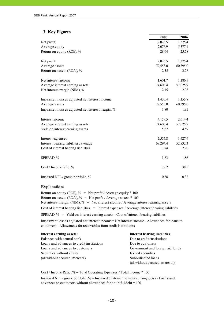# **3. Key Figures**

|                                                   | 2007     | 2006     |
|---------------------------------------------------|----------|----------|
| Net profit                                        | 2,026.5  | 1,375.4  |
| Average equity                                    | 7,076.9  | 5,377.1  |
| Return on equity (ROE), %                         | 28.64    | 25.58    |
| Net profit                                        | 2,026.5  | 1,375.4  |
| Average assets                                    | 79,553.0 | 60,395.0 |
| Return on assets (ROA), %                         | 2.55     | 2.28     |
| Net interest income                               | 1,601.7  | 1,186.5  |
| Average interest earning assets                   | 74,606.4 | 57,025.9 |
| Net interest margin (NIM), %                      | 2.15     | 2.08     |
| Impairment losses adjusted net interest income    | 1,430.4  | 1,155.8  |
| Average assets                                    | 79,553.0 | 60,395.0 |
| Impairment losses adjusted net interest margin, % | 1.80     | 1.91     |
| Interest income                                   | 4,157.5  | 2,614.4  |
| Average interest earning assets                   | 74,606.4 | 57,025.9 |
| Yield on interest earning assets                  | 5.57     | 4.59     |
| Interest expenses                                 | 2,555.8  | 1,427.9  |
| Interest bearing liabilities, average             | 68,294.4 | 52,832.3 |
| Cost of interest bearing liabilities              | 3.74     | 2.70     |
| SPREAD, %                                         | 1.83     | 1.88     |
| $Cost /$ Income ratio, %                          | 39.2     | 38.5     |
| Impaired NPL / gross portfolio, %                 | 0.38     | 0.32     |

#### **Explanations**

Return on equity (ROE),  $\%$  = Net profit / Average equity  $*$  100 Return on assets (ROA),  $\%$  = Net profit / Average assets  $*$  100 SPREAD,  $\%$  = Yield on interest earning assets - Cost of interest bearing liabilities Net interest margin (NIM), % = Net interest income / Average interest earning assets Cost of interest bearing liabilities  $=$  Interest expenses / Average interest bearing liabilities

Impairment losses adjusted net interest income = Net interest income - Allowances for loans to customers - Allowances for receivables from credit institutions

| Interest earning assets:                  | Interest bearing liabilities:    |
|-------------------------------------------|----------------------------------|
| Balances with central bank                | Due to credit institutions       |
| Loans and advances to credit institutions | Due to customers                 |
| Loans and advances to customers           | Government and foreign aid funds |
| Securities without shares                 | Issued securities                |
| (all without accured interests)           | Subordinated loans               |
|                                           | (all without accured interests)  |

Cost / Income Ratio, % = Total Operating Expenses / Total Income \* 100 Impaired NPL / gross portfolio,  $\%$  = Impaired customer non-performing gross / Loans and advances to customers without allowances for doubtful debt \* 100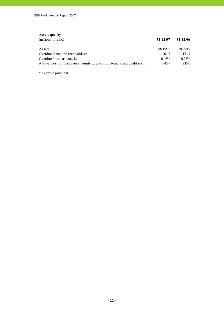| 31.12.07                                                                       | 31.12.06 |
|--------------------------------------------------------------------------------|----------|
|                                                                                |          |
| 88,155.0                                                                       | 70,950.9 |
| 401.7                                                                          | 153.7    |
| 0.46%                                                                          | $0.22\%$ |
| 345.9<br>Allowances for losses on amounts due from customers and credit instit | 235.6    |
|                                                                                |          |

\* overdue principal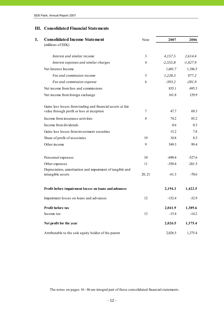# **III. Consolidated Financial Statements**

| <b>Consolidated Income Statement</b>                                           | Note           | 2007       | 2006       |
|--------------------------------------------------------------------------------|----------------|------------|------------|
| (millions of EEK)                                                              |                |            |            |
| Interest and similar income                                                    | 3              | 4,157.5    | 2,614.4    |
| Interest expenses and similar charges                                          | $\overline{4}$ | $-2,555.8$ | $-1,427.9$ |
| Net Interest Income                                                            |                | 1,601.7    | 1,186.5    |
| Fee and commission income                                                      | 5              | 1,228.3    | 977.2      |
| Fee and commission expense                                                     | 6              | $-393.2$   | $-281.9$   |
| Net income from fees and commissions                                           |                | 835.1      | 695.3      |
| Net income from foreign exchange                                               |                | 161.8      | 129.9      |
| Gains less losses from trading and financial assets at fair                    |                |            |            |
| value through profit or loss at inception                                      | 7              | 47.7       | 69.3       |
| Income from insurance activities                                               | 8              | 74.2       | 85.2       |
| Income from dividends                                                          |                | 0.6        | 0.3        |
| Gains less losses from investment securities                                   |                | 15.2       | 7.8        |
| Share of profit of associates                                                  | 19             | 10.8       | 8.5        |
| Other income                                                                   | 9              | 549.3      | 99.4       |
| Personnel expenses                                                             | 10             | $-690.4$   | $-527.6$   |
| Other expenses                                                                 | 11             | $-350.4$   | $-261.5$   |
| Depreciation, amortization and impairment of tangible and<br>intangible assets | 20, 21         | $-61.3$    | $-70.6$    |
| Profit before impairment losses on loans and advances                          |                | 2,194.3    | 1,422.5    |
| Impairment losses on loans and advances                                        | 12             | $-152.4$   | $-32.9$    |
| Profit before tax                                                              |                | 2,041.9    | 1,389.6    |
| Income tax                                                                     | 13             | $-15.4$    | $-14.2$    |
| Net profit for the year                                                        |                | 2,026.5    | 1,375.4    |
| Attributable to the sole equity holder of the parent                           |                | 2,026.5    | 1,375.4    |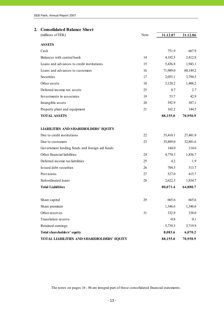| Note | 31.12.07 | 31.12.06           |
|------|----------|--------------------|
|      |          |                    |
|      | 751.9    | 667.9              |
| 14   | 4,192.5  | 2,412.8            |
| 15   | 5,436.8  | 1,943.1            |
| 16   | 71,989.0 | 60,149.2           |
| 17   | 2,055.1  | 3,794.5            |
| 18   | 3,120.2  | 1,406.2            |
| 25   | 0.7      | 2.7                |
| 19   | 53.7     | 42.9               |
| 20   | 392.9    | 387.1              |
| 21   | 162.2    | 144.5              |
|      | 88,155.0 | 70,950.9           |
|      |          |                    |
| 22   | 35,410.1 | 27,481.8           |
| 23   | 35,889.0 | 32,881.6           |
|      | 144.0    | 114.6              |
| 24   | 4,770.3  | 1,836.7            |
| 25   | 4.2      | 1.9                |
| 26   | 704.5    | 313.7              |
| 27   | 527.0    | 415.7              |
| 28   | 2,622.3  | 1,834.7            |
|      | 80,071.4 | 64,880.7           |
| 29   | 665.6    | 665.6              |
|      |          | 1,346.6            |
| 31   | 332.9    | 338.0              |
|      | $-0.8$   | 0.1                |
|      |          | 3,719.9            |
|      | 8,083.6  | 6,070.2            |
|      | 88,155.0 | 70,950.9           |
|      |          | 1,346.6<br>5,739.3 |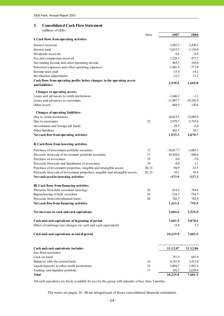# **3. Consolidated Cash Flow Statement**

| (millions of EEK) |
|-------------------|
|-------------------|

|                                                                             | Note   | 2007               | 2006             |
|-----------------------------------------------------------------------------|--------|--------------------|------------------|
| I. Cash flows from operating activities                                     |        |                    |                  |
| Interest received                                                           |        | 3,883.3            | 2,430.5          |
| Interest paid                                                               |        | $-2,015.5$         | $-1,134.0$       |
| Dividends received                                                          |        | 0.6                | 0.4              |
| Fee and commission received                                                 |        | 1,228.3            | 977.2            |
| Net trading income and other operating income                               |        | 463.3              | 169.8            |
| Personnel expenses and other operating expenses                             |        | $-1,001.9$         | $-771.9$         |
| Income taxes paid                                                           |        | $-15.4$            | $-14.2$          |
| Revaluation adjustments                                                     |        | $-12.2$            | 11.2             |
| Cash flows from operating profits before changes in the operating assets    |        |                    |                  |
| and liabilities                                                             |        | 2,530.5            | 1,669.0          |
| Changes in operating assets:                                                |        |                    |                  |
| Loans and advances to credit institutions                                   |        | $-1,646.2$         | $-1.2$           |
| Loans and advances to customers                                             |        | $-11,987.7$        | $-18,356.9$      |
| Other assets                                                                |        | $-468.5$           | 120.6            |
|                                                                             |        |                    |                  |
| Changes of operating liabilities:                                           |        |                    |                  |
| Due to credit institutions                                                  |        | 10,015.5           | 12,889.9         |
| Due to customers                                                            | 23     | 2,979.7            | 5,719.8          |
| Government and foreign aid funds                                            |        | 29.5               | 0.4              |
| Other liabilities                                                           |        | 462.5              | 29.1             |
| Net cash flow from operating activities                                     |        | 1,915.3            | 2,070.7          |
| II. Cash flows from investing activities                                    |        |                    |                  |
| Purchase of investment portfolio securities                                 | 17     | $-10,817.7$        | $-1,005.3$       |
| Proceeds from sale of investment portfolio securities                       | 17     | 10,428.6           | 680.6            |
| Purchase of associates                                                      | 19     | 0.0                | $-7.0$           |
| Proceeds from sale and liquidation of associates                            | 19     | 0.0                | 1.1              |
| Purchase of investment properties, tangible and intangible assets           | 20, 21 | $-94.9$            | $-52.5$          |
| Proceeds from sale of investment properties, tangible and intangible assets | 20, 21 | 10.1               | 45.8             |
| Net cash used in investing activities                                       |        | -473.9             | $-337.3$         |
|                                                                             |        |                    |                  |
| III. Cash flows from financing activities                                   |        |                    |                  |
| Proceeds from debt securities (issuing)                                     | 26     | 615.6              | 764.6            |
| Repurchasing of debt securities                                             | 26     | $-234.7$           | $-754.5$         |
| Proceeds from subordinated loans                                            | 28     | 782.3              | 782.4            |
| Net cash flow from financing activities                                     |        | 1,163.2            | 792.5            |
| Net increase in cash and cash equivalents                                   |        | 2,604.6            | 2,525.9          |
| Cash and cash equivalents at beginning of period                            |        | 7,601.5            | 5,070.4          |
| Effect of exchange rate changes on cash and cash equivalents                |        | 13.8               | 5.2              |
|                                                                             |        |                    |                  |
| Cash and cash equivalents at end of period                                  |        | 10,219.9           | 7,601.5          |
|                                                                             |        |                    |                  |
| Cash and cash equivalents includes:<br>due from customers                   |        | 31.12.07           | 31.12.06         |
| Cash on hand                                                                |        |                    |                  |
| Balances with the central bank                                              | 14     | 751.9              | 667.9<br>2,412.8 |
| Liquid deposits in other credit institutions                                | 15     | 4,181.0<br>5,094.7 | 1,881.4          |
| Trading- and liquidity portfolio                                            | 17     | 192.3              | 2,639.4          |
| <b>Total</b>                                                                |        | 10,219.9           | 7,601.5          |
|                                                                             |        |                    |                  |

All cash eqivalents are freely available for use by the group with maturity of less than 3 months.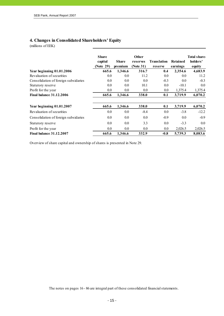# **4. Changes in Consolidated Shareholders' Equity**

(millions of EEK)

|                                      | <b>Share</b><br>capital<br>(Note 29) | <b>Share</b><br>premium | <b>Other</b><br>reserves<br>(Note 31) | Translation<br>reserve | <b>Retained</b><br>earnings | Total share<br>holders'<br>equity |
|--------------------------------------|--------------------------------------|-------------------------|---------------------------------------|------------------------|-----------------------------|-----------------------------------|
| Year beginning 01.01.2006            | 665.6                                | 1.346.6                 | 316.7                                 | 0.4                    | 2,354.6                     | 4,683.9                           |
| Revaluation of securities            | 0.0                                  | 0.0                     | 11.2                                  | 0.0                    | 0.0                         | 11.2                              |
| Consolidation of foreign subsidaries | 0.0                                  | 0.0                     | 0.0                                   | $-0.3$                 | 0.0                         | $-0.3$                            |
| Statutory reserve                    | 0.0                                  | 0.0                     | 10.1                                  | 0.0                    | $-10.1$                     | 0.0                               |
| Profit for the year                  | 0.0                                  | 0.0                     | 0.0                                   | 0.0                    | 1,375.4                     | 1,375.4                           |
| <b>Final balance 31.12.2006</b>      | 665.6                                | 1,346.6                 | 338.0                                 | 0.1                    | 3,719.9                     | 6,070.2                           |
| Year beginning 01.01.2007            | 665.6                                | 1,346.6                 | 338.0                                 | 0.1                    | 3,719.9                     | 6,070.2                           |
| Revaluation of securities            | 0.0                                  | 0.0                     | $-8.4$                                | 0.0                    | $-3.8$                      | $-12.2$                           |
| Consolidation of foreign subsidaries | 0.0                                  | 0.0                     | 0.0                                   | $-0.9$                 | 0.0                         | $-0.9$                            |
| Statutory reserve                    | 0.0                                  | 0.0                     | 3.3                                   | 0.0                    | $-3.3$                      | 0.0                               |
| Profit for the year                  | 0.0                                  | 0.0                     | 0.0                                   | 0.0                    | 2,026.5                     | 2,026.5                           |
| <b>Final balance 31.12.2007</b>      | 665.6                                | 1.346.6                 | 332.9                                 | $-0.8$                 | 5.739.3                     | 8.083.6                           |

Overview of share capital and ownership of shares is presented in Note 29.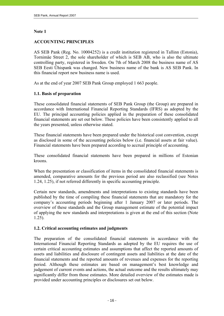# **Note 1**

# **ACCOUNTING PRINCIPLES**

AS SEB Pank (Reg. No. 10004252) is a credit institution registered in Tallinn (Estonia), Tornimäe Street 2, the sole shareholder of which is SEB AB, who is also the ultimate controlling party, registered in Sweden. On 7th of March 2008 the business name of AS SEB Eesti Ühispank was changed. New business name of the bank is AS SEB Pank. In this financial report new business name is used.

As at the end of year 2007 SEB Pank Group employed 1 663 people.

# **1.1. Basis of preparation**

These consolidated financial statements of SEB Pank Group (the Group) are prepared in accordance with International Financial Reporting Standards (IFRS) as adopted by the EU. The principal accounting policies applied in the preparation of these consolidated financial statements are set out below. These policies have been consistently applied to all the years presented, unless otherwise stated.

These financial statements have been prepared under the historical cost convention, except as disclosed in some of the accounting policies below (i.e. financial assets at fair value). Financial statements have been prepared according to accrual principle of accounting.

These consolidated financial statements have been prepared in millions of Estonian kroons.

When the presentation or classification of items in the consolidated financial statements is amended, comparative amounts for the previous period are also reclassified (see Notes 1.24, 1.25), if not referred differently in specific accounting principle.

Certain new standards, amendments and interpretations to existing standards have been published by the time of compiling these financial statements that are mandatory for the company's accounting periods beginning after 1 January 2007 or later periods. The overview of these standards and the Group management estimate of the potential impact of applying the new standards and interpretations is given at the end of this section (Note 1.25).

# **1.2. Critical accounting estimates and judgments**

The preparation of the consolidated financial statements in accordance with the International Financial Reporting Standards as adopted by the EU requires the use of certain critical accounting estimates and assumptions that affect the reported amounts of assets and liabilities and disclosure of contingent assets and liabilities at the date of the financial statements and the reported amounts of revenues and expenses for the reporting period. Although these estimates are based on management's best knowledge and judgement of current events and actions, the actual outcome and the results ultimately may significantly differ from those estimates. More detailed overview of the estimates made is provided under accounting principles or disclosures set out below.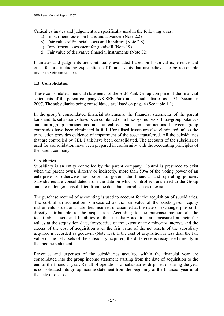Critical estimates and judgement are specifically used in the following areas:

- a) Impairment losses on loans and advances (Note 2.2)
- b) Fair value of financial assets and liabilities (Note 2.8)
- c) Impairment assessment for goodwill (Note 19)
- d) Fair value of derivative financial instruments (Note 32)

Estimates and judgments are continually evaluated based on historical experience and other factors, including expectations of future events that are believed to be reasonable under the circumstances.

# **1.3. Consolidation**

These consolidated financial statements of the SEB Pank Group comprise of the financial statements of the parent company AS SEB Pank and its subsidiaries as at 31 December 2007. The subsidiaries being consolidated are listed on page 4 (See table 1.1).

In the group's consolidated financial statements, the financial statements of the parent bank and its subsidiaries have been combined on a line-by-line basis. Intra-group balances and intra-group transactions and unrealised gains on transactions between group companies have been eliminated in full. Unrealised losses are also eliminated unless the transaction provides evidence of impairment of the asset transferred. All the subsidiaries that are controlled by SEB Pank have been consolidated. The accounts of the subsidiaries used for consolidation have been prepared in conformity with the accounting principles of the parent company.

# Subsidiaries

Subsidiary is an entity controlled by the parent company. Control is presumed to exist when the parent owns, directly or indirectly, more than 50% of the voting power of an enterprise or otherwise has power to govern the financial and operating policies. Subsidiaries are consolidated from the date on which control is transferred to the Group and are no longer consolidated from the date that control ceases to exist.

The purchase method of accounting is used to account for the acquisition of subsidiaries. The cost of an acquisition is measured as the fair value of the assets given, equity instruments issued and liabilities incurred or assumed at the date of exchange, plus costs directly attributable to the acquisition. According to the purchase method all the identifiable assets and liabilities of the subsidiary acquired are measured at their fair values at the acquisition date, irrespective of the extent of any minority interest, and the excess of the cost of acquisition over the fair value of the net assets of the subsidiary acquired is recorded as goodwill (Note 1.8). If the cost of acquisition is less than the fair value of the net assets of the subsidiary acquired, the difference is recognised directly in the income statement.

Revenues and expenses of the subsidiaries acquired within the financial year are consolidated into the group income statement starting from the date of acquisition to the end of the financial year. Result of operations of subsidiaries disposed of during the year is consolidated into group income statement from the beginning of the financial year until the date of disposal.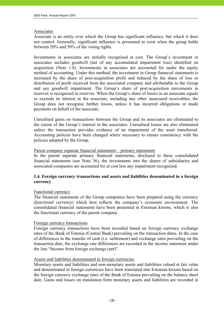# Associates

Associate is an entity over which the Group has significant influence, but which it does not control. Generally, significant influence is presumed to exist when the group holds between 20% and 50% of the voting rights.

Investments in associates are initially recognised at cost. The Group's investment in associates includes goodwill (net of any accumulated impairment loss) identified on acquisition (Note 1.8). Investments in associates are accounted for under the equity method of accounting. Under this method, the investment in Group financial statements is increased by the share of post-acquisition profit and reduced by the share of loss or distribution of profit received from the associated company and attributable to the Group and any goodwill impairment. The Group's share of post-acquisition movements in reserves is recognised in reserves. When the Group's share of losses in an associate equals or exceeds its interest in the associate, including any other unsecured receivables, the Group does not recognise further losses, unless it has incurred obligations or made payments on behalf of the associate.

Unrealised gains on transactions between the Group and its associates are eliminated to the extent of the Group's interest in the associates. Unrealised losses are also eliminated unless the transaction provides evidence of an impairment of the asset transferred. Accounting policies have been changed where necessary to ensure consistency with the policies adopted by the Group.

# Parent company separate financial statements – primary statements

In the parent separate primary financial statements, disclosed to these consolidated financial statements (see Note 36), the investments into the shares of subsidiaries and associated companies are accounted for at cost less any impairment recognized.

# **1.4. Foreign currency transactions and assets and liabilities denominated in a foreign currency**

# Functional currency

The financial statements of the Group companies have been prepared using the currency (*functional currency*) which best reflects the company's economic environment. The consolidated financial statements have been presented in Estonian kroons, which is also the functional currency of the parent company.

# Foreign currency transactions

Foreign currency transactions have been recorded based on foreign currency exchange rates of the Bank of Estonia (Central Bank) prevailing on the transaction dates. In the case of differences in the transfer of cash (i.e. settlement) and exchange rates prevailing on the transaction date, the exchange rate differences are recorded in the income statement under the line "Income from foreign exchange (net)".

# Assets and liabilities denominated in foreign currencies

Monetary assets and liabilities and non-monetary assets and liabilities valued at fair value and denominated in foreign currencies have been translated into Estonian kroons based on the foreign currency exchange rates of the Bank of Estonia prevailing on the balance sheet date. Gains and losses on translation form monetary assets and liabilities are recorded in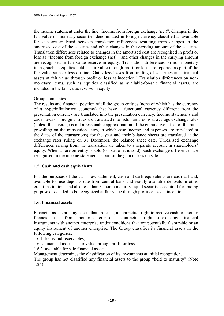the income statement under the line "Income from foreign exchange (net)". Changes in the fair value of monetary securities denominated in foreign currency classified as available for sale are analysed between translation differences resulting from changes in the amortised cost of the security and other changes in the carrying amount of the security. Translation differences related to changes in the amortised cost are recognised in profit or loss as "Income from foreign exchange (net)", and other changes in the carrying amount are recognised in fair value reserve in equity. Translation differences on non-monetary items, such as equities held at fair value through profit or loss, are reported as part of the fair value gain or loss on line "Gains less losses from trading of securities and financial assets at fair value through profit or loss at inception". Translation differences on nonmonetary items, such as equities classified as available-for-sale financial assets, are included in the fair value reserve in equity.

# Group companies

The results and financial position of all the group entities (none of which has the currency of a hyperinflationary economy) that have a functional currency different from the presentation currency are translated into the presentation currency. Income statements and cash flows of foreign entities are translated into Estonian kroons at average exchange rates (unless this average is not a reasonable approximation of the cumulative effect of the rates prevailing on the transaction dates, in which case income and expenses are translated at the dates of the transactions) for the year and their balance sheets are translated at the exchange rates ruling on 31 December, the balance sheet date. Unrealised exchange differences arising from the translation are taken to a separate account in shareholders' equity. When a foreign entity is sold (or part of it is sold), such exchange differences are recognised in the income statement as part of the gain or loss on sale.

# **1.5. Cash and cash equivalents**

For the purposes of the cash flow statement, cash and cash equivalents are cash at hand, available for use deposits due from central bank and readily available deposits in other credit institutions and also less than 3-month maturity liquid securities acquired for trading purpose or decided to be recognized at fair value through profit or loss at inception.

# **1.6. Financial assets**

Financial assets are any assets that are cash, a contractual right to receive cash or another financial asset from another enterprise, a contractual right to exchange financial instruments with another enterprise under conditions that are potentially favourable or an equity instrument of another enterprise. The Group classifies its financial assets in the following categories:

- 1.6.1. loans and receivables,
- 1.6.2. financial assets at fair value through profit or loss,
- 1.6.3. available for sale financial assets.
- Management determines the classification of its investments at initial recognition.

The group has not classified any financial assets to the group "held to maturity" (Note 1.24).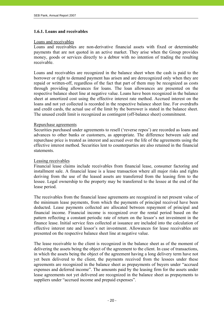# **1.6.1. Loans and receivables**

#### Loans and receivables

Loans and receivables are non-derivative financial assets with fixed or determinable payments that are not quoted in an active market. They arise when the Group provides money, goods or services directly to a debtor with no intention of trading the resulting receivable.

Loans and receivables are recognized in the balance sheet when the cash is paid to the borrower or right to demand payment has arisen and are derecognized only when they are repaid or written-off, regardless of the fact that part of them may be recognized as costs through providing allowances for loans. The loan allowances are presented on the respective balance sheet line at negative value. Loans have been recognized in the balance sheet at amortized cost using the effective interest rate method. Accrued interest on the loans and not yet collected is recorded in the respective balance sheet line. For overdrafts and credit cards, the actual use of the limit by the borrower is stated in the balance sheet. The unused credit limit is recognized as contingent (off-balance sheet) commitment.

# Repurchase agreements

Securities purchased under agreements to resell ('reverse repos') are recorded as loans and advances to other banks or customers, as appropriate. The difference between sale and repurchase price is treated as interest and accrued over the life of the agreements using the effective interest method. Securities lent to counterparties are also retained in the financial statements.

# Leasing receivables

Financial lease claims include receivables from financial lease, consumer factoring and installment sale. A financial lease is a lease transaction where all major risks and rights deriving from the use of the leased assets are transferred from the leasing firm to the lessee. Legal ownership to the property may be transferred to the lessee at the end of the lease period.

The receivables from the financial lease agreements are recognized in net present value of the minimum lease payments, from which the payments of principal received have been deducted. Lease payments collected are allocated between repayment of principal and financial income. Financial income is recognized over the rental period based on the pattern reflecting a constant periodic rate of return on the lessor's net investment in the finance lease. Initial service fees collected at issuance are included into the calculation of effective interest rate and lessor's net investment. Allowances for lease receivables are presented on the respective balance sheet line at negative value.

The lease receivable to the client is recognized in the balance sheet as of the moment of delivering the assets being the object of the agreement to the client. In case of transactions, in which the assets being the object of the agreement having a long delivery term have not yet been delivered to the client, the payments received from the lessees under these agreements are recognized in the balance sheet as prepayments of buyers under "accrued expenses and deferred income". The amounts paid by the leasing firm for the assets under lease agreements not yet delivered are recognized in the balance sheet as prepayments to suppliers under "accrued income and prepaid expenses".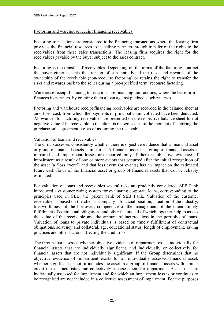#### Factoring and warehouse receipt financing receivables

Factoring transactions are considered to be financing transactions where the leasing firm provides the financial resources to its selling partners through transfer of the rights to the receivables from these sales transactions. The leasing firm acquires the right for the receivables payable by the buyer subject to the sales contract.

Factoring is the transfer of receivables. Depending on the terms of the factoring contract the buyer either accepts the transfer of substantially all the risks and rewards of the ownership of the receivable (non-recourse factoring) or retains the right to transfer the risks and rewards back to the seller during a pre-specified term (recourse factoring).

Warehouse receipt financing transactions are financing transactions, where the lease firm finances its partners, by granting them a loan against pledged stock reserves.

Factoring and warehouse receipt financing receivables are recorded in the balance sheet at amortised cost, from which the payments of principal claim collected have been deducted. Allowances for factoring receivables are presented on the respective balance sheet line at negative value. The receivable to the client is recognised as of the moment of factoring the purchase-sale agreement, i.e. as of assuming the receivable.

# Valuation of loans and receivables

The Group assesses consistently whether there is objective evidence that a financial asset or group of financial assets is impaired. A financial asset or a group of financial assets is impaired and impairment losses are incurred only if there is objective evidence of impairment as a result of one or more events that occurred after the initial recognition of the asset (a 'loss event') and that loss event (or events) has an impact on the estimated future cash flows of the financial asset or group of financial assets that can be reliably estimated.

For valuation of loans and receivables several risks are prudently considered. SEB Pank introduced a customer rating system for evaluating corporate loans, corresponding to the principles used in SEB, the parent bank of SEB Pank. Valuation of the customer receivables is based on the client's company's financial position, situation of the industry, trustworthiness of the borrower, competence of the management of the client, timely fulfillment of contractual obligations and other factors, all of which together help to assess the value of the receivable and the amount of incurred loss in the portfolio of loans. Valuation of loans to private individuals is based on timely fulfillment of contractual obligations, solvency and collateral, age, educational status, length of employment, saving practices and other factors, affecting the credit risk.

The Group first assesses whether objective evidence of impairment exists individually for financial assets that are individually significant, and individually or collectively for financial assets that are not individually significant. If the Group determines that no objective evidence of impairment exists for an individually assessed financial asset, whether significant or not, it includes the asset in a group of financial assets with similar credit risk characteristics and collectively assesses them for impairment. Assets that are individually assessed for impairment and for which an impairment loss is or continues to be recognised are not included in a collective assessment of impairment. For the purposes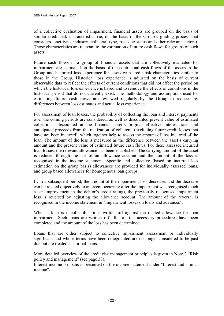of a collective evaluation of impairment, financial assets are grouped on the basis of similar credit risk characteristics (ie, on the basis of the Group's grading process that considers asset type, industry, collateral type, past-due status and other relevant factors). Those characteristics are relevant to the estimation of future cash flows for groups of such assets.

Future cash flows in a group of financial assets that are collectively evaluated for impairment are estimated on the basis of the contractual cash flows of the assets in the Group and historical loss experience for assets with credit risk characteristics similar to those in the Group. Historical loss experience is adjusted on the basis of current observable data to reflect the effects of current conditions that did not affect the period on which the historical loss experience is based and to remove the effects of conditions in the historical period that do not currently exist. The methodology and assumptions used for estimating future cash flows are reviewed regularly by the Group to reduce any differences between loss estimates and actual loss experience.

For assessment of loan losses, the probability of collecting the loan and interest payments over the coming periods are considered, as well as discounted present value of estimated collections, discounted at the financial asset's original effective interest rate, and anticipated proceeds from the realization of collateral (excluding future credit losses that have not been incurred), which together help to assess the amount of loss incurred of the loan. The amount of the loss is measured as the difference between the asset's carrying amount and the present value of estimated future cash flows. For these assessed incurred loan losses, the relevant allowance has been established. The carrying amount of the asset is reduced through the use of an allowance account and the amount of the loss is recognised in the income statement. Specific and collective (based on incurred loss estimation on the group basis) allowances are provided for individually assessed loans, and group based allowances for homogenous loan groups.

If, in a subsequent period, the amount of the impairment loss decreases and the decrease can be related objectively to an event occurring after the impairment was recognised (such as an improvement in the debtor's credit rating), the previously recognised impairment loss is reversed by adjusting the allowance account. The amount of the reversal is recognised in the income statement in "Impairment losses on loans and advances".

When a loan is uncollectible, it is written off against the related allowance for loan impairment. Such loans are written off after all the necessary procedures have been completed and the amount of the loss has been determined.

Loans that are either subject to collective impairment assessment or individually significant and whose terms have been renegotiated are no longer considered to be past due but are treated as normal loans.

More detailed overview of the credit risk management principles is given in Note 2 "Risk policy and management" (see page 38).

Interest income on loans is presented on the income statement under "Interest and similar income".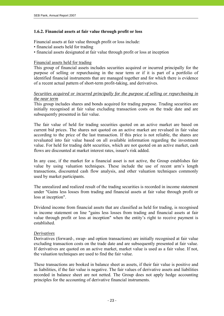# **1.6.2. Financial assets at fair value through profit or loss**

Financial assets at fair value through profit or loss include:

- financial assets held for trading
- financial assets designated at fair value through profit or loss at inception

# Financial assets held for trading

This group of financial assets includes securities acquired or incurred principally for the purpose of selling or repurchasing in the near term or if it is part of a portfolio of identified financial instruments that are managed together and for which there is evidence of a recent actual pattern of short-term profit-taking, and derivatives.

# *Securities acquired or incurred principally for the purpose of selling or repurchasing in the near term*

This group includes shares and bonds acquired for trading purpose. Trading securities are initially recognised at fair value excluding transaction costs on the trade date and are subsequently presented in fair value.

The fair value of held for trading securities quoted on an active market are based on current bid prices. The shares not quoted on an active market are revalued in fair value according to the price of the last transaction. If this price is not reliable, the shares are revaluated into fair value based on all available information regarding the investment value. For held for trading debt securities, which are not quoted on an active market, cash flows are discounted at market interest rates, issuer's risk added.

In any case, if the market for a financial asset is not active, the Group establishes fair value by using valuation techniques. These include the use of recent arm's length transactions, discounted cash flow analysis, and other valuation techniques commonly used by market participants.

The unrealized and realized result of the trading securities is recorded in income statement under "Gains less losses from trading and financial assets at fair value through profit or loss at inception".

Dividend income from financial assets that are classified as held for trading, is recognised in income statement on line "gains less losses from trading and financial assets at fair value through profit or loss at inception" when the entity's right to receive payment is established.

# *Derivatives*

Derivatives (forward-, swap- and option transactions) are initially recognised at fair value excluding transaction costs on the trade date and are subsequently presented at fair value. If derivatives are quoted on an active market, market value is used as a fair value. If not, the valuation techniques are used to find the fair value.

These transactions are booked in balance sheet as assets, if their fair value is positive and as liabilities, if the fair value is negative. The fair values of derivative assets and liabilities recorded in balance sheet are not netted. The Group does not apply hedge accounting principles for the accounting of derivative financial instruments.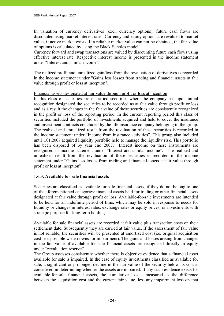In valuation of currency derivatives (excl. currency options), future cash flows are discounted using market interest rates. Currency and equity options are revalued to market value, if active market exists. If a reliable market value can not be obtained, the fair value of options is calculated by using the Black-Scholes model.

Currency forward and swap transactions are valued by discounting future cash flows using effective interest rate. Respective interest income is presented in the income statement under "Interest and similar income".

The realized profit and unrealized gain/loss from the revaluation of derivatives is recorded in the income statement under "Gains less losses from trading and financial assets at fair value through profit or loss at inception".

Financial assets designated at fair value through profit or loss at inception

In this class of securities are classified securities where the company has upon initial recognition designated the securities to be recorded as at fair value through profit or loss and as a result the changes in the fair value of these securities are consistently recognized in the profit or loss of the reporting period. In the current reporting period this class of securities included the portfolio of investments acquired and held to cover the insurance and investment contracts concluded by the life insurance company belonging to the group. The realized and unrealized result from the revaluation of these securities is recorded in the income statement under "Income from insurance activities". This group also included until 1.01.2007 acquired liquidity portfolio held to manage the liquidity risk. This portfolio has been disposed of by year end 2007. Interest income on these instruments are recognised in income statement under "Interest and similar income". The realized and unrealized result from the revaluation of these securities is recorded in the income statement under "Gains less losses from trading and financial assets at fair value through profit or loss at inception".

# **1.6.3. Available for sale financial assets**

Securities are classified as available for sale financial assets, if they do not belong to one of the aforementioned categories: financial assets held for trading or other financial assets designated at fair value through profit or loss. Available-for-sale investments are intended to be held for an indefinite period of time, which may be sold in response to needs for liquidity or changes in interest rates, exchange rates or equity prices; or investments with strategic purpose for long-term holding.

Available for sale financial assets are recorded at fair value plus transaction costs on their settlement date. Subsequently they are carried at fair value. If the assessment of fair value is not reliable, the securities will be presented at amortized cost (i.e. original acquisition cost less possible write-downs for impairment). The gains and losses arising from changes in the fair value of available for sale financial assets are recognised directly in equity under "revaluation reserve".

The Group assesses consistently whether there is objective evidence that a financial asset available for sale is impaired. In the case of equity investments classified as available for sale, a significant or prolonged decline in the fair value of the security below its cost is considered in determining whether the assets are impaired. If any such evidence exists for available-for-sale financial assets, the cumulative loss – measured as the difference between the acquisition cost and the current fair value, less any impairment loss on that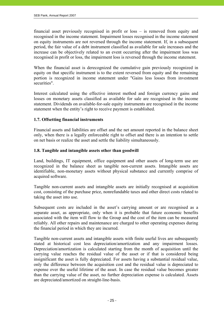financial asset previously recognised in profit or loss – is removed from equity and recognised in the income statement. Impairment losses recognised in the income statement on equity instruments are not reversed through the income statement. If, in a subsequent period, the fair value of a debt instrument classified as available for sale increases and the increase can be objectively related to an event occurring after the impairment loss was recognised in profit or loss, the impairment loss is reversed through the income statement.

When the financial asset is derecognized the cumulative gain previously recognized in equity on that specific instrument is to the extent reversed from equity and the remaining portion is recognized in income statement under "Gains less losses from investment securities".

Interest calculated using the effective interest method and foreign currency gains and losses on monetary assets classified as available for sale are recognised in the income statement. Dividends on available-for-sale equity instruments are recognised in the income statement when the entity's right to receive payment is established.

# **1.7. Offsetting financial instruments**

Financial assets and liabilities are offset and the net amount reported in the balance sheet only, when there is a legally enforceable right to offset and there is an intention to settle on net basis or realize the asset and settle the liability simultaneously.

# **1.8. Tangible and intangible assets other than goodwill**

Land, buildings, IT equipment, office equipment and other assets of long-term use are recognized in the balance sheet as tangible non-current assets. Intangible assets are identifiable, non-monetary assets without physical substance and currently comprise of acquired software.

Tangible non-current assets and intangible assets are initially recognised at acquisition cost, consisting of the purchase price, nonrefundable taxes and other direct costs related to taking the asset into use.

Subsequent costs are included in the asset's carrying amount or are recognised as a separate asset, as appropriate, only when it is probable that future economic benefits associated with the item will flow to the Group and the cost of the item can be measured reliably. All other repairs and maintenance are charged to other operating expenses during the financial period in which they are incurred.

Tangible non-current assets and intangible assets with finite useful lives are subsequently stated at historical cost less depreciation/amortization and any impairment losses. Depreciation/amortization is calculated starting from the month of acquisition until the carrying value reaches the residual value of the asset or if that is considered being insignificant the asset is fully depreciated. For assets having a substantial residual value, only the difference between the acquisition cost and the residual value is depreciated to expense over the useful lifetime of the asset. In case the residual value becomes greater than the carrying value of the asset, no further depreciation expense is calculated. Assets are depreciated/amortized on straight-line-basis.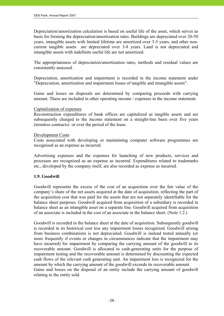Depreciation/amortization calculation is based on useful life of the asset, which serves as basis for forming the depreciation/amortization rates. Buildings are depreciated over 20-50 years, intangible assets with limited lifetime are amortized over 3-5 years, and other noncurrent tangible assets are depreciated over 3-8 years. Land is not depreciated and intangible assets with indefinite useful life are not amortized.

The appropriateness of depreciation/amortization rates, methods and residual values are consistently assessed.

Depreciation, amortization and impairment is recorded in the income statement under "Depreciation, amortization and impairment losses of tangible and intangible assets".

Gains and losses on disposals are determined by comparing proceeds with carrying amount. These are included in other operating income / expenses in the income statement.

#### Capitalization of expenses

Reconstruction expenditures of bank offices are capitalized as tangible assets and are subsequently charged to the income statement on a straight-line basis over five years (termless contracts) or over the period of the lease.

#### Development Costs

Costs associated with developing or maintaining computer software programmes are recognised as an expense as incurred.

Advertising expenses and the expenses for launching of new products, services and processes are recognized as an expense as incurred. Expenditures related to trademarks etc., developed by the company itself, are also recorded as expense as incurred.

# **1.9. Goodwill**

Goodwill represents the excess of the cost of an acquisition over the fair value of the company's share of the net assets acquired at the date of acquisition, reflecting the part of the acquisition cost that was paid for the assets that are not separately identifiable for the balance sheet purposes. Goodwill acquired from acquisition of a subsidiary is recorded in balance sheet as an intangible asset on a separate line. Goodwill acquired from acquisition of an associate is included in the cost of an associate in the balance sheet. (Note 1.2.)

Goodwill is recorded in the balance sheet at the date of acquisition. Subsequently goodwill is recorded in its historical cost less any impairment losses recognized. Goodwill arising from business combinations is not depreciated. Goodwill is instead tested annually (or more frequently if events or changes in circumstances indicate that the impairment may have incurred) for impairment by comparing the carrying amount of the goodwill to its recoverable amount. Goodwill is allocated to cash-generating units for the purpose of impairment testing and the recoverable amount is determined by discounting the expected cash flows of the relevant cash generating unit. An impairment loss is recognized for the amount by which the carrying amount of the goodwill exceeds its recoverable amount. Gains and losses on the disposal of an entity include the carrying amount of goodwill relating to the entity sold.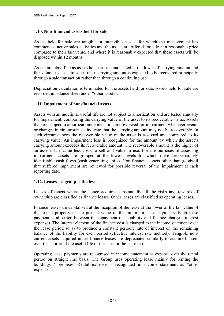# **1.10. Non-financial assets held for sale**

Assets held for sale are tangible or intangible assets, for which the management has commenced active sales activities and the assets are offered for sale at a reasonable price compared to their fair value, and where it is reasonably expected that these assets will be disposed within 12 months.

Assets are classified as assets held for sale and stated at the lower of carrying amount and fair value less costs to sell if their carrying amount is expected to be recovered principally through a sale transaction rather than through a continuing use.

Depreciation calculation is terminated for the assets held for sale. Assets held for sale are recorded in balance sheet under "other assets".

# **1.11. Impairment of non-financial assets**

Assets with an indefinite useful life are not subject to amortization and are tested annually for impairment, comparing the carrying value of the asset to its recoverable value. Assets that are subject to amortization/depreciation are reviewed for impairment whenever events or changes in circumstances indicate that the carrying amount may not be recoverable. In such circumstances the recoverable value of the asset is assessed and compared to its carrying value. An impairment loss is recognized for the amount by which the asset's carrying amount exceeds its recoverable amount. The recoverable amount is the higher of an asset's fair value less costs to sell and value in use. For the purposes of assessing impairment, assets are grouped at the lowest levels for which there are separately identifiable cash flows (cash-generating units). Non-financial assets other than goodwill that suffered impairment are reviewed for possible reversal of the impairment at each reporting date.

# **1.12. Leases – a group is the lessee**

Leases of assets where the lessee acquires substantially all the risks and rewards of ownership are classified as finance leases. Other leases are classified as operating leases.

Finance leases are capitalised at the inception of the lease at the lower of the fair value of the leased property or the present value of the minimum lease payments. Each lease payment is allocated between the repayment of a liability and finance charges (interest expense). The interest element of the finance cost is charged to the income statement over the lease period so as to produce a constant periodic rate of interest on the remaining balance of the liability for each period (effective interest rate method). Tangible noncurrent assets acquired under finance leases are depreciated similarly to acquired assets over the shorter of the useful life of the asset or the lease term.

Operating lease payments are recognised in income statement as expense over the rental period on straight line basis. The Group uses operating lease mainly for renting the buildings / premises. Rental expense is recognized in income statement as "other expenses".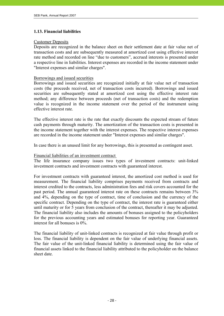# **1.13. Financial liabilities**

#### Customer Deposits

Deposits are recognized in the balance sheet on their settlement date at fair value net of transaction costs and are subsequently measured at amortized cost using effective interest rate method and recorded on line "due to customers", accrued interests is presented under a respective line in liabilities. Interest expenses are recorded in the income statement under "Interest expenses and similar charges".

# Borrowings and issued securities

Borrowings and issued securities are recognized initially at fair value net of transaction costs (the proceeds received, net of transaction costs incurred). Borrowings and issued securities are subsequently stated at amortized cost using the effective interest rate method; any difference between proceeds (net of transaction costs) and the redemption value is recognized in the income statement over the period of the instrument using effective interest rate.

The effective interest rate is the rate that exactly discounts the expected stream of future cash payments through maturity. The amortization of the transaction costs is presented in the income statement together with the interest expenses. The respective interest expenses are recorded in the income statement under "Interest expenses and similar charges".

In case there is an unused limit for any borrowings, this is presented as contingent asset.

# Financial liabilities of an investment contract

The life insurance company issues two types of investment contracts: unit-linked investment contracts and investment contracts with guaranteed interest.

For investment contracts with guaranteed interest, the amortized cost method is used for measurement. The financial liability comprises payments received from contracts and interest credited to the contracts, less administration fees and risk covers accounted for the past period. The annual guaranteed interest rate on these contracts remains between 3% and 4%, depending on the type of contract, time of conclusion and the currency of the specific contract. Depending on the type of contract, the interest rate is guaranteed either until maturity or for 5 years from conclusion of the contract, thereafter it may be adjusted. The financial liability also includes the amounts of bonuses assigned to the policyholders for the previous accounting years and estimated bonuses for reporting year. Guaranteed interest for all bonuses is 0%.

The financial liability of unit-linked contracts is recognized at fair value through profit or loss. The financial liability is dependent on the fair value of underlying financial assets. The fair value of the unit-linked financial liability is determined using the fair value of financial assets linked to the financial liability attributed to the policyholder on the balance sheet date.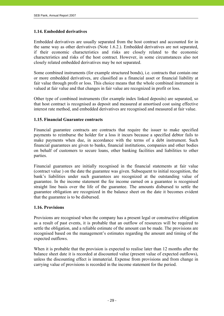# **1.14. Embedded derivatives**

Embedded derivatives are usually separated from the host contract and accounted for in the same way as other derivatives (Note 1.6.2.). Embedded derivatives are not separated, if their economic characteristics and risks are closely related to the economic characteristics and risks of the host contract. However, in some circumstances also not closely related embedded derivatives may be not separated.

Some combined instruments (for example structured bonds), i.e. contracts that contain one or more embedded derivatives, are classified as a financial asset or financial liability at fair value through profit or loss. This choice means that the whole combined instrument is valued at fair value and that changes in fair value are recognized in profit or loss.

Other type of combined instruments (for example index linked deposits) are separated, so that host contract is recognised as deposit and measured at amortised cost using effective interest rate method, and embedded derivatives are recognised and measured at fair value.

# **1.15. Financial Guarantee contracts**

Financial guarantee contracts are contracts that require the issuer to make specified payments to reimburse the holder for a loss it incurs because a specified debtor fails to make payments when due, in accordance with the terms of a debt instrument. Such financial guarantees are given to banks, financial institutions, companies and other bodies on behalf of customers to secure loans, other banking facilities and liabilities to other parties.

Financial guarantees are initially recognised in the financial statements at fair value (contract value ) on the date the guarantee was given. Subsequent to initial recognition, the bank's liabilities under such guarantees are recognized at the outstanding value of guarantee. In the income statement the fee income earned on a guarantee is recognised straight line basis over the life of the guarantee. The amounts disbursed to settle the guarantee obligation are recognized in the balance sheet on the date it becomes evident that the guarantee is to be disbursed.

# **1.16. Provisions**

Provisions are recognised when the company has a present legal or constructive obligation as a result of past events, it is probable that an outflow of resources will be required to settle the obligation, and a reliable estimate of the amount can be made. The provisions are recognised based on the management's estimates regarding the amount and timing of the expected outflows.

When it is probable that the provision is expected to realise later than 12 months after the balance sheet date it is recorded at discounted value (present value of expected outflows), unless the discounting effect is immaterial. Expense from provisions and from change in carrying value of provisions is recorded in the income statement for the period.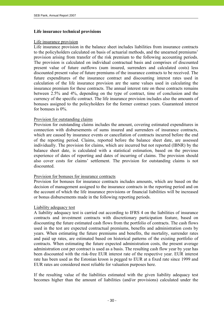# **Life insurance technical provisions**

#### Life insurance provision

Life insurance provision in the balance sheet includes liabilities from insurance contracts to the policyholders calculated on basis of actuarial methods, and the unearned premiums' provision arising from transfer of the risk premium to the following accounting periods. The provision is calculated on individual contractual basis and comprises of discounted present value of future outflows (sum insured, surrenders and calculated costs) less discounted present value of future premiums of the insurance contracts to be received. The future expenditures of the insurance contract and discounting interest rates used in calculation of the life insurance provision are the same values used in calculating the insurance premium for these contracts. The annual interest rate on these contracts remains between 2.5% and 4%, depending on the type of contract, time of conclusion and the currency of the specific contract. The life insurance provision includes also the amounts of bonuses assigned to the policyholders for the former contract years. Guaranteed interest for bonuses is 0%.

# Provision for outstanding claims

Provision for outstanding claims includes the amount, covering estimated expenditures in connection with disbursements of sums insured and surrenders of insurance contracts, which are caused by insurance events or cancellation of contracts incurred before the end of the reporting period. Claims, reported before the balance sheet date, are assessed individually. The provision for claims, which are incurred but not reported (IBNR) by the balance sheet date, is calculated with a statistical estimation, based on the previous experience of dates of reporting and dates of incurring of claims. The provision should also cover costs for claims' settlement. The provision for outstanding claims is not discounted.

# Provision for bonuses for insurance contracts

Provision for bonuses for insurance contracts includes amounts, which are based on the decision of management assigned to the insurance contracts in the reporting period and on the account of which the life insurance provisions or financial liabilities will be increased or bonus disbursements made in the following reporting periods.

# Liability adequacy test

A liability adequacy test is carried out according to IFRS 4 on the liabilities of insurance contracts and investment contracts with discretionary participation feature, based on discounting the future estimated cash flows from the portfolio of contracts. The cash flows used in the test are expected contractual premiums, benefits and administration costs by years. When estimating the future premiums and benefits, the mortality, surrender rates and paid up rates, are estimated based on historical patterns of the existing portfolio of contracts. When estimating the future expected administration costs, the present average administration cost per contract is used as a basis. The resulting cash flow year by year has been discounted with the risk-free EUR interest rate of the respective year. EUR interest rate has been used as the Estonian kroon is pegged to EUR at a fixed rate since 1999 and EUR rates are considered most reliable for valuation purposes here.

If the resulting value of the liabilities estimated with the given liability adequacy test becomes higher than the amount of liabilities (and/or provisions) calculated under the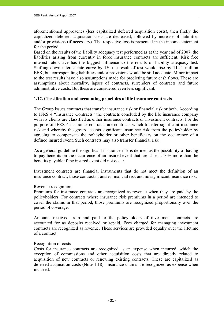aforementioned approaches (less capitalized deferred acquisition costs), then firstly the capitalized deferred acquisition costs are decreased, followed by increase of liabilities and/or provisions (if necessary). The respective loss is presented in the income statement for the period.

Based on the results of the liability adequacy test performed as at the year end of 2007, the liabilities arising from currently in force insurance contracts are sufficient. Risk free interest rate curve has the biggest influence to the results of liability adequacy test. Shifting down interest rate curve by 1% the result of test would rise by 114.1 million EEK, but corresponding liabilities and/or provisions would be still adequate. Minor impact to the test results have also assumptions made for predicting future cash flows. These are assumptions about mortality, lapses of contracts, surrenders of contracts and future administrative costs. But these are considered even less significant.

# **1.17. Classification and accounting principles of life insurance contracts**

The Group issues contracts that transfer insurance risk or financial risk or both. According to IFRS 4 "Insurance Contracts" the contracts concluded by the life insurance company with its clients are classified as either insurance contracts or investment contracts. For the purpose of IFRS 4 insurance contracts are contracts which transfer significant insurance risk and whereby the group accepts significant insurance risk from the policyholder by agreeing to compensate the policyholder or other beneficiary on the occurrence of a defined insured event. Such contracts may also transfer financial risk.

As a general guideline the significant insurance risk is defined as the possibility of having to pay benefits on the occurrence of an insured event that are at least 10% more than the benefits payable if the insured event did not occur.

Investment contracts are financial instruments that do not meet the definition of an insurance contract; those contracts transfer financial risk and no significant insurance risk.

# Revenue recognition

Premiums for insurance contracts are recognized as revenue when they are paid by the policyholders. For contracts where insurance risk premiums in a period are intended to cover the claims in that period, those premiums are recognized proportionally over the period of coverage.

Amounts received from and paid to the policyholders of investment contracts are accounted for as deposits received or repaid. Fees charged for managing investment contracts are recognized as revenue. These services are provided equally over the lifetime of a contract.

# Recognition of costs

Costs for insurance contracts are recognized as an expense when incurred, which the exception of commissions and other acquisition costs that are directly related to acquisition of new contracts or renewing existing contracts. These are capitalized as deferred acquisition costs (Note 1.18). Insurance claims are recognized as expense when incurred.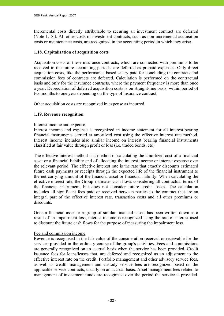Incremental costs directly attributable to securing an investment contract are deferred (Note 1.18.). All other costs of investment contracts, such as non-incremental acquisition costs or maintenance costs, are recognized in the accounting period in which they arise.

# **1.18. Capitalisation of acquisition costs**

Acquisition costs of these insurance contracts, which are connected with premiums to be received in the future accounting periods, are deferred as prepaid expenses. Only direct acquisition costs, like the performance based salary paid for concluding the contracts and commission fees of contracts are deferred. Calculation is performed on the contractual basis and only for the insurance contracts, where the payment frequency is more than once a year. Depreciation of deferred acquisition costs is on straight-line basis, within period of two months to one year depending on the type of insurance contract.

Other acquisition costs are recognized in expense as incurred.

# **1.19. Revenue recognition**

# Interest income and expense

Interest income and expense is recognized in income statement for all interest-bearing financial instruments carried at amortized cost using the effective interest rate method. Interest income includes also similar income on interest bearing financial instruments classified at fair value through profit or loss (i.e. traded bonds, etc).

The effective interest method is a method of calculating the amortized cost of a financial asset or a financial liability and of allocating the interest income or interest expense over the relevant period. The effective interest rate is the rate that exactly discounts estimated future cash payments or receipts through the expected life of the financial instrument to the net carrying amount of the financial asset or financial liability. When calculating the effective interest rate, the Group estimates cash flows considering all contractual terms of the financial instrument, but does not consider future credit losses. The calculation includes all significant fees paid or received between parties to the contract that are an integral part of the effective interest rate, transaction costs and all other premiums or discounts.

Once a financial asset or a group of similar financial assets has been written down as a result of an impairment loss, interest income is recognized using the rate of interest used to discount the future cash flows for the purpose of measuring the impairment loss.

# Fee and commission income

Revenue is recognised in the fair value of the consideration received or receivable for the services provided in the ordinary course of the group's activities. Fees and commissions are generally recognized on an accrual basis when the service has been provided. Credit issuance fees for loans/leases that, are deferred and recognized as an adjustment to the effective interest rate on the credit. Portfolio management and other advisory service fees, as well as wealth management and custody service fees are recognized based on the applicable service contracts, usually on an accrual basis. Asset management fees related to management of investment funds are recognized over the period the service is provided.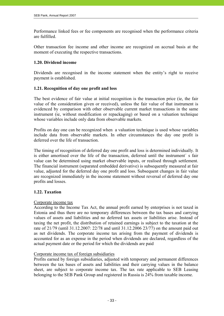Performance linked fees or fee components are recognised when the performance criteria are fulfilled.

Other transaction fee income and other income are recognized on accrual basis at the moment of executing the respective transactions.

# **1.20. Dividend income**

Dividends are recognised in the income statement when the entity's right to receive payment is established.

# **1.21. Recognition of day one profit and loss**

The best evidence of fair value at initial recognition is the transaction price (ie, the fair value of the consideration given or received), unless the fair value of that instrument is evidenced by comparison with other observable current market transactions in the same instrument (ie, without modification or repackaging) or based on a valuation technique whose variables include only data from observable markets.

Profits on day one can be recognized when a valuation technique is used whose variables include data from observable markets. In other circumstances the day one profit is deferred over the life of transaction.

The timing of recognition of deferred day one profit and loss is determined individually. It is either amortised over the life of the transaction, deferred until the instrument´ s fair value can be determined using market observable inputs, or realised through settlement. The financial instrument (separated embedded derivative) is subsequently measured at fair value, adjusted for the deferred day one profit and loss. Subsequent changes in fair value are recognized immediately in the income statement without reversal of deferred day one profits and losses.

# **1.22. Taxation**

# Corporate income tax

According to the Income Tax Act, the annual profit earned by enterprises is not taxed in Estonia and thus there are no temporary differences between the tax bases and carrying values of assets and liabilities and no deferred tax assets or liabilities arise. Instead of taxing the net profit, the distribution of retained earnings is subject to the taxation at the rate of 21/79 (until 31.12.2007: 22/78 and until 31.12.2006 23/77) on the amount paid out as net dividends. The corporate income tax arising from the payment of dividends is accounted for as an expense in the period when dividends are declared, regardless of the actual payment date or the period for which the dividends are paid

# Corporate income tax of foreign subsidiaries

Profits earned by foreign subsidiaries, adjusted with temporary and permanent differences between the tax bases of assets and liabilities and their carrying values in the balance sheet, are subject to corporate income tax. The tax rate applicable to SEB Leasing belonging to the SEB Pank Group and registered in Russia is 24% from taxable income.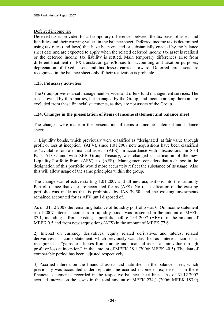# Deferred income tax

Deferred tax is provided for all temporary differences between the tax bases of assets and liabilities and their carrying values in the balance sheet. Deferred income tax is determined using tax rates (and laws) that have been enacted or substantially enacted by the balance sheet date and are expected to apply when the related deferred income tax asset is realised or the deferred income tax liability is settled. Main temporary differences arise from different treatment of FX translation gains/losses for accounting and taxation purposes, depreciation of fixed assets and tax losses carried forward. Deferred tax assets are recognized in the balance sheet only if their realization is probable.

# **1.23. Fiduciary activities**

The Group provides asset management services and offers fund management services. The assets owned by third parties, but managed by the Group, and income arising thereon, are excluded from these financial statements, as they are not assets of the Group.

# **1.24. Changes in the presentation of items of income statement and balance sheet**

The changes were made in the presentation of items of income statement and balance sheet:

1) Liquidity bonds, which previously were classified as "designated at fair value through profit or loss at inception" (AFV), since 1.01.2007 new acquisitions have been classified as "available for sale financial assets" (AFS). In accordance with discussions in SEB Pank ALCO and with SEB Group Treasury, was changed classification of the new Liquidity Portfolio from (AFV) to (AFS). Management considers that a change in the designation of this portfolio would more accurately reflect the substance of its usage. Also this will allow usage of the same principles within the group.

The change was effective starting 1.01.2007 and all new acquisitions into the Liquidity Portfolio since that date are accounted for as (AFS). No reclassification of the existing portfolio was made as this is prohibited by IAS 39.50. and the existing investments remained accounted for as AFV until disposed of.

As of 31.12.2007 the remaining balance of liquidity portfolio was 0. On income statement as of 2007 interest income from liquidity bonds was presented in the amount of MEEK 87,1, including from existing portfolio before 1.01.2007 (AFV) in the amount of MEEK 9.5 and from new acquisitions (AFS) in the amount of MEEK 77.6.

2) Interest on currency derivatives, equity related derivatives and interest related derivatives in income statement, which previously was classified as "interest income", is recognized as "gains less losses from trading and financial assets at fair value through profit or loss at inception" in the amount of MEEK 28.1 (2006: MEEK 40.5). The data of comparable period has been adjusted respectively.

3) Accrued interest on the financial assets and liabilities in the balance sheet, which previously was accounted under separate line accrued income or expenses, is in these financial statements recorded in the respective balance sheet lines. As of 31.12.2007 accrued interest on the assets in the total amount of MEEK 274,1 (2006: MEEK 183,9)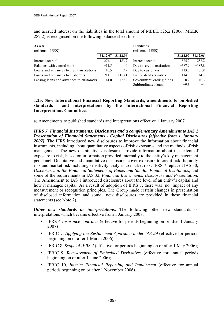and accrued interest on the liabilities in the total amount of MEEK 525,2 (2006: MEEK 282,2) is recognised on the following balance sheet lines:

| <b>Assets</b>                             | <b>Liabilities</b> |          |                            |          |          |
|-------------------------------------------|--------------------|----------|----------------------------|----------|----------|
| (millions of EEK)                         |                    |          | (millions of EEK)          |          |          |
|                                           | 31.12.07           | 31.12.06 |                            | 31.12.07 | 31.12.06 |
| Interest accrual                          | $-274.1$           | $-183.9$ | Interest accrual           | $-525.2$ | $-282.2$ |
| Balances with central bank                | $+11.5$            | $\Omega$ | Due to credit institutions | $+387.9$ | $+187.8$ |
| Loans and advances to credit institutions | $+10.5$            | $+2.9$   | Due to customers           | $+113.5$ | $+85.8$  |
| Loans and advances to customers           | $+211.1$           | $+153.1$ | Issued debt securities     | $+14.3$  | $+4.3$   |
| Leasing loans and advances to customers   | $+41.0$            | $+27.9$  | Government lending funds   | $+0.2$   | $+0.3$   |
|                                           |                    |          | Subbordinated loans        | $+9.3$   | $+4$     |

# **1.25. New International Financial Reporting Standards, amendments to published standards and interpretations by the International Financial Reporting Interpretations Committee.**

a) Amendments to published standards and interpretations effective 1 January 2007

*IFRS 7, Financial Instruments: Disclosures and a complementary Amendment to IAS 1 Presentation of Financial Statements - Capital Disclosures (effective from 1 January 2007).* The IFRS introduced new disclosures to improve the information about financial instruments, including about quantitative aspects of risk exposures and the methods of risk management. The new quantitative disclosures provide information about the extent of exposure to risk, based on information provided internally to the entity's key management personnel. Qualitative and quantitative disclosures cover exposure to credit risk, liquidity risk and market risk including sensitivity analysis to market risk. IFRS 7 replaced IAS 30, *Disclosures in the Financial Statements of Banks and Similar Financial Institutions*, and some of the requirements in IAS 32, *Financial Instruments: Disclosure and Presentation*. The Amendment to IAS 1 introduced disclosures about the level of an entity's capital and how it manages capital. As a result of adoption of IFRS 7, there was no impact of any measurement or recognition principles. The Group made certain changes in presentation of disclosed information and some new disclosures are provided in these financial statements (see Note 2).

*Other new standards or interpretations.* The following other new standards or interpretations which became effective from 1 January 2007:

- IFRS 4 *Insurance contracts* (effective for periods beginning on or after 1 January 2007)
- IFRIC 7, *Applying the Restatement Approach under IAS 29* (effective for periods beginning on or after 1 March 2006);
- IFRIC 8, *Scope of IFRS 2* (effective for periods beginning on or after 1 May 2006);
- IFRIC 9, *Reassessment of Embedded Derivatives* (effective for annual periods beginning on or after 1 June 2006);
- IFRIC 10, *Interim Financial Reporting and Impairment* (effective for annual periods beginning on or after 1 November 2006).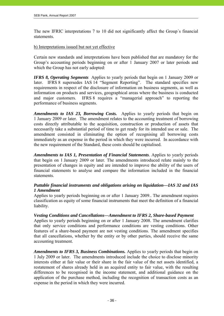The new IFRIC interpretations 7 to 10 did not significantly affect the Group´s financial statements.

# b) Interpretations issued but not yet effective

Certain new standards and interpretations have been published that are mandatory for the Group's accounting periods beginning on or after 1 January 2007 or later periods and which the Group has not early adopted:

*IFRS 8, Operating Segments* Applies to yearly periods that begin on 1 January 2009 or later. IFRS 8 supersedes IAS 14 "Segment Reporting". The standard specifies new requirements in respect of the disclosure of information on business segments, as well as information on products and services, geographical areas where the business is conducted and major customers. IFRS 8 requires a "managerial approach" to reporting the performance of business segments.

*Amendments to IAS 23, Borrowing Costs.* Applies to yearly periods that begin on 1 January 2009 or later. The amendment relates to the accounting treatment of borrowing costs directly attributable to the acquisition, construction or production of assets that necessarily take a substantial period of time to get ready for its intended use or sale. The amendment consisted in eliminating the option of recognising all borrowing costs immediately as an expense in the period in which they were incurred. In accordance with the new requirement of the Standard, these costs should be capitalised.

*Amendments to IAS 1, Presentation of Financial Statements*. Applies to yearly periods that begin on 1 January 2009 or later. The amendments introduced relate mainly to the presentation of changes in equity and are intended to improve the ability of the users of financial statements to analyse and compare the information included in the financial statements.

# *Puttable financial instruments and obligations arising on liquidation—IAS 32 and IAS 1 Amendment*

Applies to yearly periods beginning on or after 1 January 2009.. The amendment requires classification as equity of some financial instruments that meet the definition of a financial liability.

# *Vesting Conditions and Cancellations—Amendment to IFRS 2, Share-based Payment*

Applies to yearly periods beginning on or after 1 January 2008. The amendment clarifies that only service conditions and performance conditions are vesting conditions. Other features of a share-based payment are not vesting conditions. The amendment specifies that all cancellations, whether by the entity or by other parties, should receive the same accounting treatment.

*Amendments to IFRS 3, Business Combinations.* Applies to yearly periods that begin on 1 July 2009 or later. The amendments introduced include the choice to disclose minority interests either at fair value or their share in the fair value of the net assets identified, a restatement of shares already held in an acquired entity to fair value, with the resulting differences to be recognised in the income statement, and additional guidance on the application of the purchase method, including the recognition of transaction costs as an expense in the period in which they were incurred.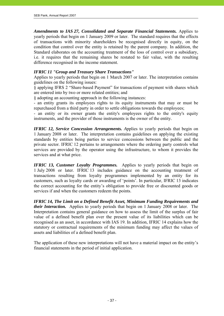*Amendments to IAS 27, Consolidated and Separate Financial Statements.* Applies to yearly periods that begin on 1 January 2009 or later. The standard requires that the effects of transactions with minority shareholders be recognised directly in equity, on the condition that control over the entity is retained by the parent company. In addition, the Standard elaborates on the accounting treatment of the loss of control over a subsidiary, i.e. it requires that the remaining shares be restated to fair value, with the resulting difference recognised in the income statement.

# *IFRIC 11 "Group and Treasury Share Transactions"*

Applies to yearly periods that begin on 1 March 2007 or later. The interpretation contains guidelines on the following issues:

§ applying IFRS 2 "Share-based Payment" for transactions of payment with shares which are entered into by two or more related entities; and

§ adopting an accounting approach in the following instances:

- an entity grants its employees rights to its equity instruments that may or must be repurchased from a third party in order to settle obligations towards the employees;

- an entity or its owner grants the entity's employees rights to the entity's equity instruments, and the provider of those instruments is the owner of the entity.

*IFRIC 12, Service Concession Arrangements. Applies to yearly periods that begin on* 1 January 2008 or later. The interpretation contains guidelines on applying the existing standards by entities being parties to service concessions between the public and the private sector. IFRIC 12 pertains to arrangements where the ordering party controls what services are provided by the operator using the infrastructure, to whom it provides the services and at what price.

*IFRIC 13, Customer Loyalty Programmes.* Applies to yearly periods that begin on 1 July 2008 or later. IFRIC 13 includes guidance on the accounting treatment of transactions resulting from loyalty programmes implemented by an entity for its customers, such as loyalty cards or awarding of 'points'. In particular, IFRIC 13 indicates the correct accounting for the entity's obligation to provide free or discounted goods or services if and when the customers redeem the points.

*IFRIC 14, The Limit on a Defined Benefit Asset, Minimum Funding Requirements and their Interaction.* Applies to yearly periods that begin on 1 January 2008 or later. The Interpretation contains general guidance on how to assess the limit of the surplus of fair value of a defined benefit plan over the present value of its liabilities which can be recognised as an asset, in accordance with IAS 19. In addition, IFRIC 14 explains how the statutory or contractual requirements of the minimum funding may affect the values of assets and liabilities of a defined benefit plan.

The application of these new interpretations will not have a material impact on the entity's financial statements in the period of initial application.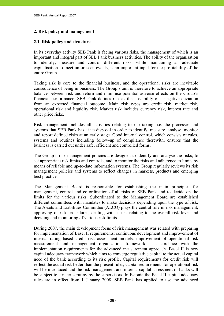# **2. Risk policy and management**

# **2.1. Risk policy and structure**

In its everyday activity SEB Pank is facing various risks, the management of which is an important and integral part of SEB Pank business activities. The ability of the organisation to identify, measure and control different risks, while maintaining an adequate capitalisation to meet unforeseen events, is an important input for the profitability of the entire Group.

Taking risk is core to the financial business, and the operational risks are inevitable consequence of being in business. The Group's aim is therefore to achieve an appropriate balance between risk and return and minimise potential adverse effects on the Group's financial performance. SEB Pank defines risk as the possibility of a negative deviation from an expected financial outcome. Main risk types are credit risk, market risk, operational risk and liquidity risk. Market risk includes currency risk, interest rate and other price risks.

Risk management includes all activities relating to risk-taking, i.e. the processes and systems that SEB Pank has at its disposal in order to identify, measure, analyse, monitor and report defined risks at an early stage. Good internal control, which consists of rules, systems and routines including follow-up of compliance therewith, ensures that the business is carried out under safe, efficient and controlled forms.

The Group's risk management policies are designed to identify and analyse the risks, to set appropriate risk limits and controls, and to monitor the risks and adherence to limits by means of reliable and up-to-date information systems. The Group regularly reviews its risk management policies and systems to reflect changes in markets, products and emerging best practice.

The Management Board is responsible for establishing the main principles for management, control and co-ordination of all risks of SEB Pank and to decide on the limits for the various risks. Subordinated to the Management Board are established different committees with mandates to make decisions depending upon the type of risk. The Assets and Liabilities Committee (ALCO) plays the central role in risk management, approving of risk procedures, dealing with issues relating to the overall risk level and deciding and monitoring of various risk limits.

During 2007, the main development focus of risk management was related with preparing for implementation of Basel II requirements: continuous development and improvement of internal rating based credit risk assessment models, improvement of operational risk measurement and management organization framework in accordance with the implementation requirements for the advanced measurement approach. Basel II is new capital adequacy framework which aims to converge regulative capital to the actual capital need of the bank according to its risk profile. Capital requirements for credit risk will reflect the actual risk better than the present rules, capital requirements for operational risk will be introduced and the risk management and internal capital assessment of banks will be subject to stricter scrutiny by the supervisors. In Estonia the Basel II capital adequacy rules are in effect from 1 January 2008. SEB Pank has applied to use the advanced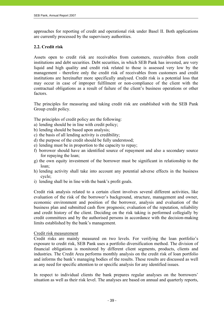approaches for reporting of credit and operational risk under Basel II. Both applications are currently processed by the supervisory authorities.

# **2.2. Credit risk**

Assets open to credit risk are receivables from customers, receivables from credit institutions and debt securities. Debt securities, in which SEB Pank has invested, are very liquid and high quality and credit risk related to those is assessed very low by the management - therefore only the credit risk of receivables from customers and credit institutions are hereinafter more specifically analysed. Credit risk is a potential loss that may occur in case of improper fulfilment or non-compliance of the client with the contractual obligations as a result of failure of the client's business operations or other factors.

The principles for measuring and taking credit risk are established with the SEB Pank Group credit policy.

The principles of credit policy are the following:

- a) lending should be in line with credit policy;
- b) lending should be based upon analysis;
- c) the basis of all lending activity is credibility;
- d) the purpose of the credit should be fully understood;
- e) lending must be in proportion to the capacity to repay;
- f) borrower should have an identified source of repayment and also a secondary source for repaying the loan;
- g) the own equity investment of the borrower must be significant in relationship to the loan;
- h) lending activity shall take into account any potential adverse effects in the business cycle;
- i) lending shall be in line with the bank's profit goals.

Credit risk analysis related to a certain client involves several different activities, like evaluation of the risk of the borrower's background, structure, management and owner, economic environment and position of the borrower, analysis and evaluation of the business plan and submitted cash flow prognosis; evaluation of the reputation, reliability and credit history of the client. Deciding on the risk taking is performed collegially by credit committees and by the authorised persons in accordance with the decision-making limits established by the bank's management.

# Credit risk measurement

Credit risks are mainly measured on two levels. For verifying the loan portfolio's exposure to credit risk, SEB Pank uses a portfolio diversification method. The division of financial obligations is monitored by different client segments, products, clients and industries*.* The Credit Area performs monthly analysis on the credit risk of loan portfolio and informs the bank's managing bodies of the results. These results are discussed as well as any need for specific attention to or specific analysis for any identified issues.

In respect to individual clients the bank prepares regular analyses on the borrowers' situation as well as their risk level. The analyses are based on annual and quarterly reports,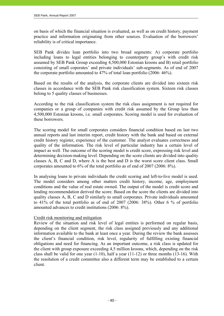on basis of which the financial situation is evaluated, as well as on credit history, payment practice and information originating from other sources. Evaluation of the borrowers' reliability is of critical importance.

SEB Pank divides loan portfolio into two broad segments: A) corporate portfolio including loans to legal entities belonging to counterparty group's with credit risk assumed by SEB Pank Group exceeding 4,500,000 Estonian kroons and B) retail portfolio consisting of small coporates' and private individuals' sub-segments. As of end of 2007 the corporate portfolio amounted to 47% of total loan portfolio (2006: 46%).

Based on the results of the analysis, the corporate clients are divided into sixteen risk classes in accordance with the SEB Pank risk classification system. Sixteen risk classes belong to 5 quality classes of businesses.

According to the risk classification system the risk class assignment is not required for companies or a group of companies with credit risk assumed by the Group less than 4,500,000 Estonian kroons, i.e. small corporates. Scoring model is used for evaluation of these borrowers.

The scoring model for small corporates considers financial condition based on last two annual reports and last interim report, credit history with the bank and based on external credit history register, experience of the customer. The analyst evaluates correctness and quality of the information. The risk level of particular industry has a certain level of impact as well. The outcome of the scoring model is credit score, expressing risk level and determining decision-making level. Depending on the score clients are divided into quality classes A, B, C and D, where A is the best and D is the worst score client class. Small corporates amounted to 6% of the total portfolio as of end of 2007 (2006: 8%).

In analysing loans to private individuals the credit scoring and left-to-live model is used. The model considers among other matters credit history, income, age, employment conditions and the value of real estate owned. The output of the model is credit score and lending recommendation derived the score. Based on the score the clients are divided into quality classes A, B, C and D similarly to small corporates. Private individuals amounted to 41% of the total portfolio as of end of 2007 (2006: 38%). Other 6 % of portfolio amounted advances to credit institutions (2006: 8%).

# Credit risk monitoring and mitigation

Review of the situation and risk level of legal entities is performed on regular basis, depending on the client segment, the risk class assigned previously and any additional information available to the bank at least once a year. During the review the bank assesses the client's financial condition, risk level, regularity of fulfilling existing financial obligations and need for financing. As an important outcome, a risk class is updated for the client with group exposure exceeding 4,5 million kroons, which, depending on the risk class shall be valid for one year (1-10), half a year (11-12) or three months (13-16). With the resolution of a credit committee also a different term may be established to a certain client.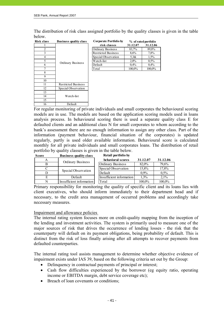The distribution of risk class assigned portfolio by the quality classes is given in the table below. **Corporate Portfolio by** 

| <b>Risk class</b> | <b>Business quality class</b> |
|-------------------|-------------------------------|
|                   |                               |
| 2                 |                               |
| 3                 |                               |
| 4                 |                               |
| 5                 |                               |
| 6                 | Ordinary Business             |
|                   |                               |
| 8                 |                               |
| 9                 |                               |
| 10                |                               |
| 11                | <b>Restricted Business</b>    |
| 12                | Special Observation           |
| 13                |                               |
| 14                | Watch-list                    |
| 15                |                               |
| 16                | Default                       |

| lass | <b>Business quality class</b> | Corporate Portfolio by     |          | % of rated portfolio |
|------|-------------------------------|----------------------------|----------|----------------------|
|      |                               | risk classes               | 31.12.07 | 31.12.06             |
| 2    |                               | <b>Ordinary Business</b>   | 83,7%    | 89,8%                |
|      |                               | <b>Restricted Business</b> | 8.6%     | 7.8%                 |
| 4    |                               | Special Observation        | 5.38x    | 1,5%                 |
| 5    | Ordinary Business             | Watch-list                 | $2.0\%$  | 0.5%                 |
| 6    |                               | Default                    | 0.4%     | 0.4%                 |
|      |                               | Total                      | 100,0%   | 100,0%               |
|      |                               |                            |          |                      |

For regular monitoring of private individuals and small corporates the behavioural scoring models are in use. The models are based on the application scoring models used in loans analysis process. In behavioural scoring there is used a separate quality class E for defaulted clients and an additional class N for small corporates to whom according to the bank's assessment there are no enough information to assign any other class. Part of the information (payment behaviour, financial situation of the corporates) is updated regularly, partly is used older available information. Behavioural score is calculated monthly for all private individuals and small corporates loans. The distribution of retail portfolio by quality classes is given in the table below.

| <b>Score</b> | <b>Business quality class</b> | Retail portfolio by      |          |          |
|--------------|-------------------------------|--------------------------|----------|----------|
|              |                               | behavioral scores        | 31.12.07 | 31.12.06 |
| B            | Ordinary Business             | <b>Ordinary Business</b> | 82.0%    | 79,6%    |
|              |                               | Special Observation      | 15.8%    | 17,8%    |
|              | Special Observation           | Default                  | $0.9\%$  | $0.5\%$  |
| Е            | Default                       | Insufficient information | $1.3\%$  | $2.1\%$  |
| N            | Insufficient information      | Total                    | 100,0%   | 100,0%   |

Primary responsibility for monitoring the quality of specific client and its loans lies with client executives, who should inform immediately to their department head and if necessary, to the credit area management of occurred problems and accordingly take necessary measures.

# Impairment and allowance policies

The internal rating system focuses more on credit-quality mapping from the inception of the lending and investment activities. The system is primarily used to measure one of the major sources of risk that drives the occurrence of lending losses - the risk that the counterparty will default on its payment obligations, being probability of default. This is distinct from the risk of loss finally arising after all attempts to recover payments from defaulted counterparties.

The internal rating tool assists management to determine whether objective evidence of impairment exists under IAS 39, based on the following criteria set out by the Group:

- Delinquency in contractual payments of principal or interest;
- Cash flow difficulties experienced by the borrower (eg equity ratio, operating income or EBITDA margin, debt service coverage etc);
- Breach of loan covenants or conditions;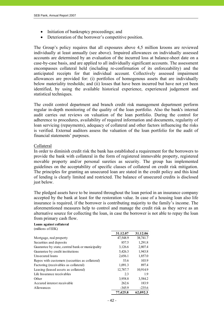- Initiation of bankruptcy proceedings; and
- Deterioration of the borrower's competitive position.

The Group's policy requires that all exposures above 4,5 million kroons are reviewed individually at least annually (see above). Impaired allowances on individually assessed accounts are determined by an evaluation of the incurred loss at balance-sheet date on a case-by-case basis, and are applied to all individually significant accounts. The assessment encompasses collateral held (including re-confirmation of its enforceability) and the anticipated receipts for that individual account. Collectively assessed impairment allowances are provided for: (i) portfolios of homogenous assets that are individually below materiality tresholds; and (ii) losses that have been incurred but have not yet been identified, by using the available historical experience, experienced judgement and statistical techniques.

The credit control department and branch credit risk management department perform regular in-depth monitoring of the quality of the loan portfolio. Also the bank's internal audit carries out reviews on valuation of the loan portfolio. During the control for adherence to procedures, availability of required information and documents, regularity of loan servicing (repayments), adequacy of collateral and other factors influencing the risks is verified. External auditors assess the valuation of the loan portfolio for the audit of financial statements' purposes.

#### Collateral

In order to diminish credit risk the bank has established a requirement for the borrowers to provide the bank with collateral in the form of registered immovable property, registered movable property and/or personal sureties as security. The group has implemented guidelines on the acceptability of specific classes of collateral on credit risk mitigation. The principles for granting an unsecured loan are stated in the credit policy and this kind of lending is clearly limited and restricted. The balance of unsecured credits is disclosed just below.

The pledged assets have to be insured throughout the loan period in an insurance company accepted by the bank at least for the restoration value. In case of a housing loan also life insurance is required, if the borrower is contributing majority to the family's income. The aforementioned measures help to control and manage the credit risk as they serve as an alternative source for collecting the loan, in case the borrower is not able to repay the loan from primary cash flow.

#### **Loans against collateral** (millions of EEK)

|                                                  | 31.12.07 | 31.12.06 |
|--------------------------------------------------|----------|----------|
| Mortgage, real property                          | 47,548.9 | 38,741.7 |
| Securities and deposits                          | 857.5    | 1,291.8  |
| Guarantee by state, central bank or municipality | 3,126.6  | 2,807.4  |
| Guarantee by credit institutions                 | 5,426.3  | 1,943.8  |
| Unsecured loans                                  | 2,656.1  | 1,857.0  |
| Repos with customers (securities as collateral)  | 53.6     | 103.9    |
| Factoring (receivables as collateral)            | 1,091.3  | 897.4    |
| Leasing (leased assets as collateral)            | 12,787.7 | 10,914.9 |
| Life Insurance receivables                       | 2.3      | 1.9      |
| Other                                            | 3,958.8  | 3,584.2  |
| Accured interest receivable                      | 262.6    | 183.9    |
| <b>Allowances</b>                                | $-345.9$ | $-235.6$ |
|                                                  | 77,425.8 | 62.092.3 |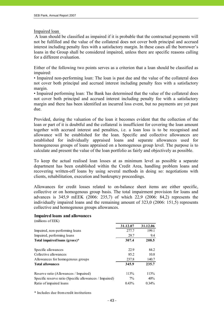# Impaired loan

 A loan should be classified as impaired if it is probable that the contractual payments will not be fulfilled and the value of the collateral does not cover both principal and accrued interest including penalty fees with a satisfactory margin. In these cases all the borrower's loans in the Group shall be considered impaired, unless there are specific reasons calling for a different evaluation.

Either of the following two points serves as a criterion that a loan should be classified as impaired:

• Impaired non-performing loan: The loan is past due and the value of the collateral does not cover both principal and accrued interest including penalty fees with a satisfactory margin.

• Impaired performing loan: The Bank has determined that the value of the collateral does not cover both principal and accrued interest including penalty fee with a satisfactory margin and there has been identified an incurred loss event, but no payments are yet past due.

Provided, during the valuation of the loan it becomes evident that the collection of the loan or part of it is doubtful and the collateral is insufficient for covering the loan amount together with accrued interest and penalties, i.e. a loan loss is to be recognised and allowance will be established for the loan. Specific and collective allowances are established for individually appraised loans and separate allowances used for homogeneous groups of loans appraised on a homogenous group level. The purpose is to calculate and present the value of the loan portfolio as fairly and objectively as possible.

To keep the actual realised loan losses at as minimum level as possible a separate department has been established within the Credit Area, handling problem loans and recovering written-off loans by using several methods in doing so: negotiations with clients, rehabilitation, execution and bankruptcy proceedings.

Allowances for credit losses related to on-balance sheet items are either specific, collective or on homogenous group basis. The total impairment provision for loans and advances is 345,9 mEEK (2006: 235,7) of which 22,9 (2006: 84,2) represents the individually impaired loans and the remaining amount of 323,0 (2006: 151,5) represents collective and homogenous groups allowances.

#### **Impaired loans and allowances**

(millions of EEK) **31.12.07 31.12.06** Impaired, non-performing loans 277.7 199.1 Impaired, performing loans 29.7 9.4 Total impaired loans (gross)\* 307.4 208.5 Specific allowances 22.9 84.2 Collective allowances 85.2 10.8 Allowances for homogenous groups 237.8 140.7 **Total allowances 345.9 235.7** Reserve ratio (Allowances / Impaired) 113% 113% 113% Specific reserve ratio (Specific allowances / Impaired)  $7\%$  40% Ratio of impaired loans  $0.43\%$   $0.34\%$ 

\* Includes due from credit institutions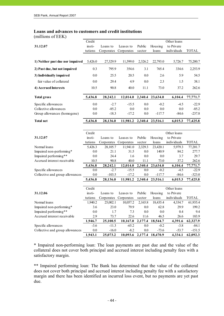# **Loans and advances to customers and credit institutions**

(millions of EEK)

| (THILIDIIS OF LETT)              |                    |                                   |            |                   |                   |                           |          |
|----------------------------------|--------------------|-----------------------------------|------------|-------------------|-------------------|---------------------------|----------|
|                                  | Credit             |                                   |            |                   |                   | Other loans               |          |
| 31.12.07                         | insti-             | Loans to                          | Leases to  | Public            | Housing           | to Private                |          |
|                                  | tutions            | Corporates                        | Corporates | sector            | loans             | individuals               | TOTAL    |
|                                  |                    |                                   |            |                   |                   |                           |          |
| 1) Neither past due nor impaired | 5,426.0            | 27,329.9                          | 11,599.0   | 2,326.2           | 22,793.0          | 5,726.7                   | 75,200.7 |
| 2) Past due, but not impaired    | 0.3                | 795.9                             | 354.6      | 3.1               | 765.4             | 334.6                     | 2,253.9  |
| 3) Individually impaired         | 0.0                | 25.5                              | 20.5       | 0.0               | 2.6               | 5.9                       | 54.5     |
| fair value of collateral         | 0.0                | 29.4                              | 4.9        | 0.0               | 2.3               | 1.5                       | 38.1     |
| 4) Accrued Interests             | 10.5               | 90.8                              | 40.0       | 11.1              | 73.0              | 37.2                      | 262.6    |
| <b>Total gross</b>               | 5,436.8            | 28,242.1                          | 12,014.0   |                   | 2,340.4 23,634.0  | 6,104.4                   | 77,771.7 |
| Specific allowances              | 0.0                | $-2.7$                            | $-15.5$    | 0.0               | $-0.2$            | $-4.5$                    | $-22.9$  |
| Collective allowances            | 0.0                | $-85.2$                           | 0.0        | 0.0               | 0.0               | 0.0                       | $-85.2$  |
| Group allowances (homogene)      | 0.0                | $-18.3$                           | $-17.2$    | 0.0               | $-117.7$          | $-84.6$                   | $-237.8$ |
| <b>Total net</b>                 | 5,436.8            | 28,136.0                          | 11,981.2   |                   | 2,340.4 23,516.1  | 6,015.3                   | 77,425.8 |
|                                  |                    |                                   |            |                   |                   |                           |          |
|                                  |                    |                                   |            |                   |                   |                           |          |
| 31.12.07                         | Credit             |                                   |            |                   |                   | Other loans               |          |
|                                  | insti-             | Loans to                          | Leases to  | Public            | Housing           | to Private<br>individuals | TOTAL    |
| Normal loans                     | tutions<br>5,426.3 | Corporates Corporates<br>28,105.7 | 11,941.0   | sector<br>2,329.3 | loans<br>23,420.1 | 5,979.3                   | 77,201.7 |
| Impaired non-performing*         | 0.0                | 21.1                              | 31.5       | 0.0               | 140.9             | 84.2                      | 277.7    |
| Impaired performing**            | 0.0                | 24.4                              | 1.6        | 0.0               | 0.0               | 3.7                       | 29.7     |
| Accrued interest receivable      | 10.5               | 90.8                              | 40.0       | 11.1              | 73.0              | 37.2                      | 262.6    |
|                                  | 5,436.8            | 28,242.1                          | 12,014.0   | 2,340.4           | 23,634.0          | 6,104.4                   | 77,771.7 |
| Specific allowances              | 0.0                | $-2.7$                            | $-15.5$    | 0.0               | $-0.2$            | $-4.5$                    | $-22.9$  |
| Collective and group allowances  | 0.0                | $-103.5$                          | $-17.2$    | 0.0               | $-117.7$          | $-84.6$                   | $-323.0$ |
|                                  | 5,436.8            | 28,136.0                          | 11,981.2   | 2,340.4           | 23,516.1          | 6,015.3                   | 77,425.8 |
|                                  |                    |                                   |            |                   |                   |                           |          |
|                                  | Credit             |                                   |            |                   |                   | Other loans               |          |
| 31.12.06                         | insti-             | Loans to                          | Leases to  | Public            | Housing           | to Private                |          |
|                                  | tutions            | Corporates                        | Corporates | sector            | loans             | individuals               | TOTAL    |
| Normal loans                     | 1,940.2            | 25,002.1                          | 10,057.2   | 2,165.8           | 18,435.4          | 4,334.7                   | 61,935.4 |
| Impaired non-performing*         | 3.6                | 23.0                              | 79.9       | 0.0               | 62.8              | 29.9                      | 199.2    |
| Impaired performing**            | 0.0                | 1.7                               | 7.3        | 0.0               | 0.0               | 0.4                       | 9.4      |
| Accrued interest receivable      | 2.9                | 73.7                              | 22.6       | 11.6              | 46.5              | 26.6                      | 183.9    |
|                                  | 1,946.7            | 25,100.5                          | 10,167.0   | 2,177.4           | 18,544.7          | 4,391.6                   | 62,327.9 |
| Specific allowances              | $-3.6$             | $-11.3$                           | $-65.2$    | $0.0\,$           | $-0.2$            | $-3.8$                    | $-84.1$  |
| Collective and group allowances  | 0.0                | $-16.0$                           | $-8.2$     | $0.0\,$           | $-73.6$           | $-53.7$                   | $-151.5$ |
|                                  | 1,943.1            | 25,073.2                          | 10,093.6   | 2,177.4           | 18,470.9          | 4,334.1                   | 62,092.3 |

\* Impaired non-performing loan: The loan payments are past due and the value of the collateral does not cover both principal and accrued interest including penalty fees with a satisfactory margin.

\*\* Impaired performing loan: The Bank has determined that the value of the collateral does not cover both principal and accrued interest including penalty fee with a satisfactory margin and there has been identified an incurred loss event, but no payments are yet past due.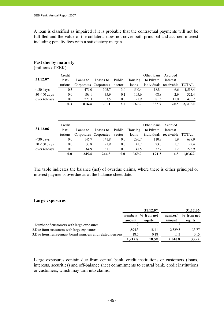A loan is classified as impaired if it is probable that the contractual payments will not be fulfilled and the value of the collateral does not cover both principal and accrued interest including penalty fees with a satisfactory margin.

| 31.12.07       | Credit<br>insti-<br>tutions | Loans to<br>Corporates | Leases to<br>Corporates | Public<br>sector | Housing<br>loans | Other loans<br>to Private<br>individuals | Accrued<br>interest<br>receivable | <b>TOTAL</b> |
|----------------|-----------------------------|------------------------|-------------------------|------------------|------------------|------------------------------------------|-----------------------------------|--------------|
| $\leq$ 30 days | 0.3                         | 479.0                  | 303.7                   | 3.0              | 540.4            | 185.4                                    | 6.6                               | 1,518.4      |
| $30 < 60$ days | 0.0                         | 109.1                  | 35.9                    | 0.1              | 105.6            | 68.8                                     | 2.9                               | 322.4        |
| over 60 days   | 0.0                         | 228.3                  | 33.5                    | 0.0              | 121.9            | 81.5                                     | 11.0                              | 476.2        |
|                | 0.3                         | 816.4                  | 373.1                   | 3.1              | 767.9            | 335.7                                    | 20.5                              | 2,317.0      |
|                |                             |                        |                         |                  |                  |                                          |                                   |              |
|                | Credit                      |                        |                         |                  |                  | Other loans                              | Accrued                           |              |
| 31.12.06       | insti-                      | Loans to               | Leases to               | Public           | Housing          | to Private                               | interest                          |              |
|                | tutions                     | Corporates             | Corporates              | sector           | loans            | individuals                              | receivable                        | <b>TOTAL</b> |
| $\leq$ 30 days | 0.0                         | 146.7                  | 141.8                   | 0.0              | 286.7            | 110.8                                    | 1.9                               | 687.9        |
| $30 < 60$ days | 0.0                         | 33.8                   | 21.9                    | 0.0              | 41.7             | 23.3                                     | 1.7                               | 122.4        |
| over 60 days   | 0.0                         | 64.9                   | 81.1                    | 0.0              | 41.5             | 37.2                                     | 1.2                               | 225.9        |
|                | 0.0                         | 245.4                  | 244.8                   | 0.0              | 369.9            | 171.3                                    | 4.8                               | 1,036.2      |

# **Past due by maturity**

(millions of EEK)

The table indicates the balance (net) of overdue claims, where there is either principal or interest payments overdue as at the balance sheet date.

# **Large exposures**

|                                                          |                   | 31.12.07               |                   | 31.12.06               |
|----------------------------------------------------------|-------------------|------------------------|-------------------|------------------------|
|                                                          | number/<br>amount | $%$ from net<br>equity | number/<br>amount | $%$ from net<br>equity |
| 1. Number of customers with large exposures              |                   |                        |                   |                        |
| 2. Due from customers with large exposures               | 1.894.3           | 18.41                  | 2.529.5           | 33.77                  |
| 3. Due from management board members and related persons | 18.5              | 0.18                   | 11.3              | 0.15                   |
|                                                          | 1.912.8           | 18.59                  | 2,540.8           | 33.92                  |

Large exposures contain due from central bank, credit institutions or customers (loans, interests, securities) and off-balance sheet commitments to central bank, credit institutions or customers, which may turn into claims.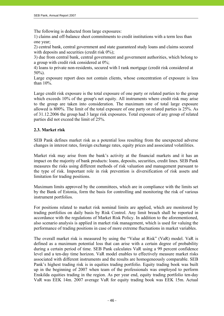The following is deducted from large exposures:

1) claims and off-balance sheet commitments to credit institutions with a term less than one year;

2) central bank, central government and state guaranteed study loans and claims secured with deposits and securities (credit risk  $0\%$ ):

3) due from central bank, central government and government authorities, which belong to a group with credit risk considered at 0%;

4) loans to private non-residents, secured with I rank mortgage (credit risk considered at 50%).

Large exposure report does not contain clients, whose concentration of exposure is less than 10%.

Large credit risk exposure is the total exposure of one party or related parties to the group which exceeds 10% of the group's net equity. All instruments where credit risk may arise to the group are taken into consideration. The maximum rate of total large exposure allowed is 800%. The limit of the total exposure of one party or related parties is 25%. As of 31.12.2006 the group had 3 large risk exposures. Total exposure of any group of related parties did not exceed the limit of 25%.

# **2.3. Market risk**

SEB Pank defines market risk as a potential loss resulting from the unexpected adverse changes in interest rates, foreign exchange rates, equity prices and associated volatilities.

Market risk may arise from the bank's activity at the financial markets and it has an impact on the majority of bank products: loans, deposits, securities, credit lines. SEB Pank measures the risks using different methods of risk valuation and management pursuant to the type of risk. Important role in risk prevention is diversification of risk assets and limitation for trading positions.

Maximum limits approved by the committees, which are in compliance with the limits set by the Bank of Estonia, form the basis for controlling and monitoring the risk of various instrument portfolios.

For positions related to market risk nominal limits are applied, which are monitored by trading portfolios on daily basis by Risk Control. Any limit breach shall be reported in accordance with the regulations of Market Risk Policy. In addition to the aforementioned, also scenario analysis is applied in market risk management, which is used for valuing the performance of trading positions in case of more extreme fluctuations in market variables.

The overall market risk is measured by using the "Value at Risk" (VaR) model. VaR is defined as a maximum potential loss that can arise with a certain degree of probability during a certain period of time. SEB Pank calculates VaR using a 99 percent confidence level and a ten-day time horizon. VaR model enables to effectively measure market risks associated with different instruments and the results are homogeneously comparable. SEB Pank's highest trading risk is in equities trading portfolio. Equity trading book was built up in the beginning of 2007 when team of the professionals was employed to perform Enskilda equities trading in the region. As per year end, equity trading portfolio ten-day VaR was EEK 14m. 2007 average VaR for equity trading book was EEK 15m. Actual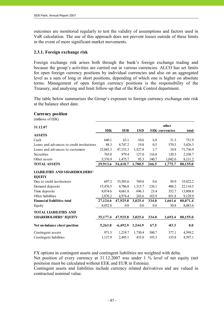outcomes are monitored regularly to test the validity of assumptions and factors used in VaR calculation. The use of this approach does not prevent losses outside of these limits in the event of more significant market movements.

# **2.3.1. Foreign exchange risk**

Foreign exchange risk arises both through the bank's foreign exchange trading and because the group's activities are carried out in various currencies. ALCO has set limits for open foreign currency positions by individual currencies and also on an aggregated level as a sum of long or short positions, depending of which one is higher on absolute terms. Management of open foreign currency positions is the responsibility of the Treasury, and analysing and limit follow-up that of the Risk Control department.

The table below summarises the Group's exposure to foreign currency exchange rate risk at the balance sheet date.

#### **Currency position**

(millions of EEK)

| 31.12.07                                                    |            |            |            |       | other                 |          |  |
|-------------------------------------------------------------|------------|------------|------------|-------|-----------------------|----------|--|
|                                                             | <b>EEK</b> | <b>EUR</b> | <b>USD</b> |       | <b>SEK</b> currencies | total    |  |
| <b>ASSETS</b>                                               |            |            |            |       |                       |          |  |
| Cash                                                        | 640.1      | 63.1       | 10.6       | 6.8   | 31.3                  | 751.9    |  |
| Loans and advances to credit institutions                   | 88.3       | 4,747.2    | 19.8       | 0.5   | 570.5                 | 5,426.3  |  |
| Loans and advances to customers                             | 23,043.3   | 47,153.3   | 1,527.8    | 1.7   | 10.8                  | 71,736.9 |  |
| Securities                                                  | 765.0      | 979.4      | 127.0      | 116.8 | 120.5                 | 2,108.7  |  |
| Other assets                                                | 5,376.9    | 1,475.7    | 95.3       | 140.7 | 1,042.6               | 8,131.2  |  |
| <b>TOTAL ASSETS</b>                                         | 29,913.6   | 54,418.7   | 1,780.5    | 266.5 | 1,775.7               | 88,155.0 |  |
| <b>LIABILITIES AND SHAREHOLDERS'</b><br><b>EQUITY</b>       |            |            |            |       |                       |          |  |
| Due to credit institutions                                  | 697.3      | 33,503.6   | 769.8      | 0.6   | 50.9                  | 35,022.2 |  |
| Demand deposits                                             | 15,476.5   | 4,786.0    | 1,315.7    | 126.1 | 406.2                 | 22,110.5 |  |
| Time deposits                                               | 8,074.6    | 4,661.8    | 696.3      | 23.4  | 352.7                 | 13,808.8 |  |
| Other liabilities                                           | 2,876.2    | 4,974.4    | 243.6      | 183.9 | 851.8                 | 9,129.9  |  |
| <b>Financial liabilities total</b>                          | 27,124.6   | 47,925.8   | 3,025.4    | 334.0 | 1,661.6               | 80,071.4 |  |
| Equity                                                      | 8,052.8    | 0.0        | 0.0        | 0.0   | 30.8                  | 8,083.6  |  |
| <b>TOTAL LIABILITIES AND</b><br><b>SHAREHOLDERS' EQUITY</b> | 35,177.4   | 47,925.8   | 3,025.4    | 334.0 | 1,692.4               | 88,155.0 |  |
|                                                             |            |            |            |       |                       |          |  |
| Net on-balance sheet position                               | 5,263.8    | $-6,492.9$ | 1,244.9    | 67.5  | $-83.3$               | 0.0      |  |
| Contingent assets                                           | 971.3      | 1,219.7    | 1,730.4    | 300.7 | 377.1                 | 4,599.2  |  |
| Contingent liabilities                                      | 1,137.9    | 2,495.1    | 435.0      | 193.3 | 335.8                 | 4,597.1  |  |

FX options in contingent assets and contingent liabilities are weighted with delta.

Net position of every currency at 31.12.2007 was under 1 % level of net equity (net positsion must be calculated without EEK and EUR in Estonia).

Contingent assets and liabilities include currency related derivatives and are valued in contractual nominal value.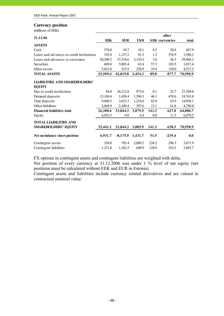#### **Currency position**

(millions of EEK)

|                                                       |          |            |            |       | other                 |          |
|-------------------------------------------------------|----------|------------|------------|-------|-----------------------|----------|
| 31.12.06                                              | EEK      | <b>EUR</b> | <b>USD</b> |       | <b>SEK</b> currencies | total    |
| <b>ASSETS</b>                                         |          |            |            |       |                       |          |
| Cash                                                  | 574.0    | 54.7       | 10.1       | 8.3   | 20.8                  | 667.9    |
| Loans and advances to credit institutions             | 193.4    | 1,127.2    | 41.5       | 1.2   | 576.9                 | 1,940.2  |
| Loans and advances to customers                       | 20,309.2 | 37,518.6   | 2,110.3    | 3.6   | 26.5                  | 59,968.2 |
| Securities                                            | 609.8    | 3,003.4    | 63.4       | 57.3  | 103.5                 | 3,837.4  |
| Other assets                                          | 3,823.0  | 315.9      | 228.9      | 19.4  | 150.0                 | 4,537.2  |
| <b>TOTAL ASSETS</b>                                   | 25,509.4 | 42,019.8   | 2,454.2    | 89.8  | 877.7                 | 70,950.9 |
| <b>LIABILITIES AND SHAREHOLDERS'</b><br><b>EQUITY</b> |          |            |            |       |                       |          |
| Due to credit institutions                            | 84.8     | 26,212.8   | 973.6      | 0.1   | 22.7                  | 27,294.0 |
| Demand deposits                                       | 15,188.4 | 1,658.4    | 1,394.3    | 46.1  | 478.6                 | 18,765.8 |
| Time deposits                                         | 9,046.5  | 3,623.7    | 1,214.0    | 82.0  | 63.9                  | 14,030.1 |
| Other liabilities                                     | 2,068.9  | 2,349.4    | 297.6      | 13.1  | 61.8                  | 4,790.8  |
| <b>Financial liabilities total</b>                    | 26,388.6 | 33,844.3   | 3,879.5    | 141.3 | 627.0                 | 64,880.7 |
| Equity                                                | 6,052.5  | 0.0        | 6.4        | 0.0   | 11.3                  | 6,070.2  |
| <b>TOTAL LIABILITIES AND</b>                          |          |            |            |       |                       |          |
| <b>SHAREHOLDERS' EQUITY</b>                           | 32,441.1 | 33,844.3   | 3,885.9    | 141.3 | 638.3                 | 70,950.9 |
| Net on-balance sheet position                         | 6,931.7  | $-8,175.5$ | 1,431.7    | 51.5  | $-239.4$              | 0.0      |
| Contingent assets                                     | 354.8    | 705.4      | 2,089.2    | 226.2 | 296.3                 | 3,671.9  |
| Contingent liabilities                                | 1,271.8  | 1,382.5    | 649.9      | 128.0 | 253.5                 | 3,685.7  |

FX options in contingent assets and contingent liabilities are weighted with delta.

Net position of every currency at 31.12.2006 was under 1 % level of net equity (net positsion must be calculated without EEK and EUR in Estonia).

Contingent assets and liabilities include currency related derivatives and are valued in contractual nominal value.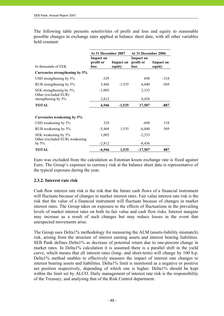The following table presents sensitivities of profit and loss and equity to reasonable possible changes in exchange rates applied at balance sheet date, with all other variables held constant:

|                                                       | At 31 December 2007            |                            | At 31 December 2006                   |                            |  |
|-------------------------------------------------------|--------------------------------|----------------------------|---------------------------------------|----------------------------|--|
| In thousands of EEK                                   | Impact on<br>profit or<br>loss | <b>Impact on</b><br>equity | <b>Impact on</b><br>profit or<br>loss | <b>Impact on</b><br>equity |  |
| Currencies strengthening by 5%                        |                                |                            |                                       |                            |  |
| USD strengthening by 5%                               | $-329$                         |                            | 698                                   | $-318$                     |  |
| RUB strengthening by 5%                               | 5,468                          | $-1,535$                   | 6,040                                 | $-569$                     |  |
| SEK strengthening by 5%<br>Other (excluded EUR)       | $-1,005$                       |                            | 2,333                                 |                            |  |
| strengthening by 5%                                   | 2,812                          |                            | 8,436                                 |                            |  |
| <b>TOTAL</b>                                          | 6,946                          | $-1,535$                   | 17,507                                | $-887$                     |  |
| Currencies weakening by 5%                            |                                |                            |                                       |                            |  |
| USD weakening by 5%                                   | 329                            |                            | $-698$                                | 318                        |  |
| RUB weakening by 5%                                   | $-5,468$                       | 1,535                      | $-6,040$                              | 569                        |  |
| SEK weakening by 5%<br>Other (excluded EUR) weakening | 1,005                          |                            | $-2,333$                              |                            |  |
| by $5\%$                                              | $-2,812$                       |                            | $-8,436$                              |                            |  |
| <b>TOTAL</b>                                          | $-6,946$                       | 1,535                      | $-17,507$                             | 887                        |  |

Euro was excluded from the calculation as Estonian kroon exchange rate is fixed against Euro. The Group's exposure to currency risk at the balance sheet date is representative of the typical exposure during the year.

# **2.3.2. Interest rate risk**

Cash flow interest rate risk is the risk that the future cash flows of a financial instrument will fluctuate because of changes in market interest rates. Fair value interest rate risk is the risk that the value of a financial instrument will fluctuate because of changes in market interest rates. The Group takes on exposure to the effects of fluctuations in the prevailing levels of market interest rates on both its fair value and cash flow risks. Interest margins may increase as a result of such changes but may reduce losses in the event that unexpected movements arise.

The Group uses Delta1% methodology for measuring the ALM (assets-liability mismatch) risk, arising from the structure of interest earning assets and interest bearing liabilities. SEB Pank defines Delta1% as decrease of potential return due to one-percent change in market rates. In Delta1% calculation it is assumed there is a parallel shift in the yield curve, which means that all interest rates (long- and short-term) will change by 100 b.p. Delta1% method enables to effectively measure the impact of interest rate changes to interest bearing assets and liabilities. Delta1% limit is monitored as a negative or positive net position respectively, depending of which one is higher. Delta1% should be kept within the limit set by ALCO. Daily management of interest rate risk is the responsibility of the Treasury, and analysing that of the Risk Control department.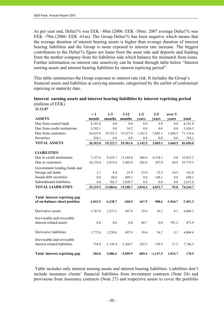As per year end, Delta1% was EEK –88m (2006: EEK -58m). 2007 average Delta1% was EEK -79m (2006: EEK -61m). The Group Delta1% has been negative which means that the average duration of interest bearing assets is higher than average duration of interest bearing liabilities and the Group is more exposed to interest rate increase. The biggest contributors to the Delta1% figure are loans from the asset side and deposits and funding from the mother company from the liabilities side which balance the mismatch from loans. Further information on interest rate sensitivity can be found through table below "Interest earning assets and interest bearing liabilities by interest repricing period".

This table summarises the Group exposure to interest rate risk. It includes the Group's financial assets and liabilities at carrying amounts, categorised by the earlier of contractual repricing or maturity date.

| 91.12.V <i>I</i>             |            |            |            |          |            |            |            |
|------------------------------|------------|------------|------------|----------|------------|------------|------------|
|                              | $\leq 1$   | $1-3$      | $3 - 12$   | $1 - 2$  | $2 - 5$    | over 5     |            |
| <b>ASSETS</b>                | month      | months     | months     | vears    | vears      | vears      | total      |
| Due from central bank        | 4,181.0    | 0.0        | 0.0        | 0.0      | 0.0        | 0.0        | 4,181.0    |
| Due from credit institutions | 5,392.1    | 0.0        | 34.2       | 0.0      | 0.0        | 0.0        | 5,426.3    |
| Due from customers           | 26,435.8   | 19,323.3   | 19,327.4   | 1,142.5  | 3,845.1    | 1,660.5    | 71,734.6   |
| Securities                   | 354.1      | 0.0        | 0.0        | 0.0      | 0.0        | 0.0        | 354.1      |
| <b>TOTAL ASSETS</b>          | 36,363.0   | 19,323.3   | 19,361.6   | 1,142.5  | 3,845.1    | 1,660.5    | 81,696.0   |
| <b>LIABILITIES</b>           |            |            |            |          |            |            |            |
| Due to credit institutions   | 7,157.0    | 9,325.7    | 13,344.8   | 860.6    | 4,334.1    | 0.0        | 35,022.2   |
| Due to customers             | 28,159.4   | 2,919.4    | 3,402.0    | 926.8    | 307.0      | 60.9       | 35,775.5   |
| Government lending funds and |            |            |            |          |            |            |            |
| foreign aid funds            | 3.1        | 6.4        | 23.9       | 23.0     | 52.5       | 34.9       | 143.8      |
| Issued debt securities       | 0.0        | 50.8       | 499.3      | 0.0      | 140.1      | 0.0        | 690.2      |
| Subordinated liabilities     | 0.0        | 782.3      | 1,830.7    | 0.0      | 0.0        | 0.0        | 2,613.0    |
| <b>TOTAL LIABILITIES</b>     | 35,319.5   | 13,084.6   | 19,100.7   | 1,810.4  | 4,833.7    | 95.8       | 74,244.7   |
|                              |            |            |            |          |            |            |            |
| Total interest repricing gap |            |            |            |          |            |            |            |
| of on-balance sheet position | $-1,043.5$ | $-6,238.7$ | $-260.9$   | 667.9    | 988.6      | $-1,564.7$ | $-7,451.3$ |
| Derivative assets            | 1,767.4    | 2,237.1    | 697.8      | 39.6     | 56.2       | 8.1        | 4,806.2    |
| Irrevocable and revocable    |            |            |            |          |            |            |            |
| interest related assets      | 0.0        | 0.0        | 0.0        | 80.7     | 0.0        | 391.2      | 471.9      |
| Derivative liabilities       | 1,772.0    | 2,230.8    | 697.9      | 39.6     | 56.2       | 8.1        | 4,804.6    |
| Irrevocable and revocable    |            |            |            |          |            |            |            |
| interest related liabilities | 754.9      | 1,158.4    | 5,360.7    | 282.2    | 158.9      | 31.2       | 7,746.3    |
| Total interest repricing gap | 284.0      | 5,086.6    | $-5,099.9$ | $-869.4$ | $-1,147.5$ | 1,924.7    | 178.5      |

# **Interest earning assets and interest bearing liabilities by interest repricing period**  (millons of EEK)

**31.12.07** 

 Table includes only interest earning assets and interest bearing liabilities. Liabilities don't include insurance clients' financial liabilities from investment contracts (Note 24) and provisions from insurance contracts (Note 27) and respective assets to cover the portfolio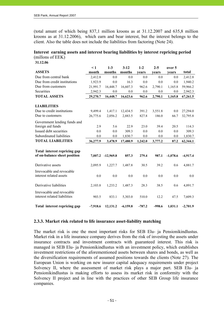(total amunt of which being 837,1 million kroons as at 31.12.2007 and 635,8 million kroons as at 31.12.2006), which earn and bear interest, but the interest belongs to the client. Also the table does not include the liabilities from factoring (Note 24).

# **Interest earning assets and interest bearing liabilities by interest repricing period**  (millons of EEK)

**31.12.06** 

|                                                              | $\leq 1$   | $1 - 3$     | $3 - 12$   | $1 - 2$  | $2 - 5$  | over 5     |            |
|--------------------------------------------------------------|------------|-------------|------------|----------|----------|------------|------------|
| <b>ASSETS</b>                                                | month      | months      | months     | years    | years    | vears      | total      |
| Due from central bank                                        | 2,412.8    | 0.0         | 0.0        | 0.0      | 0.0      | 0.0        | 2,412.8    |
| Due from credit institutions                                 | 1,923.9    | 0.0         | 16.3       | 0.0      | 0.0      | 0.0        | 1,940.2    |
| Due from customers                                           | 21,991.7   | 16,448.7    | 16,607.3   | 962.6    | 2,790.1  | 1,165.8    | 59,966.2   |
| Securities                                                   | 2,942.3    | 0.0         | 0.0        | 0.0      | 0.0      | 0.0        | 2,942.3    |
| <b>TOTAL ASSETS</b>                                          | 29,270.7   | 16,448.7    | 16,623.6   | 962.6    | 2,790.1  | 1,165.8    | 67,261.5   |
| <b>LIABILITIES</b>                                           |            |             |            |          |          |            |            |
| Due to credit institutions                                   | 9,499.4    | 1,417.1     | 12,434.5   | 391.2    | 3,551.8  | 0.0        | 27,294.0   |
| Due to customers                                             | 26,775.6   | 2,056.2     | 2,883.5    | 827.8    | 186.0    | 66.7       | 32,795.8   |
| Government lending funds and<br>foreign aid funds            | 2.9        | 5.6         | 22.9       | 23.0     | 39.4     | 20.5       | 114.3      |
| Issued debt securities                                       | 0.0        | 0.0         | 309.3      | 0.0      | 0.0      | 0.0        | 309.3      |
| Subordinated liabilities                                     | 0.0        | 0.0         | 1,830.7    | 0.0      | 0.0      | 0.0        | 1,830.7    |
| <b>TOTAL LIABILITIES</b>                                     | 36,277.9   | 3,478.9     | 17,480.9   | 1,242.0  | 3,777.2  | 87.2       | 62,344.1   |
|                                                              |            |             |            |          |          |            |            |
| Total interest repricing gap<br>of on-balance sheet position | 7,007.2    | $-12,969.8$ | 857.3      | 279.4    | 987.1    | $-1,078.6$ | $-4,917.4$ |
| Derivative assets                                            | 2,095.9    | 1,227.7     | 1,487.8    | 30.5     | 39.2     | 0.6        | 4,881.7    |
| Irrevocable and revocable<br>interest related assets         | 0.0        | 0.0         | 0.0        | 0.0      | 0.0      | 0.0        | 0.0        |
| Derivative liabilities                                       | 2,103.8    | 1,233.2     | 1,487.3    | 28.3     | 38.5     | 0.6        | 4,891.7    |
| Irrevocable and revocable<br>interest related liabilities    | 903.5      | 833.1       | 5,303.0    | 510.0    | 12.2     | 47.5       | 7,609.3    |
| Total interest repricing gap                                 | $-7,918.6$ | 12,131.2    | $-6,159.8$ | $-787.2$ | $-998.6$ | 1,031.1    | $-2,701.9$ |

# **2.3.3. Market risk related to life insurance asset-liability matching**

The market risk is one the most important risks for SEB Elu- ja Pensionikindlustus. Market risk in a life insurance company derives from the risk of investing the assets under insurance contracts and investment contracts with guaranteed interest. This risk is managed in SEB Elu- ja Pensionikindlustus with an investment policy, which establishes investment restrictions of the aforementioned assets between shares and bonds, as well as the diversification requirements of assumed positions towards the clients (Note 27). The European Union is working on new insurer capital adequacy requirements under project Solvency II, where the assessment of market risk plays a major part. SEB Elu- ja Pensionikindlustus is making efforts to assess its market risk in conformity with the Solvency II project and in line with the practices of other SEB Group life insurance companies.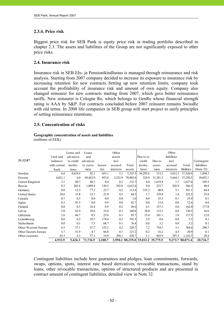# **2.3.4. Price risk**

Biggest price risk for SEB Pank is equity price risk in trading portfolio described in chapter 2.3. The assets and liabilities of the Group are not significantly exposed to other price risks.

# **2.4. Insurance risk**

Insurance risk in SEB Elu- ja Pensionikindlustus is managed through reinsurance and risk analysis. Starting from 2007 company decided to increase its exposure to insurance risk by increasing retention for new contracts. Setting up new retention limits, company took account the profitability of insurance risk and amount of own equity. Company also changed reinsurer for new contracts starting from 2007, which gave better reinsurance tariffs. New reinsurer is Cologne Re, which belongs to GenRe whose financial strength rating is AAA by S&P. For contracts concluded before 2007 reinsurer remains SwissRe with old terms. In 2008 life companies in SEB group will start project to unify principles of setting reinsurance retentions.

# **2.5. Concentration of risks**

# **Geographic concentration of assets and liabilities**

(millions of EEK)

|                      | Cash and     | Loans and<br>advances | Loans<br>and |         | Other<br>assets |          | Due to to                          |          | Other<br>liabilities |                  |             |
|----------------------|--------------|-----------------------|--------------|---------|-----------------|----------|------------------------------------|----------|----------------------|------------------|-------------|
| 31.12.07             | balances     | to credit             | advances     |         | incl.           |          | credit                             | Due to   | incl.                |                  | Contingent  |
|                      | with central | institu-              | to custo-    | Securi- | accrued         | Total    | institu-                           | custo-   | accrued              | Total            | liabilities |
|                      | bank         | tions                 | mers         | ties    | interests       | assets   | tions                              | mers     | interests            | libilities       | (Note 32)   |
| Sweden               | 6.8          | 4,818.4               | 42.1         | 453.1   | 5.1             | 5,325.5  | 34,295.6                           | 213.2    | 3,012.1              | 37,520.9         | 1,894.2     |
| Estonia              | 4,821.1      | 6.0                   | 69,452.0     | 953.8   | 3,252.9         | 78,485.8 | 324.9                              | 31,281.5 | 5,644.1              | 37,250.5         | 18,052.1    |
| United Kingdom       | 3.1          | 80.7                  | 48.3         | 0.4     | 0.2             | 132.7    | 6.0                                | 1,619.9  | 1.7                  | 1,627.6          | 105.5       |
| Russia               | 9.2          | 201.6                 | 1,899.4      | 130.2   | 392.0           | 2,632.4  | 9.9                                | 253.7    | 302.9                | 566.5            | 48.8        |
| Germany              | 0.0          | 12.3                  | 77.2         | 23.7    | 0.2             | 113.4    | 335.2                              | 40.8     | 5.1                  | 381.1            | 64.4        |
| <b>United States</b> | 10.6         | 15.8                  | 33.7         | 23.9    | 0.5             | 84.5     | 1.7                                | 329.8    | 1.0                  | 332.5            | 53.8        |
| Canada               | 0.7          | 0.3                   | 0.0          | 0.0     | $0.0\,$         | 1.0      | $0.0\,$                            | 35.3     | 0.1                  | 35.4             | 0.1         |
| Japan                | 0.3          | 41.5                  | 0.0          | 0.9     | 0.0             | 42.7     | 0.0                                | 12.6     | 0.0                  | 12.6             | 0.0         |
| Finland              | 0.0          | 0.5                   | 16.4         | 8.9     | 0.2             | 26.0     | 4.1                                | 157.1    | 0.8                  | 162.0            | 177.8       |
| Latvia               | 5.0          | 82.9                  | 39.6         | 33.0    | 0.3             | 160.8    | 18.0                               | 112.3    | $0.0\,$              | 130.3            | 16.6        |
| Lithuania            | 2.6          | 66.7                  | 0.5          | 25.8    | 0.1             | 95.7     | 15.4                               | 101.1    | 1.0                  | 117.5            | 12.0        |
| Luxembourg           | 0.0          | 6.2                   | 10.7         | 174.4   | 0.2             | 191.5    | 2.9                                | 0.6      | $0.0\,$              | 3.5              | 0.1         |
| Netherlands          | 0.0          | 0.1                   | 7.5          | 68.7    | 0.1             | 76.4     | 0.0                                | 3.2      | 0.0                  | 3.2              | 0.1         |
| Other Western Europe | 6.5          | 37.1                  | 47.7         | 125.2   | 4.2             | 220.7    | 7.2                                | 754.3    | 3.1                  | 764.6            | 280.7       |
| Other Eastern Europe | 3.7          | 51.9                  | 4.7          | 66.8    | 0.1             | 127.2    | 0.2                                | 16.2     | 4.5                  | 20.9             | 0.1         |
| Other countries      | 63.3         | 4.3                   | 57.1         | 19.9    | 294.1           | 438.7    | 1.1                                | 843.9    | 297.3                | 1,142.3          | 20.4        |
|                      | 4,932.9      | 5,426.3               | 71,736.9     | 2,108.7 |                 |          | 3,950.2 88,155.0 35,022.2 35,775.5 |          |                      | 9,273.7 80,071.4 | 20,726.7    |
|                      |              |                       |              |         |                 |          |                                    |          |                      |                  |             |

Contingent liabilities include here guarantees and pledges, loan commitments, forwards, swaps, options, spots, interest rate based derivatives, revocable transactions, stand by loans, other revocable transactions, options of structured products and are presented in contract amount of contingent liabilities, detailed view in Note 32.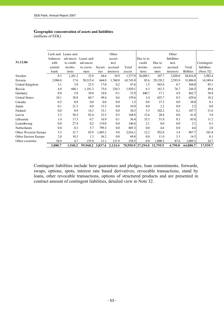# **Geographic concentration of assets and liabilities**

(millions of EEK)

| 31.12.06             | balances<br>with | Cash and Loans and<br>advances<br>to credit | Loans and<br>advances    |         | Other<br>assets<br>incl. |          | Due to to<br>credit        | Due to   | Other<br>liabilities<br>incl. |            |                           |
|----------------------|------------------|---------------------------------------------|--------------------------|---------|--------------------------|----------|----------------------------|----------|-------------------------------|------------|---------------------------|
|                      | central          | institu-                                    | to custo-                | Securi- | accrued                  | Total    | institu-                   | custo-   | accrued                       | Total      | Contingent<br>liabilities |
|                      | bank             | tions                                       | mers                     | ties    | interests                | assets   | tions                      | mers     | interests                     | libilities | (Note 32)                 |
| Sweden               | 8.3              | 1,261.2                                     | 32.9                     | 64.6    | 10.9                     | 1,377.9  | 26,689.1                   | 107.7    | 2,020.0                       | 28,816.8   | 2,983.4                   |
| Estonia              | 2,986.8          | 17.6                                        | 58,315.4                 | 664.0   | 1,760.0                  | 63,743.8 | 85.6                       | 29,128.2 | 2,593.0                       | 31,806.8   | 14,349.4                  |
| United Kingdom       | 3.1              | 3.8                                         | 23.5                     | 17.0    | 0.2                      | 47.6     | 1.5                        | 565.8    | 0.7                           | 568.0      | 85.1                      |
| Russia               | 4.8              | 448.1                                       | 1,181.3                  | 75.6    | 210.3                    | 1,920.1  | 6.3                        | 161.5    | 76.7                          | 244.5      | 49.4                      |
| Germany              | 0.0              | 5.8                                         | 10.0                     | 18.0    | 0.1                      | 33.9     | 440.7                      | 17.1     | 4.9                           | 462.7      | 38.8                      |
| <b>United States</b> | 10.1             | 38.8                                        | 60.7                     | 49.4    | 0.6                      | 159.6    | 3.4                        | 625.7    | 0.5                           | 629.6      | 18.2                      |
| Canada               | 0.5              | 0.8                                         | 0.0                      | 0.0     | 0.0                      | 1.3      | 0.8                        | 37.2     | $0.0\,$                       | 38.0       | 0.1                       |
| Japan                | 0.1              | 21.3                                        | 0.0                      | 13.5    | 0.0                      | 34.9     | $0.0\,$                    | 2.2      | $0.0\,$                       | 2.2        | 0.0                       |
| Finland              | 0.0              | 0.9                                         | 14.3                     | 15.1    | 0.0                      | 30.3     | 5.3                        | 102.2    | 0.2                           | 107.7      | 31.6                      |
| Latvia               | 3.2              | 50.2                                        | 82.4                     | 32.5    | 0.5                      | 168.8    | 12.6                       | 28.4     | $0.0\,$                       | 41.0       | 3.8                       |
| Lithuania            | 1.4              | 17.3                                        | 0.7                      | 16.9    | 0.1                      | 36.4     | 33.5                       | 51.8     | 0.3                           | 85.6       | 11.2                      |
| Luxembourg           | 0.0              | 27.4                                        | 0.2                      | 119.0   | 0.0                      | 146.6    | 2.1                        | 0.0      | $0.0\,$                       | 2.1        | 0.1                       |
| Netherlands          | $0.0\,$          | 0.3                                         | 5.7                      | 799.3   | 0.0                      | 805.3    | $0.0\,$                    | 4.6      | $0.0\,$                       | 4.6        | $2.0\,$                   |
| Other Western Europe | 5.5              | 31.7                                        | 83.9                     | 1,885.2 | 9.8                      | 2,016.1  | 12.3                       | 952.0    | 3.4                           | 967.7      | 341.8                     |
| Other Eastern Europe | 2.0              | 10.3                                        | 1.3                      | 56.2    | 0.0                      | 69.8     | 0.0                        | 11.0     | 3.3                           | 14.3       | 0.1                       |
| Other countries      | 54.9             | 4.7                                         | 155.9                    | 11.1    | 131.9                    | 358.5    | 0.8                        | 1,000.5  | 87.8                          | 1,089.1    | 24.7                      |
|                      | 3,080.7          | 1,940.2                                     | 59,968.2 3,837.4 2,124.4 |         |                          |          | 70,950.9 27,294.0 32,795.9 |          | 4,790.8                       | 64,880.7   | 17,939.7                  |

Contingent liabilities include here guarantees and pledges, loan commitments, forwards, swaps, options, spots, interest rate based derivatives, revocable transactions, stand by loans, other revocable transactions, options of structured products and are presented in contract amount of contingent liabilities, detailed view in Note 32.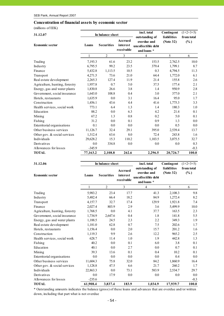#### **Concentration of financial assets by economic sector**

(millions of EEK)

| 31.12.07                       |          | In balance sheet  |                                   | incl. total                                                        | Contingent               | $(1+2+3+5)$          |
|--------------------------------|----------|-------------------|-----------------------------------|--------------------------------------------------------------------|--------------------------|----------------------|
| <b>Economic sector</b>         | Loans    | <b>Securities</b> | Accrued<br>interest<br>receivable | outstanding of<br>overdue and<br>uncollectible debt<br>and loans * | liabilities<br>(Note 32) | from total<br>$(\%)$ |
|                                | 1        | $\overline{2}$    | 3                                 | $\overline{4}$                                                     | 5                        | 6                    |
| Trading                        | 7,193.3  | 61.6              | 23.2                              | 153.5                                                              | 2,762.5                  | 10.0                 |
| Industry                       | 6,795.5  | 99.2              | 23.5                              | 379.4                                                              | 1,799.1                  | 8.7                  |
| Finance                        | 5,432.8  | 1,113.5           | 10.5                              | 0.3                                                                | 4,794.5                  | 11.3                 |
| Transport                      | 4,271.5  | 73.6              | 21.0                              | 64.4                                                               | 1,772.0                  | 6.1                  |
| Real estate development        | 2,265.3  | 127.4             | 11.9                              | 21.4                                                               | 155.8                    | 2.6                  |
| Agriculture, hunting, forestry | 1,957.8  | 0.7               | 5.0                               | 37.5                                                               | 177.4                    | 2.1                  |
| Energy, gas and water plants   | 1,830.8  | 26.6              | 3.8                               | 1.4                                                                | 950.9                    | 2.8                  |
| Government, social insurance   | 1,643.0  | 108.8             | 0.4                               | 3.0                                                                | 377.0                    | 2.1                  |
| Hotels, restaurants            | 1,635.9  | 0.0               | 3.1                               | 16.4                                                               | 95.0                     | 1.7                  |
| Construction                   | 1,456.1  | 43.6              | 4.4                               | 41.6                                                               | 1,775.3                  | 3.3                  |
| Health services, social work   | 773.1    | 6.4               | 1.3                               | 1.4                                                                | 180.3                    | 1.0                  |
| Education                      | 88.2     | 0.0               | 6.3                               | 4.2                                                                | 21.4                     | 0.1                  |
| Mining                         | 67.2     | 1.3               | 0.8                               | 0.2                                                                | 5.0                      | 0.1                  |
| Fishing                        | 31.2     | 0.0               | 0.1                               | 0.9                                                                | 1.3                      | 0.0                  |
| Exterritorial organisations    | 0.1      | 0.0               | 0.0                               | 0.0                                                                | 0.5                      | 0.0                  |
| Other business services        | 11,126.7 | 32.4              | 29.1                              | 395.0                                                              | 2,539.4                  | 13.7                 |
| Other gov. $&$ social services | 1,312.4  | 63.6              | 8.0                               | 72.4                                                               | 243.8                    | 1.6                  |
| Individuals                    | 29,628.2 | 15.3              | 110.2                             | 1,103.5                                                            | 3,075.5                  | 32.7                 |
| Derivatives                    | 0.0      | 334.8             | 0.0                               | 0.0                                                                | 0.0                      | 0.3                  |
| Allowances for losses          | $-345.9$ |                   |                                   |                                                                    |                          | $-0.3$               |
| <b>TOTAL</b>                   | 77,163.2 | 2,108.8           | 262.6                             | 2,296.5                                                            | 20,726.7                 | 100.0                |

| 31.12.06                       |              | In balance sheet  |                                   | incl. total                                                        | Contingent               | $(1+2+3+5)$          |
|--------------------------------|--------------|-------------------|-----------------------------------|--------------------------------------------------------------------|--------------------------|----------------------|
| <b>Economic sector</b>         | Loans        | <b>Securities</b> | Accrued<br>interest<br>receivable | outstanding of<br>overdue and<br>uncollectible debt<br>and loans * | liabilities<br>(Note 32) | from total<br>$(\%)$ |
|                                | $\mathbf{1}$ | $\overline{2}$    | 3                                 | $\overline{4}$                                                     | 5                        | 6                    |
| Trading                        | 5,983.2      | 23.4              | 17.7                              | 41.3                                                               | 2,108.3                  | 9.8                  |
| Industry                       | 5,482.4      | 66.4              | 18.2                              | 84.9                                                               | 1,272.4                  | 8.2                  |
| Transport                      | 4,157.7      | 32.7              | 17.4                              | 129.9                                                              | 1,921.8                  | 7.4                  |
| Finance                        | 2,027.4      | 803.9             | 2.9                               | 3.6                                                                | 5,499.9                  | 10.0                 |
| Agriculture, hunting, forestry | 1,768.5      | 0.0               | 4.1                               | 37.7                                                               | 163.5                    | 2.3                  |
| Government, social insurance   | 1,734.9      | 2,647.6           | 0.4                               | 1.8                                                                | 141.8                    | 5.5                  |
| Energy, gas and water plants   | 1,188.5      | 24.5              | 2.3                               | 2.2                                                                | 349.3                    | 1.9                  |
| Real estate development        | 1,181.0      | 62.8              | 0.7                               | 7.5                                                                | 202.6                    | 1.7                  |
| Hotels, restaurants            | 1,156.4      | 0.0               | 2.0                               | 15.7                                                               | 201.2                    | 1.6                  |
| Construction                   | 1,119.3      | 9.9               | 2.6                               | 12.2                                                               | 965.2                    | 2.5                  |
| Health services, social work   | 628.7        | 11.4              | 1.0                               | 1.9                                                                | 442.8                    | 1.3                  |
| Fishing                        | 40.2         | 0.0               | 0.1                               | 6.0                                                                | 3.8                      | 0.1                  |
| Education                      | 40.1         | 0.0               | 2.7                               | 0.0                                                                | 0.7                      | 0.1                  |
| Mining                         | 39.3         | 13.6              | 0.1                               | 0.4                                                                | 10.2                     | 0.1                  |
| Exterritorial organisations    | 0.0          | 0.0               | 0.0                               | 0.0                                                                | 0.4                      | 0.0                  |
| Other business services        | 11,604.3     | 75.8              | 32.0                              | 84.2                                                               | 1,860.9                  | 16.4                 |
| Other gov. & social services   | 1,128.8      | 47.5              | 6.6                               | 21.7                                                               | 260.2                    | 1.7                  |
| Individuals                    | 22,863.3     | 0.0               | 73.1                              | 583.9                                                              | 2,534.7                  | 29.7                 |
| Derivatives                    | 0.0          | 17.9              | 0.0                               | 0.0                                                                | 0.0                      | 0.0                  |
| Allowances for losses          | $-235.6$     |                   |                                   |                                                                    |                          | $-0.3$               |
| <b>TOTAL</b>                   | 61,908.4     | 3,837.4           | 183.9                             | 1,034.9                                                            | 17,939.7                 | 100.0                |

\* Outstanding amounts indicates the balance (gross) of these loans and advances that are overdue and/or written down, including that part what is not overdue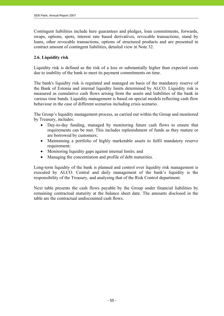Contingent liabilities include here guarantees and pledges, loan commitments, forwards, swaps, options, spots, interest rate based derivatives, revocable transactions, stand by loans, other revocable transactions, options of structured products and are presented in contract amount of contingent liabilities, detailed view in Note 32.

# **2.6. Liquidity risk**

Liquidity risk is defined as the risk of a loss or substantially higher than expected costs due to inability of the bank to meet its payment commitments on time.

The bank's liquidity risk is regulated and managed on basis of the mandatory reserve of the Bank of Estonia and internal liquidity limits determined by ALCO. Liquidity risk is measured as cumulative cash flows arising from the assets and liabilities of the bank in various time bands. Liquidity management is based on special models reflecting cash flow behaviour in the case of different scenarios including crisis scenario.

The Group's liquidity management process, as carried out within the Group and monitored by Treasury, includes:

- Day-to-day funding, managed by monitoring future cash flows to ensure that requirements can be met. This includes replenishment of funds as they mature or are borrowed by customers;
- Maintaining a portfolio of highly marketable assets to fulfil mandatory reserve requirement;
- Monitoring liquidity gaps against internal limits; and
- Managing the concentration and profile of debt maturities.

Long-term liquidity of the bank is planned and control over liquidity risk management is executed by ALCO. Central and daily management of the bank's liquidity is the responsibility of the Treasury, and analysing that of the Risk Control department.

Next table presents the cash flows payable by the Group under financial liabilities by remaining contractual maturity at the balance sheet date. The amounts disclosed in the table are the contractual undiscounted cash flows.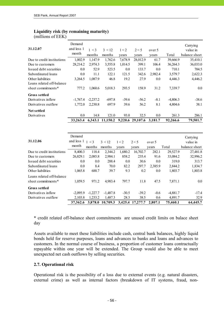# **Liquidity risk (by remaining maturity)**

| (millions of EEK) |  |  |
|-------------------|--|--|
|                   |  |  |

| 31.12.07                   | Demand<br>and less 1 | 1 < 3      | 3 < 12           | 1 < 2   | 2 < 5            | over 5  |            | Carrying<br>value in |
|----------------------------|----------------------|------------|------------------|---------|------------------|---------|------------|----------------------|
|                            | month                | months     | months           | vears   | years            | years   | Total      | balance sheet        |
| Due to credit institutions | 1,002.9              | 1,147.9    | 1,762.6          | 7,678.9 | 28,012.9         | 61.7    | 39,666.9   | 35,410.1             |
| Due to customers           | 28,214.2             | 2,974.3    | 3,555.8          | 1,014.5 | 399.1            | 106.4   | 36,264.3   | 36,033.0             |
| Issued debt securities     | 0.0                  | 52.9       | 523.5            | 0.0     | 133.7            | 0.0     | 710.1      | 704.5                |
| Subordinated loans         | 0.0                  | 11.1       | 122.1            | 121.5   | 342.6            | 2,982.4 | 3,579.7    | 2,622.3              |
| Other liabilities          | 3,264.5              | 1,087.9    | 46.8             | 19.2    | 27.9             | 0.0     | 4,446.3    | 4,446.2              |
| Loans related off-balance  |                      |            |                  |         |                  |         |            |                      |
| sheet commitments*         | 777.2                | 1,060.6    | 5,018.3          | 293.5   | 158.9            | 31.2    | 7,339.7    | $0.0\,$              |
| <b>Gross settled</b>       |                      |            |                  |         |                  |         |            |                      |
| Derivatives inflow         | $-1,767.4$           | $-2,237.2$ | $-697.8$         | $-39.6$ | $-56.2$          | $-8.1$  | $-4,806.3$ | $-38.6$              |
| Derivatives outflow        | 1,772.0              | 2,230.8    | 697.9            | 39.6    | 56.2             | 8.1     | 4,804.6    | 38.1                 |
| <b>Net settled</b>         |                      |            |                  |         |                  |         |            |                      |
| Derivatives                | 0.0                  | 14.8       | 121.0            | 93.0    | 32.5             | 0.0     | 261.3      | 286.1                |
|                            | 33.263.4             |            | 6,343.1 11,150.2 |         | 9,220.6 29,107.6 | 3,181.7 | 92,266.6   | 79,501.7             |

| 31.12.06                                        | Demand<br>and less 1<br>month | 1 < 3<br>months | 3 < 12<br>months | 1 < 2<br>vears | 2 < 5<br>years | over 5<br>vears | Total      | Carrying<br>value in<br>balance sheet |
|-------------------------------------------------|-------------------------------|-----------------|------------------|----------------|----------------|-----------------|------------|---------------------------------------|
| Due to credit institutions                      | 8.400.3                       | 118.4           | 2,344.2          | 1,680.2        | 16,702.7       | 282.1           | 29,527.9   | 27,481.8                              |
| Due to customers                                | 26,829.1                      | 2,085.8         | 2,984.1          | 858.2          | 235.4          | 91.6            | 33,084.2   | 32,996.2                              |
| Issued debt securities                          | 0.0                           | 0.0             | 288.4            | 0.0            | 30.6           | 0.0             | 319.0      | 313.7                                 |
| Subordinated loans                              | 0.0                           | 8.4             | 70.0             | 82.2           | 297.7          | 2,385.9         | 2,844.2    | 1,834.7                               |
| Other liabilities                               | 1,065.8                       | 688.7           | 39.7             | 9.3            | 0.2            | 0.0             | 1,803.7    | 1,803.8                               |
| Loans related off-balance<br>sheet commitments* | 1,059.5                       | 971.2           | 4,983.4          | 797.7          | 11.8           | 47.5            | 7,871.1    | $0.0\,$                               |
| <b>Gross settled</b>                            |                               |                 |                  |                |                |                 |            |                                       |
| Derivatives inflow                              | $-2.095.9$                    | $-1,227.7$      | $-1,487.8$       | $-30.5$        | $-39.2$        | $-0.6$          | $-4,881.7$ | $-17.4$                               |
| Derivatives outflow                             | 2,103.8                       | 1,233.2         | 1,487.3          | 28.3           | 38.5           | 0.6             | 4,891.7    | 32.9                                  |
|                                                 | 37, 362.6                     |                 | 3,878.0 10,709.3 | 3,425.4        | 17,277.7       | 2.807.1         | 75.460.1   | 64,445.7                              |

\* credit related off-balance sheet commitments are unused credit limits on balace sheet day

Assets available to meet these liabilities include cash, central bank balances, highly liquid bonds held for reserve purposes, loans and advances to banks and loans and advances to customers. In the normal course of business, a proportion of customer loans contractually repayable within one year will be extended. The Group would also be able to meet unexpected net cash outflows by selling securities.

# **2.7. Operational risk**

Operational risk is the possibility of a loss due to external events (e.g. natural disasters, external crime) as well as internal factors (breakdown of IT systems, fraud, non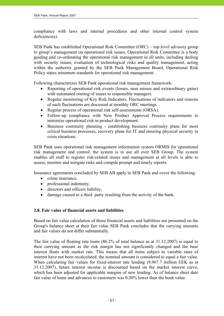compliance with laws and internal procedures and other internal control system deficiencies).

SEB Pank has established Operational Risk Committee (ORC) – top level advisory group to group's management on operational risk issues. Operational Risk Committee is a body guiding and co-ordinating the operational risk management in all units, including dealing with security issues, evaluation of technological risks and quality management, acting within the authority granted by the SEB Pank Management Board. Operational Risk Policy states minimum standards for operational risk management.

Following characterizes SEB Pank operational risk management framework:

- Reporting of operational risk events (losses, near misses and extraordinary gains) with automated routing of issues to responsible managers.
- Regular monitoring of Key Risk Indicators. Fluctuations of indicators and reasons of such fluctuations are discussed at monthly ORC meetings.
- Regular process of operational risk self-assessments (ORSA).
- Follow-up compliance with New Product Approval Process requirements to minimize operational risk in product development.
- Business continuity planning establishing business continuity plans for most critical business processes, recovery plans for IT and insuring physical security in crisis situations.

SEB Pank uses operational risk management information system ORMIS for operational risk management and control, the system is in use all over SEB Group. The system enables all staff to register risk-related issues and management at all levels is able to assess, monitor and mitigate risks and compile prompt and timely reports.

Insurance agreements concluded by SEB AB apply to SEB Pank and cover the following:

- crime insurance,
- professional indemnity,
- directors and officers liability,
- damage caused to a third party resulting from the activity of the bank.

# **2.8. Fair value of financial assets and liabilities**

Based on fair value calculation of those financial assets and liabilities not presented on the Group's balance sheet at their fair value SEB Pank concludes that the carrying amounts and fair values do not differ substantially.

The fair value of floating rate loans (86.2% of total balance as at 31.12.2007) is equal to their carrying amount as the risk margin has not significantly changed and the base interest floats with market rate. This means that all items subject to variable rates of interest have not been recalculated, the nominal amount is considered to equal a fair value. When calculating fair values for fixed-interest rate lending (9,967.7 million EEK as at 31.12.2007), future interest income is discounted based on the market interest curve, which has been adjusted for applicable margins of new lending. As of balance sheet date fair value of loans and advances to customers was 0.20% lower than the book value.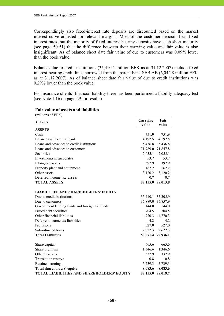Correspondingly also fixed-interest rate deposits are discounted based on the market interest curve adjusted for relevant margins. Most of the customer deposits bear fixed interest rates, but the majority of fixed interest-bearing deposits have such short maturity (see page 50-51) that the difference between their carrying value and fair value is also insignificant. As of balance sheet date fair value of due to customers was 0.09% lower than the book value.

Balances due to credit institutions (35,410.1 million EEK as at 31.12.2007) include fixed interest-bearing credit lines borrowed from the parent bank SEB AB (6,042.8 million EEK as at 31.12.2007). As of balance sheet date fair value of due to credit institutions was 0.29% lower than the book value.

For insurance clients' financial liability there has been performed a liability adequacy test (see Note 1.16 on page 29 for results).

# **Fair value of assets and liabilities**

(millions of EEK) **31.12.07 Carrying value Fair value ASSETS**  Cash 751.9 751.9 Balances with central bank 4,192.5 4,192.5 4,192.5 4,192.5 4,192.5 4,192.5 4,192.5 4,192.5 4,192.5 4,192.5 4,192.5 4,192.5 4,192.5 4,192.5 4,192.5 4,192.5 4,192.5 4,192.5 4,192.5 4,192.5 4,192.5 4,192.5 4,192.5 4,192.5 4,1 Loans and advances to credit institutions 5,436.8 5,436.8 5,436.8 Loans and advances to customers T1,989.0 71,847.8 Securities 2,055.1 2,055.1 Investments in associates 53.7 53.7 53.7 Intangible assets 392.9 392.9 392.9 Property plant and equipment 162.2 162.2 Other assets 3.120.2 3.120.2 Deferred income tax assets 0.7 0.7 0.7 **TOTAL ASSETS 88,155.0 88,013.8 LIABILITIES AND SHAREHOLDERS' EQUITY**  Due to credit institutions 35,410.1 35,305.9 Due to customers 35,889.0 35,857.9 Government lending funds and foreign aid funds 144.0 144.0 144.0 Issued debt securities 704.5 704.5 Other financial liabilities 4,770.3 4,770.3 Deferred income tax liabilities 4.2 4.2 4.2 Provisions 527.0 527.0 Subordinated loans 2,622.3 2,622.3 **Total Liabilities 80,071.4 79,936.1**  Share capital 665.6 665.6 Share premium 1,346.6 1,346.6 Other reserves 332.9 332.9 Translation reserve  $-0.8$  -0.8  $-0.8$ Retained earnings 5,739.3 5,739.3 5,739.3 **Total shareholders' equity 8,083.6 8,083.6 TOTAL LIABILITIES AND SHAREHOLDERS' EQUITY 88,155.0 88,019.7**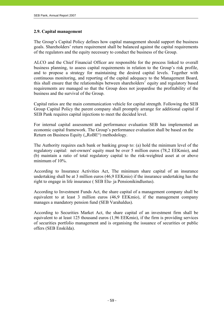# **2.9. Capital management**

The Group's Capital Policy defines how capital management should support the business goals. Shareholders' return requirement shall be balanced against the capital requirements of the regulators and the equity necessary to conduct the business of the Group.

ALCO and the Chief Financial Officer are responsible for the process linked to overall business planning, to assess capital requirements in relation to the Group's risk profile, and to propose a strategy for maintaining the desired capital levels. Together with continuous monitoring, and reporting of the capital adequacy to the Management Board, this shall ensure that the relationships between shareholders' equity and regulatory based requirements are managed so that the Group does not jeopardise the profitability of the business and the survival of the Group.

Capital ratios are the main communication vehicle for capital strength. Following the SEB Group Capital Policy the parent company shall promptly arrange for additional capital if SEB Pank requires capital injections to meet the decided level.

For internal capital assessment and performance evaluation SEB has implemented an economic capital framework. The Group's performance evaluation shall be based on the Return on Business Equity ("RoBE") methodology.

The Authority requires each bank or banking group to: (a) hold the minimum level of the regulatory capital: net-owners' equity must be over 5 million euros (78,2 EEKmio), and (b) maintain a ratio of total regulatory capital to the risk-weighted asset at or above minimum of 10%.

According to Insurance Activities Act, The minimum share capital of an insurance undertaking shall be at 3 million euros (46,9 EEKmio) if the insurance undertaking has the right to engage in life insurance ( SEB Elu- ja Pensionikindlustus).

According to Investment Funds Act, the share capital of a management company shall be equivalent to at least 3 million euros (46,9 EEKmio), if the management company manages a mandatory pension fund (SEB Varahaldus).

According to Securities Market Act, the share capital of an investment firm shall be equivalent to at least 125 thousand euros (1,96 EEKmio), if the firm is providing services of securities portfolio management and is organising the issuance of securities or public offers (SEB Enskilda).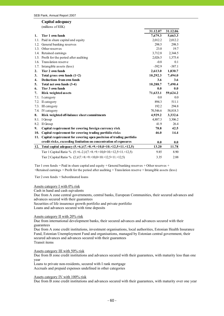#### **Capital adequacy**

(millions of EEK)

|                  |                                                                                            | 31.12.07 | 31.12.06 |
|------------------|--------------------------------------------------------------------------------------------|----------|----------|
| 1.               | Tier 1 own funds                                                                           | 7,679.3  | 5,663.3  |
|                  | 1.1. Paid in share capital and equity                                                      | 2,012.2  | 2,012.2  |
|                  | 1.2. General banking reserves                                                              | 298.5    | 298.5    |
|                  | 1.3. Other reserves                                                                        | 23.0     | 19.7     |
|                  | 1.4. Retained earnings                                                                     | 3,712.8  | 2,344.5  |
|                  | 1.5. Profit for the period after auditing                                                  | 2,026.5  | 1,375.4  |
| 1.6.             | Translation reserve                                                                        | $-0.8$   | 0.1      |
| 1.7.             | Intangible assets (less)                                                                   | $-392.9$ | $-387.1$ |
| $\overline{2}$ . | Tier 2 own funds                                                                           | 2,613.0  | 1,830.7  |
| 3.               | Total gross own funds $(1+2)$                                                              | 10,292.3 | 7,494.0  |
| 4.               | <b>Deductions from own funds</b>                                                           | 3.6      | 3.6      |
| 5.               | Total net own funds (3-4)                                                                  | 10,288.7 | 7,490.4  |
| 6.               | Tier 3 own funds                                                                           | 0.0      | 0.0      |
| 7.               | <b>Risk weighted assets</b>                                                                | 71,633.1 | 59,624.2 |
|                  | 7.1. I category                                                                            | 0.0      | 0.0      |
|                  | 7.2. II category                                                                           | 894.3    | 511.1    |
|                  | 7.3. III category                                                                          | 192.2    | 294.8    |
|                  | 7.4. IV category                                                                           | 70,546.6 | 58,818.3 |
| 8.               | Risk weighted off-balance sheet commitments                                                | 4,929.2  | 3,332.6  |
|                  | 8.1. I Group                                                                               | 4,887.3  | 3,306.2  |
|                  | 8.2. II Group                                                                              | 41.9     | 26.4     |
| 9.               | Capital requirement for covering foreign currency risk                                     | 78.8     | 42.5     |
| 10.              | Capital requirement for covering trading portfolio risks                                   | 46.0     | 14.4     |
|                  | 11. Capital requirement for covering open positsion of trading portfolio                   |          |          |
|                  | credit risks, exceeding limitation on concentration of exposures                           | 0.0      | 0.0      |
| 12.              | Total capital adequacy (5.+6.)/(7.+8.+9.×10,0+10.×12,5+11.×12,5)                           | 13.20    | 11.78    |
|                  | Tier 1 Capital Ratio % $(5.+6,-2)/(7.+8.+9)\times10,0+10\times12,5+11\times12,5)$          | 9.85     | 8.90     |
|                  | Tier 2 Capital Ratio % $(2.)/(7. +8. +9. \times 10.0 + 10. \times 12.5 + 11. \times 12.5)$ | 3.35     | 2.88     |

Tier 1 own funds = Paid in share capital and equity + General banking reserves + Other reserves + +Retained earnings + Profit for the period after auditing + Translation reserve + Intangible assets (less)

Tier 2 own funds = Subordinated loans

Assets category I with 0% risk

Cash in hand and cash eqivalents

Due from A zone central governments, central banks, European Communities, their secured advances and advances secured with their guarantees

Securities of life insurence growth portfolio and private portfolio

Loans and advances secured with time deposits

Assets category II with 20% risk

Due from international development banks, their secured advances and advances secured with their guarantees

Due from A zone credit institutions, investment organisations, local authorities, Estonian Health Insurance Fund, Estonian Unemployment Fund and organisations, managed by Estonian central government, their secured advances and advances secured with their guarantees Transit items

Assets category III with 50% risk

Due from B zone credit institutions and advances secured with their guarantees, with maturity less than one year

Loans to private non-residents, secured with I rank mortgage Accruals and prepaid expenses undefined in other categories

Assets category IV with 100% risk

Due from B zone credit institutions and advances secured with their guarantees, with maturity over one year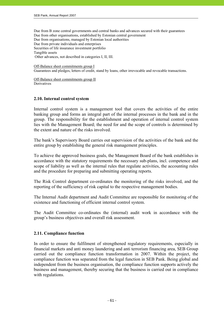Due from B zone central governments and central banks and advances secured with their guarantees Due from other organisations, established by Estonian central government Due from organisations, managed by Estonian local authorities Due from private individuals and enterprises Securities of life insurance investment portfolio Tangible assets Other advances, not described in categories I, II, III.

Off-Balance sheet commitments group I Guarantees and pledges, letters of credit, stand by loans, other irrevocable and revocable transactions.

Off-Balance sheet commitments group II **Derivatives** 

# **2.10. Internal control system**

Internal control system is a management tool that covers the activities of the entire banking group and forms an integral part of the internal processes in the bank and in the group. The responsibility for the establishment and operation of internal control system lies with the Management Board; the need for and the scope of controls is determined by the extent and nature of the risks involved.

The bank's Supervisory Board carries out supervision of the activities of the bank and the entire group by establishing the general risk management principles.

To achieve the approved business goals, the Management Board of the bank establishes in accordance with the statutory requirements the necessary sub-plans, incl. competence and scope of liability as well as the internal rules that regulate activities, the accounting rules and the procedure for preparing and submitting operating reports.

The Risk Control department co-ordinates the monitoring of the risks involved, and the reporting of the sufficiency of risk capital to the respective management bodies.

The Internal Audit department and Audit Committee are responsible for monitoring of the existence and functioning of efficient internal control system.

The Audit Committee co-ordinates the (internal) audit work in accordance with the group's business objectives and overall risk assessment.

# **2.11. Compliance function**

In order to ensure the fulfilment of strengthened regulatory requirements, especially in financial markets and anti money laundering and anti terrorism financing area, SEB Group carried out the compliance function transformation in 2007. Within the project, the compliance function was separated from the legal function in SEB Pank. Being global and independent from the business organisation, the compliance function supports actively the business and management, thereby securing that the business is carried out in compliance with regulations.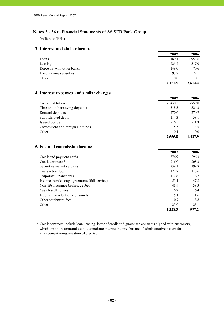# Notes 3 - 36 to Financial Statements of AS SEB Pank Group

(millions of EEK)

#### **3.** Interest and similar income

|                           | 400 I   | ZUUU    |
|---------------------------|---------|---------|
| Loans                     | 3,189.1 | 1,954.6 |
| Leasing                   | 725.7   | 517.0   |
| Deposits with other banks | 149.0   | 70.6    |
| Fixed income securities   | 93.7    | 72.1    |
| Other                     | 0.0     | 0.1     |
|                           | 4,157.5 | 2,614.4 |

**2007 2006**

#### **4. Interest expenses and similar charges**

|                                  | 2007       | 2006       |
|----------------------------------|------------|------------|
| Credit institutions              | $-1,430.3$ | $-759.0$   |
| Time and other saving deposits   | $-518.5$   | $-324.3$   |
| Demand deposits                  | $-470.6$   | $-270.7$   |
| Subordinated debts               | $-114.3$   | $-58.1$    |
| Issued bonds                     | $-16.5$    | $-11.3$    |
| Government and foreign aid funds | $-5.5$     | $-4.5$     |
| Other                            | $-0.1$     | 0.0        |
|                                  | $-2,555.8$ | $-1.427.9$ |

# **5. Fee and commission income**

|                                               | 2007    | 2006  |
|-----------------------------------------------|---------|-------|
| Credit and payment cards                      | 376.9   | 296.3 |
| Credit contracts*                             | 216.0   | 208.3 |
| Securities market services                    | 239.1   | 199.8 |
| Transaction fees                              | 121.7   | 118.6 |
| Corporate Finance fees                        | 112.6   | 6.2   |
| Income from leasing agreements (full service) | 53.1    | 47.8  |
| Non-life insurance brokerage fees             | 43.9    | 38.3  |
| Cash handling fees                            | 16.2    | 16.4  |
| Income from electronic channels               | 15.1    | 11.6  |
| Other settlement fees                         | 10.7    | 8.8   |
| Other                                         | 23.0    | 25.1  |
|                                               | 1.228.3 | 977.2 |

\* Credit contracts include loan, leasing, letter of credit and guarantee contracts signed with customers, which are short-term and do not constitute interest income, but are of administrative nature for arrangement reorganisation of credits.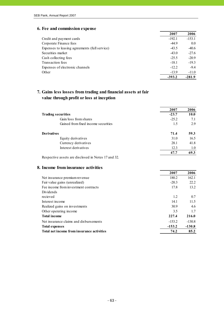# **6. Fee and commission expense**

|                                               | 2007     | 2006     |
|-----------------------------------------------|----------|----------|
| Credit and payment cards                      | $-192.1$ | $-153.1$ |
| Corporate Finance fees                        | $-44.9$  | 0.0      |
| Expenses to leasing agreements (full service) | $-43.5$  | $-40.6$  |
| Securities market                             | $-43.0$  | $-27.6$  |
| Cash collecting fees                          | $-25.5$  | $-20.9$  |
| Transaction fees                              | $-18.1$  | $-19.3$  |
| Expenses of electronic channels               | $-12.2$  | $-9.4$   |
| Other                                         | $-13.9$  | $-11.0$  |
|                                               | $-393.2$ | $-281.9$ |

# **7. Gains less losses from trading and financial assets at fair value through profit or loss at inception**

|                                     | 2007    | 2006 |
|-------------------------------------|---------|------|
| <b>Trading securities</b>           | $-23.7$ | 10.0 |
| Gain/loss from shares               | $-25.2$ | 7.1  |
| Gained from fixed income securities | 1.5     | 2.9  |
| <b>Derivatives</b>                  | 71.4    | 59.3 |
| Equity derivatives                  | 31.0    | 16.5 |
| Currency derivatives                | 28.1    | 41.8 |
| Interest derivatives                | 12.3    | 1.0  |
|                                     | 47.7    | 69.3 |

Respective assets are disclosed in Notes 17 and 32.

# **8.** Income from insurance activities

|                                            | 2007     | 2006     |
|--------------------------------------------|----------|----------|
| Net insurance premium revenue              | 180.2    | 162.1    |
| Fair value gains (unrealized)              | $-20.3$  | 22.2     |
| Fee income from investment contracts       | 17.8     | 13.2     |
| Dividends                                  |          |          |
| recieved                                   | 1.2      | 0.7      |
| Interest income                            | 14.1     | 11.5     |
| Realized gains on investments              | 30.9     | 4.6      |
| Other operating income                     | 3.5      | 1.7      |
| <b>Total income</b>                        | 227.4    | 216.0    |
| Net insurance claims and disbursements     | $-153.2$ | $-130.8$ |
| <b>Total expenses</b>                      | $-153.2$ | $-130.8$ |
| Total net income from insurance activities | 74.2     | 85.2     |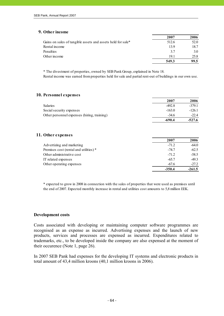# **9.** Other income

|                                                             | 2007  | 2006 |
|-------------------------------------------------------------|-------|------|
| Gains on sales of tangible assets and assets held for sale* | 512.6 | 52.0 |
| Rental income                                               | 139   | 18.7 |
| Penalties                                                   | 3.7   | 3.0  |
| Other income                                                | 191   | 25.8 |
|                                                             | 549.3 | 99.5 |

\* The divestment of properties, owned by SEB Pank Group, explained in Note 18.

Rental income was earned from properties held for sale and partial rent-out of buildings in our own use.

#### **10.** Personnel expenses

|                                             | 2007     | 2006     |
|---------------------------------------------|----------|----------|
| <b>Salaries</b>                             | $-492.8$ | $-379.1$ |
| Social security expenses                    | $-163.0$ | $-126.1$ |
| Other personnel expenses (hiring, training) | $-346$   | $-22.4$  |
|                                             | $-690.4$ | $-527.6$ |

#### 11. Other expenses

|                                        | 2007     | 2006     |
|----------------------------------------|----------|----------|
| Advertizing and marketing              | $-71.2$  | $-64.0$  |
| Premises cost (rental and utilities) * | $-74.7$  | $-62.5$  |
| Other administrative cost              | $-71.2$  | $-58.5$  |
| IT related expenses                    | $-65.7$  | $-49.3$  |
| Other operating expenses               | $-67.6$  | $-27.2$  |
|                                        | $-350.4$ | $-261.5$ |

\* expected to grow in 2008 in connection with the sales of properties that were used as premises until the end of 2007. Expected monthly increase in rental and utilities cost amounts to 5,8 million EEK.

# **Development costs**

Costs associated with developing or maintaining computer software programmes are recognised as an expense as incurred. Advertising expenses and the launch of new products, services and processes are expensed as incurred. Expenditures related to trademarks, etc., to be developed inside the company are also expensed at the moment of their occurence (Note 1, page 26).

In 2007 SEB Pank had expenses for the developing IT systems and electronic products in total amount of 43,4 million kroons (40,1 million kroons in 2006).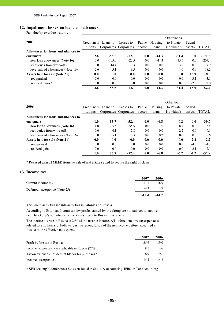#### **12. Impairment losses on loans and advances**

Past due by overdue maturity

|                                      |                        |          |                       |        |         | Other loans |        |          |
|--------------------------------------|------------------------|----------|-----------------------|--------|---------|-------------|--------|----------|
| 2007                                 | Credit insti- Loans to |          | Leases to             | Public | Housing | to Private  | Seized |          |
|                                      | tutions                |          | Corporates Corporates | sector | loans   | individuals | assets | TOTAL    |
| Allowances for loans and advances to |                        |          |                       |        |         |             |        |          |
| <b>customers</b>                     | 2.6                    | $-85.5$  | $-12.7$               | 0.0    | $-44.3$ | $-31.4$     | 0.0    | $-171.3$ |
| new loan allowances (Note 16)        | 0.0                    | $-105.0$ | $-22.5$               | 0.0    | $-44.3$ | $-35.6$     | 0.0    | $-207.4$ |
| recoveries from write-offs           | 0.0                    | 14.4     | 0.3                   | 0.0    | 0.0     | 3.2         | 0.0    | 17.9     |
| reversals of allowances (Note 16)    | 2.6                    | 5.1      | 9.5                   | 0.0    | 0.0     | 1.0         | 0.0    | 18.2     |
| Assets held for sale (Note 21)       | 0.0                    | 0.0      | 0.0                   | 0.0    | 0.0     | 0.0         | 18.9   | 18.9     |
| reappraisal                          | 0.0                    | 0.0      | 0.0                   | 0.0    | 0.0     | 0.0         | $-3.1$ | $-3.1$   |
| realized gains*                      | 0.0                    | 0.0      | 0.0                   | 0.0    | 0.0     | 0.0         | 22.0   | 22.0     |
|                                      | 2.6                    | $-85.5$  | $-12.7$               | 0.0    | $-44.3$ | $-31.4$     | 18.9   | $-152.4$ |

| 2006                                 | Credit insti- Loans to<br>tutions | Corporates Corporates | Leases to | Public<br>sector | Housing<br>loans | Other loans<br>to Private<br>individuals | Seized<br>assets | <b>TOTAL</b> |
|--------------------------------------|-----------------------------------|-----------------------|-----------|------------------|------------------|------------------------------------------|------------------|--------------|
| Allowances for loans and advances to |                                   |                       |           |                  |                  |                                          |                  |              |
| <b>customers</b>                     | 1.0                               | 33.7                  | $-52.4$   | 0.0              | $-6.8$           | $-6.2$                                   | 0.0              | $-30.7$      |
| new loan allowances (Note 16)        | 1.0                               | $-5.5$                | $-55.5$   | 0.0              | $-7.0$           | $-8.4$                                   | 0.0              | $-75.4$      |
| recoveries from write-offs           | 0.0                               | 4.1                   | 2.8       | 0.0              | 0.0              | 2.2                                      | 0.0              | 9.1          |
| reversals of allowances (Note 16)    | 0.0                               | 35.1                  | 0.3       | 0.0              | 0.2              | 0.0                                      | 0.0              | 35.6         |
| Assets held for sale (Note 21)       | 0.0                               | 0.0                   | 0.0       | 0.0              | 0.0              | 0.0                                      | $-2.2$           | $-2.2$       |
| reappraisal                          | 0.0                               | 0.0                   | 0.0       | 0.0              | 0.0              | 0.0                                      | $-4.3$           | $-4.3$       |
| realized gains                       | 0.0                               | 0.0                   | 0.0       | 0.0              | 0.0              | 0.0                                      | 2.1              | 2.1          |
|                                      | 1.0                               | 33.7                  | $-52.4$   | 0.0              | $-6.8$           | $-6.2$                                   | $-2.2$           | $-32.9$      |

\* Realised gain 22 MEEK from the sale of real estate seized to secure the right of claim

#### **13. Income tax**

|                                | 2007   | 2006            |
|--------------------------------|--------|-----------------|
| Current income tax             |        | $-11.1 - 16.9$  |
| Deferred tax expense (Note 25) | $-4.3$ | 2.7             |
|                                |        | $-15.4$ $-14.2$ |

The Group activities include activities in Estonia and Russia.

According to Estonian Income tax law profits earned by the Group are not subject to income tax. The Group's activities in Russia are subject to Russian Income tax.

The income tax rate in Russia is 24% of the taxable income. All deferred income tax expense is related to SEB Leasing. Following is the reconcilation of the net income before tax earned in Russia to the effective tax expense:

|                                                      | 2007 | 2006 |
|------------------------------------------------------|------|------|
| Profit before tax in Russia                          | 35.6 | 19.0 |
| Income tax per tax rate applicable in Russia $(24%)$ | 8.5  | 4.6  |
| Tax on expenses not deductible for tax purposes*     | 6.9  | 9.6  |
| Income tax expense                                   | 15.4 | 14.2 |

\* SEB Leasing´s defferences between Russian Satutory accounting, IFRS an Tax accounting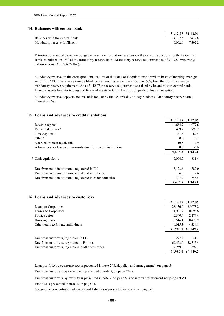#### **14. Balances with central bank**

| Balances with the central bank | 4,192.5 2,412.8 |  |
|--------------------------------|-----------------|--|
| Mandatory reserve fulfillment  | 9,092.6 7,392.2 |  |

| 31.12.07 | 31.12.06 |
|----------|----------|
| 4,192.5  | 2,412.8  |
| 9,092.6  | 7,392.2  |

 $\overline{\phantom{a}}$ 

Estonian commercial banks are obliged to maintain mandatory reserves on their clearing accounts with the Central Bank, calculated on 15% of the mandatory reserve basis. Mandatory reserve requirement as of 31.12.07 was 8970,1 million kroons (31.12.06: 7216,6).

Mandatory reserve on the correspondent account of the Bank of Estonia is monitored on basis of monthly average. As of 01.07.2001 the reserve may be filled with external assets in the amount of 50% from the monthly average mandatory reserve requirement. As at 31.12.07 the reserve requirement was filled by balances with central bank, financial assets held for trading and financial assets at fair value through profit or loss at inception.

Mandatory reserve deposits are available for use by the Group's day-to-day business. Mandatory reserve earns interest at 3%.

#### 15. Loans and advances to credit institutions

|                                                               | 31.12.07 | 31.12.06 |
|---------------------------------------------------------------|----------|----------|
| Reverse repos <sup>*</sup>                                    | 4,684.7  | 1,079.6  |
| Demand deposits*                                              | 409.2    | 796.7    |
| Time deposits                                                 | 331.6    | 62.4     |
| Other*                                                        | 0.8      | 5.1      |
| Accrued interest receivable                                   | 10.5     | 2.9      |
| Allowances for losses on amounts due from credit institutions | 0.0      | $-3.6$   |
|                                                               | 5,436.8  | 1,943.1  |
| * Cash equivalents                                            | 5.094.7  | 1,881.4  |
| Due from credit institutions, registered in EU                | 5,123.6  | 1,382.0  |
| Due from credit institutions, registered in Estonia           | 6.0      | 17.6     |
| Due from credit institutions, registered in other countries   | 307.2    | 543.5    |
|                                                               | 5.436.8  | 1.943.1  |

#### **16. Loans and advances to customers**

|                                                   | 31.12.07 | 31.12.06 |
|---------------------------------------------------|----------|----------|
| Loans to Corporates                               | 28,136.0 | 25,073.2 |
| Leases to Corporates                              | 11,981.2 | 10,093.6 |
| Public sector                                     | 2.340.4  | 2,177.4  |
| Housing loans                                     | 23,516.1 | 18,470.9 |
| Other loans to Private individuals                | 6,015.3  | 4,334.1  |
|                                                   |          |          |
|                                                   | 71,989.0 | 60,149.2 |
|                                                   |          |          |
| Due from customers, registered in EU              | 277.4    | 241.7    |
| Due from customers, registered in Estonia         | 69,452.0 | 58,315.4 |
| Due from customers, registered in other countries | 2,259.6  | 1,592.1  |

Loan portfolio by economic sector presented in note 2 "Risk policy and management", on page 54.

Due from customers by currency is presented in note 2, on page 47-48.

Due from customers by maturity is presented in note 2, on page 56 and interest restatement see pages 50-51.

Past due is presented in note 2, on page 45.

Geographic concentration of assets and liabilities is presented in note 2, on page 52.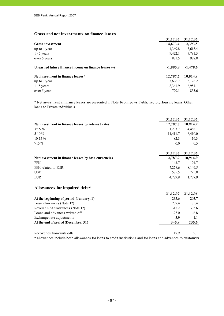#### Gross and net investments on finance leases

|                                                      | 31.12.07   | 31.12.06   |
|------------------------------------------------------|------------|------------|
| Gross investment                                     | 14,673.4   | 12,393.5   |
| up to 1 year                                         | 4,369.8    | 3,613.4    |
| $1 - 5$ years                                        | 9,422.1    | 7,791.3    |
| over 5 years                                         | 881.5      | 988.8      |
| Unearned future finance income on finance leases (-) | $-1,885.8$ | $-1,478.6$ |
| Net investment in finance leases*                    | 12,787.7   | 10,914.9   |
| up to 1 year                                         | 3,696.7    | 3,128.2    |
| $1 - 5$ years                                        | 8,361.9    | 6,951.1    |
| over 5 years                                         | 729.1      | 835.6      |

\* Net investment in finance leases are presented in Note 16 on reows: Public sector, Housing loans, Other loans to Private individuals

|                                                     | 31.12.07 | 31.12.06 |
|-----------------------------------------------------|----------|----------|
| Net investment in finance leases by interest rates  | 12,787.7 | 10,914.9 |
| $\leq$ 5 %                                          | 1,293.7  | 4,488.1  |
| 5-10 $%$                                            | 11,411.7 | 6,410.0  |
| 10-15 $%$                                           | 82.3     | 16.3     |
| $>15\%$                                             | 0.0      | 0.5      |
|                                                     | 31.12.07 | 31.12.06 |
| Net investment in finance leases by base currencies | 12,787.7 | 10,914.9 |
| EEK                                                 | 143.7    | 191.7    |
| EEK related to EUR                                  | 7,278.6  | 8,149.5  |
| <b>USD</b>                                          | 585.5    | 795.8    |
| <b>EUR</b>                                          | 4,779.9  | 1,777.9  |
| Allowances for impaired debt*                       |          |          |
|                                                     | 31 12 07 | 31 12 06 |

|                                         | <u>JI.LA.VI</u> | <u>JI.LA.VV</u> |
|-----------------------------------------|-----------------|-----------------|
| At the beginning of period (January, 1) | 235.6           | 203.7           |
| Loan allowances (Note 12)               | 207.4           | 75.4            |
| Reversals of allowances (Note 12)       | $-18.2$         | $-35.6$         |
| Loans and advances written off          | $-75.0$         | $-6.8$          |
| Exchange rate adjustments               | $-3.9$          | $-1.1$          |
| At the end of period (December, 31)     | 345.9           | 235.6           |
|                                         |                 |                 |
|                                         |                 |                 |

Recoveries from write-offs 17.9 9.1 \* allowances include both allowances for loans to credit institutions and for loans and advances to customers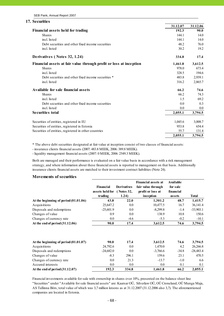|                                                                    | 31.12.07 | 31.12.06 |
|--------------------------------------------------------------------|----------|----------|
| <b>Financial assets held for trading</b>                           | 192.3    | 90.0     |
| <b>Shares</b>                                                      | 144.1    | 14.0     |
| incl. listed                                                       | 144.1    | 14.0     |
| Debt securities and other fixed income securities                  | 48.2     | 76.0     |
| incl. listed                                                       | 30.2     | 19.2     |
| Derivatives (Notes 32, 1.24)                                       | 334.8    | 17.4     |
| Financial assets at fair value through profit or loss at inception | 1,461.8  | 3,612.5  |
| <b>Shares</b>                                                      | 978.0    | 673.4    |
| incl. listed                                                       | 328.5    | 194.6    |
| Debt securities and other fixed income securities *                | 483.8    | 2,939.1  |
| incl. listed                                                       | 316.2    | 2,865.7  |
| Available for sale financial assets                                | 66.2     | 74.6     |
| <b>Shares</b>                                                      | 66.2     | 74.3     |
| incl. listed                                                       | 1.5      | 69.2     |
| Debt securities and other fixed income securities                  | 0.0      | 0.3      |
| incl. listed                                                       | 0.0      | 0.0      |
| <b>Securities total</b>                                            | 2,055.1  | 3,794.5  |
| Securities of entities, registered in EU                           | 1,045.6  | 3,008.7  |
| Securities of entities, registered in Estonia                      | 953.8    | 654.4    |
| Securities of entities, registered in other countries              | 55.7     | 131.4    |
|                                                                    | 2,055.1  | 3,794.5  |

\* The above debt securities designated at fair value at inception consist of two classes of financial assets:

- insurance clients financial assets (2007: 483.8 MEEK, 2006: 389.8 MEEK).

- liquidity management financial assets (2007: 0 MEEK, 2006: 2549.3 MEEK).

Both are managed and their performance is evaluated on a fair value basis in accordance with a risk management strategy, and where information about these financial assets is reported to management on that basis. Additionally insurance clients financial assets are matched to their investment contract liabilities (Note 24).

#### **Movements of securities**

|                                         | Financial<br>assets held for (Notes 32,<br>trading | <b>Derivatives</b><br>1.24) | <b>Financial assets at</b><br>fair value through<br>profit or loss at<br>inception | Available<br>for sale<br>financial<br>assets | <b>Total</b> |
|-----------------------------------------|----------------------------------------------------|-----------------------------|------------------------------------------------------------------------------------|----------------------------------------------|--------------|
| At the beginning of period $(01.01.06)$ | 43.8                                               | 22.0                        | 1,301.2                                                                            | 48.7                                         | 1,415.7      |
| Acquisitions                            | 25,647.2                                           | 0.0                         | 10,477.5                                                                           | 16.7                                         | 36,141.4     |
| Disposals and redemptions               | $-25,601.9$                                        | $0.0\,$                     | $-8,299.8$                                                                         | $-1.4$                                       | $-33,903.1$  |
| Changes of value                        | 0.9                                                | $0.0\,$                     | 138.9                                                                              | 10.8                                         | 150.6        |
| Changes of currency rate                | 0.0                                                | $-4.6$                      | $-5.3$                                                                             | $-0.2$                                       | $-10.1$      |
| At the end of period $(31.12.06)$       | 90.0                                               | 17.4                        | 3,612.5                                                                            | 74.6                                         | 3,794.5      |
| At the beginning of period $(01.01.07)$ | 90.0                                               | 17.4                        | 3,612.5                                                                            | 74.6                                         | 3,794.5      |
| Acquisitions                            | 24,792.6                                           | $0.0\,$                     | 1,470.0                                                                            | 4.2                                          | 26,266.8     |
| Disposals and redemptions               | $-24,682.0$                                        | 0.0                         | $-3,766.6$                                                                         | $-34.8$                                      | $-28,483.4$  |
| Changes of value                        | $-8.3$                                             | 296.1                       | 159.6                                                                              | 23.1                                         | 470.5        |
| Changes of currency rate                | 0.0                                                | 21.3                        | $-13.7$                                                                            | $-1.0$                                       | 6.6          |
| Accured interests                       | 0.0                                                | 0.0                         | $0.0\,$                                                                            | 0.1                                          | 0.1          |
| At the end of period $(31.12.07)$       | 192.3                                              | 334.8                       | 1,461.8                                                                            | 66.2                                         | 2,055.1      |

Financial investments available for sale with ownership in shares over 10%, presented on the balance sheet line "Securities" under "Available for sale financial assets" are: Kaarsar OÜ, Silverlaw OÜ, OÜ Croneland, OÜ Munga Maja, AS Tallinna Börs, total value of which was 3,7 million kroons as at 31.12.2007 (31.12.2006 also 3,7). The aforementioned companies are located in Estonia.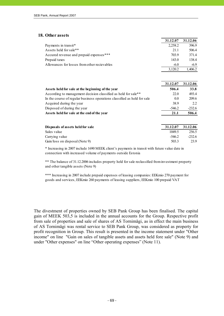#### 18. Other assets

|                                              | 31.12.07 | 31.12.06 |
|----------------------------------------------|----------|----------|
| Payments in transit*                         | 2,258.2  | 396.9    |
| Assets held for sale**                       | 21.1     | 506.4    |
| Accured revenue and prepaid expenses***      | 703.9    | 371.4    |
| Prepaid taxes                                | 143.0    | 138.4    |
| Allowances for losses from other recievables | $-6.0$   | $-6.9$   |
|                                              | 3.120.2  | .406.2   |

|                                                                          | 31.12.07 | 31.12.06 |
|--------------------------------------------------------------------------|----------|----------|
| Assets held for sale at the beginning of the year                        | 506.4    | 33.8     |
| According to management decision classified as held for sale**           | 22.0     | 493.4    |
| In the course of regular business operations classified as held for sale | 0.0      | 209.6    |
| Acquired during the year                                                 | 38.9     | 2.2      |
| Disposed of during the year                                              | $-546.2$ | $-232.6$ |
| Assets held for sale at the end of the year                              | 21.1     | 506.4    |

| Disposals of assets held for sale | 31.12.07 | 31.12.06 |
|-----------------------------------|----------|----------|
| Sales value                       | 1049.5   | 256.5    |
| Carrying value                    | $-546.2$ | $-232.6$ |
| Gain/loss on disposal (Note 9)    | 503.3    | 23.9     |

\* Increasing in 2007 include 1690 MEEK client's payments in transit with future value date in connection with increased volume of payments outside Estonia

\*\* The balance of 31.12.2006 includes property held for sale reclassified from investment property and other tangible assets (Note 9)

\*\*\* Increasing in 2007 include prepaid expenses of leasing companies: EEKmio 270 payment for goods and services, EEKmio 260 payments of leasing suppliers, EEKmio 100 prepaid VAT

The divestment of properties owned by SEB Pank Group has been finalised. The capital gain of MEEK 503,5 is included in the annual accounts for the Group. Respective profit from sale of properties and sale of shares of AS Tornimägi, as in effect the main business of AS Tornimägi was rental service to SEB Pank Group, was considered as property for profit recognition in Group. This result is presented in the income statement under "Other income" on line "Gain on sales of tangible assets and assets held fore sale" (Note 9) and under "Other expenses" on line "Other operating expenses" (Note 11).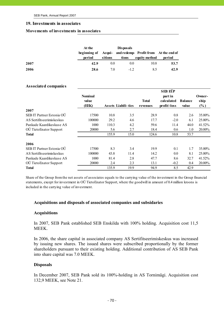#### **19. Investments in associates**

#### **Movements of investments in associates**

|      | At the<br>period | sitions | <b>Disposals</b><br>tions | beginning of Acqui- and redemp-Profit from At the end of<br>equity method | period |
|------|------------------|---------|---------------------------|---------------------------------------------------------------------------|--------|
| 2007 | 42.9             | 0.0     | 0.0                       | 10.8                                                                      | 53.7   |
| 2006 | 28.6             | 70      | $-12$                     | 8.5                                                                       | 42.9   |

#### **Associated companies**

|                              |                |                            |      |              | <b>SEB EUP</b> |                |        |
|------------------------------|----------------|----------------------------|------|--------------|----------------|----------------|--------|
|                              | <b>Nominal</b> |                            |      |              | part in        |                | Owner- |
|                              | value          |                            |      | <b>Total</b> | calculated     | <b>Balance</b> | ship   |
|                              | (EEK)          | <b>Assets Liabili-ties</b> |      | revenues     | profit/-loss   | value          | $(\%)$ |
| 2007                         |                |                            |      |              |                |                |        |
| SEB IT Partner Estonia OÜ    | 17500          | 10.8                       | 3.5  | 28.9         | 0.8            | 2.6            | 35.00% |
| AS Sertifits eerimis kes kus | 100000         | 29.2                       | 4.6  | 17.7         | $-2.0$         | 6.1            | 25.00% |
| Pankade Kaardikeskuse AS     | 1000           | 110.3                      | 4.2  | 59.6         | 11.4           | 44.0           | 41.52% |
| OÜ TietoEnator Support       | 20000          | 5.6                        | 2.7  | 18.4         | 0.6            | 1.0            | 20.00% |
| <b>Total</b>                 |                | 155.9                      | 15.0 | 124.6        | 10.8           | 53.7           |        |
| 2006                         |                |                            |      |              |                |                |        |
| SEB IT Partner Estonia OÜ    | 17500          | 8.3                        | 3.4  | 19.9         | 0.1            | 1.7            | 35.00% |
| AS Sertifits eerimis kes kus | 100000         | 43.8                       | 11.4 | 14.2         | 0.0            | 8.1            | 25.00% |
| Pankade Kaardikeskuse AS     | 1000           | 81.4                       | 2.8  | 47.7         | 8.6            | 32.7           | 41.52% |
| OÜ TietoEnator Support       | 20000          | 2.4                        | 2.3  | 13.1         | $-0.2$         | 0.4            | 20.00% |
| <b>Total</b>                 |                | 135.9                      | 19.9 | 94.9         | 8.5            | 42.9           |        |

Share of the Group from the net assets of associates equals to the carrying value of the investment in the Group financial statements, except for investment in OÜ TietoEnator Support, where the goodwill in amount of 0.4 million kroons is included in the carrying value of investment.

# **Acquisitions and disposals of associated companies and subsidaries**

#### **Acquisitions**

In 2007, SEB Pank established SEB Enskilda with 100% holding. Acquisition cost 11,5 MEEK.

In 2006, the share capital in associated company AS Sertifitseerimiskeskus was increased by issuing new shares. The issued shares were subscribed proportionally by the former shareholders pursuant to their existing holding. Additional contribution of AS SEB Pank into share capital was 7.0 MEEK.

# **Disposals**

In December 2007, SEB Pank sold its 100%-holding in AS Tornimägi. Acquisition cost 132,9 MEEK, see Note 21.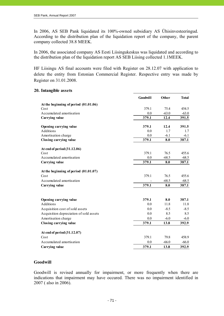In 2006, AS SEB Pank liquidated its 100%-owned subsidiary AS Ühisinvesteeringud. According to the distribution plan of the liquidation report of the company, the parent company collected 38.8 MEEK.

In 2006, the associated company AS Eesti Liisingukeskus was liquidated and according to the distribution plan of the liquidation report AS SEB Liising collected 1.1MEEK.

HF Liisingu AS final accounts were filed with Register on 28.12.07 with application to delete the entity from Estonian Commercial Register. Respective entry was made by Register on 31.01.2008.

# **20. Intangible assets**

|                                         | <b>Goodwill</b> | Other   | <b>Total</b> |
|-----------------------------------------|-----------------|---------|--------------|
| At the beginning of period $(01.01.06)$ |                 |         |              |
| Cost                                    | 379.1           | 75.4    | 454.5        |
| Accumulated amortisation                | 0.0             | $-63.0$ | $-63.0$      |
| <b>Carrying value</b>                   | 379.1           | 12.4    | 391.5        |
| Opening carrying value                  | 379.1           | 12.4    | 391.5        |
| Additions                               | 0.0             | 1.7     | 1.7          |
| Amortisation charge                     | 0.0             | $-6.1$  | $-6.1$       |
| Closing carrying value                  | 379.1           | 8.0     | 387.1        |
| At end of period (31.12.06)             |                 |         |              |
| Cost                                    | 379.1           | 76.5    | 455.6        |
| Accumulated amortisation                | 0.0             | $-68.5$ | $-68.5$      |
| <b>Carrying value</b>                   | 379.1           | 8.0     | 387.1        |
| At the beginning of period (01.01.07)   |                 |         |              |
| Cost                                    | 379.1           | 76.5    | 455.6        |
| Accumulated amortisation                |                 | $-68.5$ | $-68.5$      |
| <b>Carrying value</b>                   | 379.1           | 8.0     | 387.1        |
|                                         |                 |         |              |
| Opening carrying value                  | 379.1           | 8.0     | 387.1        |
| <b>Additions</b>                        | 0.0             | 11.8    | 11.8         |
| Acquisition cost of sold assets         | 0.0             | $-8.5$  | $-8.5$       |
| Acquisition depreciation of sold assets | 0.0             | 8.5     | 8.5          |
| Amortisation charge                     | 0.0             | $-6.0$  | $-6.0$       |
| Closing carrying value                  | 379.1           | 13.8    | 392.9        |
| At end of period (31.12.07)             |                 |         |              |
| Cost                                    | 379.1           | 79.8    | 458.9        |
| Accumulated amortisation                | 0.0             | $-66.0$ | $-66.0$      |
| <b>Carrying value</b>                   | 379.1           | 13.8    | 392.9        |

# **Goodwill**

Goodwill is revised annually for impairment, or more frequently when there are indications that impairment may have occured. There was no impairment identified in 2007 ( also in 2006).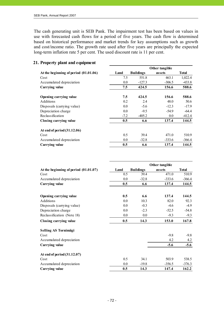The cash generating unit is SEB Pank. The impairment test has been based on values in use with forecasted cash flows for a period of five years. The cash flow is determined based on historical performance and market trends for key assumptions such as growth and cost/income ratio. The growth rate used after five years are principally the expected long-term inflation rate 5 per cent. The used discount rate is 11 per cent.

| At the beginning of period (01.01.06) | Land   | <b>Buildings</b> | assets   | <b>Total</b> |
|---------------------------------------|--------|------------------|----------|--------------|
| Cost                                  | 7.5    | 551.8            | 463.1    | 1,022.4      |
| Accumulated depreciation              | 0.0    | $-127.3$         | $-306.5$ | $-433.8$     |
| Carrying value                        | 7.5    | 424.5            | 156.6    | 588.6        |
| <b>Opening carrying value</b>         | 7.5    | 424.5            | 156.6    | 588.6        |
| Additions                             | 0.2    | 2.4              | 48.0     | 50.6         |
| Disposals (carrying value)            | 0.0    | $-5.6$           | $-12.3$  | $-17.9$      |
| Depreciation charge                   | 0.0    | $-9.5$           | $-54.9$  | $-64.4$      |
| Reclassification                      | $-7.2$ | $-405.2$         | 0.0      | $-412.4$     |
| Closing carrying value                | 0.5    | 6.6              | 137.4    | 144.5        |
| At end of period $(31.12.06)$         |        |                  |          |              |
| Cost                                  | 0.5    | 39.4             | 471.0    | 510.9        |
| Accumulated depreciation              | 0.0    | $-32.8$          | $-333.6$ | $-366.4$     |
| Carrying value                        | 0.5    | 6.6              | 137.4    | 144.5        |

# 21. Property plant and equipment

|                                         |         |                  | Other tangible |              |
|-----------------------------------------|---------|------------------|----------------|--------------|
| At the beginning of period $(01.01.07)$ | Land    | <b>Buildings</b> | assets         | <b>Total</b> |
| Cost                                    | 0.5     | 39.4             | 471.0          | 510.9        |
| Accumulated depreciation                | 0.0     | $-32.8$          | $-333.6$       | $-366.4$     |
| <b>Carrying value</b>                   | 0.5     | 6.6              | 137.4          | 144.5        |
| Opening carrying value                  | 0.5     | 6.6              | 137.4          | 144.5        |
| Additions                               | 0.0     | 10.3             | 82.0           | 92.3         |
| Disposals (carrying value)              | $0.0\,$ | $-0.3$           | $-4.6$         | $-4.9$       |
| Depreciation charge                     | 0.0     | $-2.3$           | $-52.5$        | $-54.8$      |
| Reclassification (Note 18)              | 0.0     | 0.0              | $-9.3$         | $-9.3$       |
| Closing carrying value                  | 0.5     | 14.3             | 153.0          | 167.8        |
| Selling AS Tornimägi                    |         |                  |                |              |
| Cost                                    |         |                  | $-9.8$         | $-9.8$       |
| Accumulated depreciation                |         |                  | 4.2            | 4.2          |
| <b>Carrying value</b>                   |         |                  | $-5.6$         | $-5.6$       |
| At end of period (31.12.07)             |         |                  |                |              |
| Cost                                    | 0.5     | 34.1             | 503.9          | 538.5        |
| Accumulated depreciation                | 0.0     | $-19.8$          | $-356.5$       | $-376.3$     |
| Carrying value                          | 0.5     | 14.3             | 147.4          | 162.2        |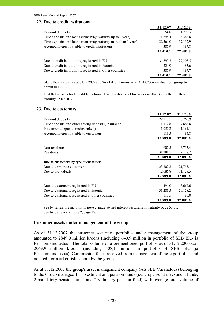## **22. Due to credit institutions**

|                                                               | 31.12.07 | 31.12.06 |
|---------------------------------------------------------------|----------|----------|
| Demand deposits                                               | 554.8    | 1,792.3  |
| Time deposits and loans (remaining maturity up to 1 year)     | 1,898.4  | 8,368.8  |
| Time deposits and loans (remaining maturity more than 1 year) | 32,569.0 | 17,132.9 |
| Accrued interest payable to credit institutions               | 387.9    | 187.8    |
|                                                               | 35,410.1 | 27,481.8 |
| Due to credit institutions, registered in EU                  | 34,697.3 | 27,208.5 |
|                                                               | 324.9    | 85.6     |
| Due to credit institutions, registered in Estonia             |          |          |
| Due to credit institutions, registered in other countries     | 387.9    | 187.7    |
|                                                               | 35,410.1 | 27,481.8 |

34.7 billion kroons as at 31.12.2007 and 26.9 billion kroons as at 31.12.2006 are due from group to parent bank SEB.

In 2007 the bank took credit lines from KFW (Kreditanstalt für Wiederaufbau) 25 million EUR with maturity 15.09.2017.

## **23. Due to customers**

|                                                    | 31.12.07 | 31.12.06 |
|----------------------------------------------------|----------|----------|
| Demand deposits                                    | 22,110.5 | 18,765.9 |
| Time deposits and other saving deposits, insurance | 11,712.8 | 12,868.8 |
| Investment deposits (index-linked)                 | 1,952.2  | 1,161.1  |
| Accrued interest payable to customers              | 113.5    | 85.8     |
|                                                    | 35,889.0 | 32,881.6 |
|                                                    |          |          |
| Non residents                                      | 4,607.5  | 3,753.4  |
| Residents                                          | 31,281.5 | 29,128.2 |
|                                                    | 35,889.0 | 32,881.6 |
| Due to customers by type of customer               |          |          |
| Due to corporate customers                         | 23,202.2 | 21,753.1 |
| Due to individuals                                 | 12,686.8 | 11,128.5 |
|                                                    | 35,889.0 | 32,881.6 |
|                                                    |          |          |
| Due to customers, registered in EU                 | 4,494.0  | 3,667.6  |
| Due to customers, registered in Estonia            | 31,281.5 | 29,128.2 |
| Due to customers, registered in other countries    | 113.5    | 85.8     |
|                                                    | 35,889.0 | 32,881.6 |

See by remaining maturity in note 2, page 56 and interest restatement maturity page 50-51. See by currency in note 2, page 47.

#### **Customer assets under management of the group**

As of 31.12.2007 the customer securities portfolios under management of the group amounted to 2849,0 million kroons (including 640,9 million in portfolio of SEB Elu- ja Pensionikindlustus). The total volume of aforementioned portfolios as of 31.12.2006 was 2069,9 million kroons (including 508,1 million in portfolio of SEB Elu- ja Pensionikindlustus). Commission fee is received from management of these portfolios and no credit or market risk is born by the group.

As at 31.12.2007 the group's asset management company (AS SEB Varahaldus) belonging to the Group managed 11 investment and pension funds (i.e. 7 open-end investment funds, 2 mandatory pension funds and 2 voluntary pension fund) with average total volume of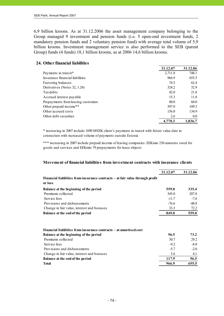6,9 billion kroons. As at 31.12.2006 the asset management company belonging to the Group managed 9 investment and pension funds (i.e. 5 open-end investment funds, 2 mandatory pension funds and 2 voluntary pension fund) with average total volume of 5,9 billion kroons. Investment management service is also performed to the SEB (parent Group) funds (4 funds) 18,1 billion kroons, as at 2006 14,6 billion kroons.

# **24. Other financial liabilities**

|                                    | 31.12.07 | 31.12.06 |
|------------------------------------|----------|----------|
| Payments in transit*               | 2,711.8  | 748.1    |
| Insurance financial liabilities    | 966.9    | 655.5    |
| Factoring balances                 | 74.5     | 62.4     |
| Derivatives (Notes 32, 1.24)       | 324.2    | 32.9     |
| Tax debts                          | 42.0     | 21.8     |
| Accrued interest payable           | 15.3     | 11.8     |
| Prepayments from leasing customers | 80.0     | 60.0     |
| Other prepaid income**             | 397.0    | 109.3    |
| Other accrued costs                | 156.0    | 134.9    |
| Other debt securities              | 2.6      | 0.0      |
|                                    | 4,770.3  | 1,836.7  |

\* increasing in 2007 include 1690 MEEK client's payments in transit with future value date in connection with increased volume of payments outside Estonia

\*\*\* increasing in 2007 include prepaid income of leasing companies: EEKmio 230 amounts owed for goods and services and EEKmio 79 prepayments for lease objects

#### **Movement of financial liabilities from investment contracts with insurance clients**

|                                                                                          | 31.12.07 | 31.12.06 |
|------------------------------------------------------------------------------------------|----------|----------|
| Financial liabilities from insurance contracts - at fair value through profit<br>or loss |          |          |
| Balance at the beginning of the period                                                   | 559.0    | 335.4    |
| Premiums collected                                                                       | 345.0    | 207.8    |
| Service fees                                                                             | $-11.7$  | $-7.6$   |
| Provisions and disbursements                                                             | $-76.6$  | $-48.8$  |
| Change in fair value, interest and bonuses                                               | 33.3     | 72.2     |
| Balance at the end of the period                                                         |          | 559.0    |
|                                                                                          |          |          |
| Financial liabilities from insurance contracts – at amortised cost                       |          |          |
| Balance at the beginning of the period                                                   | 96.5     | 73.2     |
| Premiums collected                                                                       | 30.7     | 29.2     |
| Service fees                                                                             | $-9.2$   | $-8.0$   |
| Provisions and disbursements                                                             | $-5.7$   | $-2.0$   |
| Change in fair value, interest and bonuses                                               | 5.6      | 4.1      |
| Balance at the end of the period                                                         | 117.9    | 96.5     |
| <b>Total</b>                                                                             | 966.9    | 655.5    |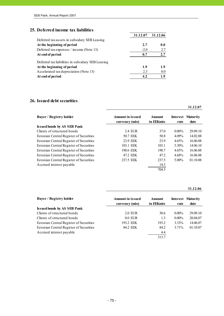# **25. Deferred income tax liabilities**

|                                                   | 31.12.07 | 31.12.06 |
|---------------------------------------------------|----------|----------|
| Deferred tax assets in subsidary SEB Leasing      |          |          |
| At the beginning of period                        | 2.7      | 0.0      |
| Deferred tax expenses / income (Note 13)          | $-2.0$   | 2.7      |
| At end of period                                  | 0.7      | 2.7      |
| Deferred tax liabilities in subsidary SEB Leasing |          |          |
| At the beginning of period                        | 1.9      | 1.9      |
| Accelerated tax depreciation (Note 13)            | 2.3      | 0.0      |
| At end of period                                  | 4.2      | 1.9      |
|                                                   |          |          |

# **26. Issued debt securities**

**31.12.07**

| <b>Buyer / Registry holder</b>          | <b>Amount in issued</b> | <b>Amount</b> |          | <b>Interest Maturity</b> |
|-----------------------------------------|-------------------------|---------------|----------|--------------------------|
|                                         | currency (mio)          | in EEKmio     | rate     | date                     |
| <b>Issued bonds by AS SEB Pank</b>      |                         |               |          |                          |
| Clients of structured bonds             | 2.4 EUR                 | 37.0          | $0.00\%$ | 29.09.10                 |
| Estonian Central Register of Securities | 50.7 EEK                | 50.8          | $4.09\%$ | 14.02.08                 |
| Estonian Central Register of Securities | 23.9 EEK                | 23.9          | 4.65%    | 16.06.08                 |
| Estonian Central Register of Securities | 103.1 EEK               | 103.1         | 5.30%    | 14.06.10                 |
| Estonian Central Register of Securities | 190.6 EEK               | 190.7         | 4.65%    | 16.06.08                 |
| Estonian Central Register of Securities | 47.2 EEK                | 47.2          | 4.68%    | 16.06.08                 |
| Estonian Central Register of Securities | 237.5 EEK               | 237.5         | $5.00\%$ | 01.10.08                 |
| Accrued interest payable                |                         | 14.3          |          |                          |
|                                         |                         | 704.5         |          |                          |

## **31.12.06**

| Buyer / Registry holder                 | <b>Amount in issued</b> | <b>Amount</b> |          | Interest Maturity |
|-----------------------------------------|-------------------------|---------------|----------|-------------------|
|                                         | currency (mio)          | in EEKmio     | rate     | date              |
| <b>Issued bonds by AS SEB Pank</b>      |                         |               |          |                   |
| Clients of structured bonds             | 2.0 EUR                 | 30.6          | $0.00\%$ | 29.09.10          |
| Clients of structured bonds             | $0.0$ EUR               | 1.3           | $0.00\%$ | 20.04.07          |
| Estonian Central Register of Securities | 193.2 EEK               | 193.2         | $3.33\%$ | 14.06.07          |
| Estonian Central Register of Securities | 84.2 EEK                | 84.2          | 3.71%    | 01.10.07          |
| Accrued interest payable                |                         | 4.4           |          |                   |
|                                         |                         | 313.7         |          |                   |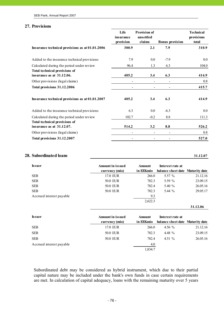# **27. Provisions**

|                                                                   | Life<br>insurance<br>provision | <b>Provision of</b><br>unsettled<br>claims | <b>Bonus</b> provision | <b>Technical</b><br>provisions<br>total |
|-------------------------------------------------------------------|--------------------------------|--------------------------------------------|------------------------|-----------------------------------------|
| Insurance technical provisions as at 01.01.2006                   | 300.9                          | 2.1                                        | 7.9                    | 310.9                                   |
| Added to the insurance technical provisions                       | 7.9                            | $0.0\,$                                    | $-7.9$                 | $0.0\,$                                 |
| Calculated during the period under review                         | 96.4                           | 1.3                                        | 6.3                    | 104.0                                   |
| Total technical provisions of<br>insurance as at 31.12.06.        | 405.2                          | 3.4                                        | 6.3                    | 414.9                                   |
| Other provisions (legal claims)                                   | $\qquad \qquad$                |                                            |                        | $0.8\,$                                 |
| Total provisions 31.12.2006                                       |                                |                                            |                        | 415.7                                   |
| Insurance technical provisions as at 01.01.2007                   | 405.2                          | 3.4                                        | 6.3                    | 414.9                                   |
| Added to the insurance technical provisions                       | 6.3                            | $0.0\,$                                    | $-6.3$                 | $0.0\,$                                 |
| Calculated during the period under review                         | 102.7                          | $-0.2$                                     | 8.8                    | 111.3                                   |
| <b>Total technical provisions of</b><br>insurance as at 31.12.07. | 514.2                          | 3.2                                        | 8.8                    | 526.2                                   |
| Other provisions (legal claims)                                   |                                |                                            |                        | 0.8                                     |
| Total provisions 31.12.2007                                       |                                |                                            |                        | 527.0                                   |

# **28. Subordinated loans 31.12.07**

**31.12.06**

| <b>Issuer</b>            | <b>Amount in issued</b> | <b>Amount</b> | Interest rate at                 |          |
|--------------------------|-------------------------|---------------|----------------------------------|----------|
|                          | currency (mio)          | in EEKmio     | balance sheet date Maturity date |          |
| <b>SEB</b>               | 17.0 EUR                | 266.0         | 5.57 $%$                         | 21.12.16 |
| <b>SEB</b>               | <b>50.0 EUR</b>         | 782.3         | 5.59 %                           | 23.09.15 |
| <b>SEB</b>               | 50.0 EUR                | 782.4         | 5.40 %                           | 26.05.16 |
| <b>SEB</b>               | 50.0 EUR                | 782.3         | 5.44 %                           | 29.05.17 |
| Accrued interest payable |                         | 9.3           |                                  |          |
|                          |                         | 2,622.3       |                                  |          |

| <b>Issuer</b>            | <b>Amount in issued</b><br>currency (mio) | Amount<br>in EEKmio | Interest rate at<br>balance sheet date Maturity date |          |
|--------------------------|-------------------------------------------|---------------------|------------------------------------------------------|----------|
| <b>SEB</b>               | 17.0 EUR                                  | 266.0               | 4.56 $%$                                             | 21.12.16 |
| <b>SEB</b>               | 50.0 EUR                                  | 782.3               | 4.48 $%$                                             | 23.09.15 |
| <b>SEB</b>               | <b>50.0 EUR</b>                           | 782.4               | 4.51 $%$                                             | 26.05.16 |
| Accrued interest payable |                                           | 4.0                 |                                                      |          |
|                          |                                           | 1,834.7             |                                                      |          |

Subordinated debt may be considered as hybrid instrument, which due to their partial capital nature may be included under the bank's own funds in case certain requirements are met. In calculation of capital adequacy, loans with the remaining maturity over 5 years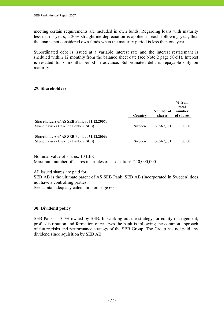meeting certain requirements are included in own funds. Regarding loans with maturity less than 5 years, a 20% straightline depreciation is applied in each following year, thus the loan is not considered own funds when the maturity period is less than one year.

Subordinated debt is issued at a variable interest rate and the interest restatemant is sheduled within 12 monthly from the balance sheet date (see Note 2 page 50-51). Interest is restated for 6 months period in advance. Subordinated debt is repayable only on maturity.

# **29. Shareholders**

|                                                                                   | Country | Number of<br>shares | $%$ from<br>total<br>number<br>of shares |
|-----------------------------------------------------------------------------------|---------|---------------------|------------------------------------------|
| Shareholders of AS SEB Pank at 31.12.2007:<br>Skandinaviska Enskilda Banken (SEB) | Sweden  | 66,562,381          | 100.00                                   |
| Shareholders of AS SEB Pank at 31.12.2006:<br>Skandinaviska Enskilda Banken (SEB) | Sweden  | 66,562,381          | 100.00                                   |

Nominal value of shares: 10 EEK Maximum number of shares in articles of association: 240,000,000

All issued shares are paid for.

SEB AB is the ultimate parent of AS SEB Pank. SEB AB (incorporated in Sweden) does not have a controlling parties.

See capital adequacy calculation on page 60.

# **30. Dividend policy**

SEB Pank is 100%-owned by SEB. In working out the strategy for equity management, profit distribution and formation of reserves the bank is following the common approach of future risks and performance strategy of the SEB Group. The Group has not paid any dividend since aquisition by SEB AB.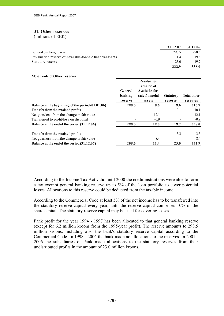# **31. Other reserves**

(millions of EEK)

|                                                            | 31.12.07 | 31.12.06 |
|------------------------------------------------------------|----------|----------|
| General banking reserve                                    | 298.5    | 298.5    |
| Revaluation reserve of Available-for-sale financial assets | 11.4     | 19.8     |
| Statutory reserve                                          | 23.0     | 197      |
|                                                            | 332.9    | 338.0    |

**Movements of Other reserves**

|                                                   | <b>General</b> | <b>Revaluation</b><br>reserve of<br>Available-for- |                  |                    |
|---------------------------------------------------|----------------|----------------------------------------------------|------------------|--------------------|
|                                                   | banking        | sale financial                                     | <b>Statutory</b> | <b>Total other</b> |
|                                                   | reserve        | assets                                             | reserve          | reserves           |
| Balance at the beginning of the period (01.01.06) | 298.5          | 8.6                                                | 9.6              | 316.7              |
| Transfer from the retained profits                |                |                                                    | 10.1             | 10.1               |
| Net gain/loss from the change in fair value       |                | 12.1                                               |                  | 12.1               |
| Transferred to profit/loss on disposal            |                | $-0.9$                                             |                  | $-0.9$             |
| Balance at the end of the period (31.12.06)       | 298.5          | 19.8                                               | 19.7             | 338.0              |
| Transfer from the retained profits                |                |                                                    | 3.3              | 3.3                |
| Net gain/loss from the change in fair value       |                | $-8.4$                                             |                  | $-8.4$             |
| Balance at the end of the period (31.12.07)       | 298.5          | 11.4                                               | 23.0             | 332.9              |

According to the Income Tax Act valid until 2000 the credit institutions were able to form a tax exempt general banking reserve up to 5% of the loan portfolio to cover potential losses. Allocations to this reserve could be deducted from the taxable income.

According to the Commercial Code at least 5% of the net income has to be transferred into the statutory reserve capital every year, until the reserve capital comprises 10% of the share capital. The statutory reserve capital may be used for covering losses.

Pank profit for the year 1994 - 1997 has been allocated to that general banking reserve (except for 6.2 million kroons from the 1995-year profit). The reserve amounts to 298.5 million kroons, including also the bank's statutory reserve capital according to the Commercial Code. In 1998 - 2006 the bank made no allocations to the reserves. In 2001 - 2006 the subsidiaries of Pank made allocations to the statutory reserves from their undistributed profits in the amount of 23.0 million kroons.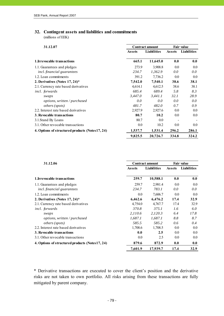# **32. Contingent assets and liabilities and commitments**

(millions of EEK)

| 31.12.07                                         | <b>Contract amount</b> |                    |               | <b>Fair value</b>  |  |  |
|--------------------------------------------------|------------------------|--------------------|---------------|--------------------|--|--|
|                                                  | Assets                 | <b>Liabilities</b> | <b>Assets</b> | <b>Liabilities</b> |  |  |
| 1. Irrevocable transactions                      | 665.1                  | 11,645.0           | 0.0           | 0.0                |  |  |
| 1.1. Guarantees and pledges                      | 273.9                  | 3,908.8            | 0.0           | 0.0                |  |  |
| incl. financial guarantees                       | 234.7                  | 1,362.9            | 0.0           | 0.0 <sub>1</sub>   |  |  |
| 1.2. Loan commitments                            | 391.2                  | 7,736.2            | 0.0           | $0.0\,$            |  |  |
| 2. Derivatives (Notes 17, 24)*                   | 7,542.0                | 7,540.1            | 38.6          | 38.1               |  |  |
| 2.1. Currency rate based derivatives             | 4,614.1                | 4,612.5            | 38.6          | 38.1               |  |  |
| incl. forwards                                   | 685.4                  | 689.4              | 5.8           | 8.3                |  |  |
| swaps                                            | 3,447.0                | 3,441.1            | 32.1          | 28.9               |  |  |
| options, written / purchased                     | 0.0                    | 0.0                | 0.0           | 0.0                |  |  |
| <i>others</i> ( <i>spots</i> )                   | 481.7                  | 482.0              | 0.7           | 0.9                |  |  |
| 2.2. Interest rate based derivatives             | 2,927.9                | 2,927.6            | 0.0           | 0.0                |  |  |
| 3. Revocable transactions                        | 80.7                   | 10.2               | 0.0           | 0.0                |  |  |
| 3.1.Stand By Loans                               | 80.7                   | 0.0                |               |                    |  |  |
| 3.1. Other revocable transactions                | 0.0                    | 10.2               | 0.0           | 0.0                |  |  |
| 4. Options of structured products (Notes 17, 24) | 1,537.7                | 1,531.4            | 296.2         | 286.1              |  |  |
|                                                  | 9,825.5                | 20,726.7           | 334.8         | 324.2              |  |  |

| 31.12.06                                         |               | <b>Contract amount</b> | <b>Fair value</b> |                    |
|--------------------------------------------------|---------------|------------------------|-------------------|--------------------|
|                                                  | <b>Assets</b> | <b>Liabilities</b>     | <b>Assets</b>     | <b>Liabilities</b> |
| 1. Irrevocable transactions                      | 259.7         | 10,588.1               | 0.0               | 0.0                |
| 1.1. Guarantees and pledges                      | 259.7         | 2,981.4                | 0.0               | 0.0                |
| <i>incl.</i> financial guarantees                | 234.7         | 783.1                  | 0.0               | 0.0                |
| 1.2. Loan commitments                            | 0.0           | 7,606.7                | 0.0               | 0.0                |
| 2. Derivatives (Notes $17, 24$ )*                | 6,462.6       | 6,476.2                | 17.4              | 32.9               |
| 2.1. Currency rate based derivatives             | 4,754.0       | 4,767.7                | 17.4              | 32.9               |
| incl. forwards                                   | 370.8         | 375.1                  | 1.6               | 6.0                |
| swaps                                            | 2,110.6       | 2,120.3                | 6.4               | 17.8               |
| options, written / purchased                     | 1,687.1       | 1.687.1                | 8.8               | 8.7                |
| <i>others</i> ( <i>spots</i> )                   | 585.5         | 585.2                  | 0.6               | 0.4                |
| 2.2. Interest rate based derivatives             | 1,708.6       | 1,708.5                | 0.0               | 0.0                |
| 3. Revocable transactions                        | 0.0           | 2.5                    | 0.0               | 0.0                |
| 3.1. Other revocable transactions                | 0.0           | 2.5                    | 0.0               | 0.0                |
| 4. Options of structured products (Notes 17, 24) | 879.6         | 872.9                  | 0.0               | 0.0                |
|                                                  | 7,601.9       | 17,939.7               | 17.4              | 32.9               |

\* Derivative transactions are executed to cover the client's position and the derivative risks are not taken to own portfolio. All risks arising from these transactions are fully mitigated by parent company.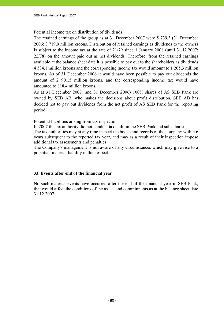# Potential income tax on distribution of dividends

The retained earnings of the group as at 31 December 2007 were 5 739,3 (31 December 2006: 3 719,9 million kroons. Distribution of retained earnings as dividends to the owners is subject to the income tax at the rate of 21/79 since 1 January 2008 (until 31.12.2007: 22/78) on the amount paid out as net dividends. Therefore, from the retained earnings available at the balance sheet date it is possible to pay out to the shareholders as dividends 4 534,1 million kroons and the corresponding income tax would amount to 1 205,3 million kroons. As of 31 December 2006 it would have been possible to pay out dividends the amount of 2 901,5 million kroons, and the corresponding income tax would have amounted to 818,4 million kroons.

As at 31 December 2007 (and 31 December 2006) 100% shares of AS SEB Pank are owned by SEB AB, who makes the decisions about profit distribution. SEB AB has decided not to pay out dividends from the net profit of AS SEB Pank for the reporting period.

Potential liabilities arising from tax inspection

In 2007 the tax authority did not conduct tax audit in the SEB Pank and subsidiaries.

The tax authorities may at any time inspect the books and records of the company within 6 years subsequent to the reported tax year, and may as a result of their inspection impose additional tax assessments and penalties.

The Company's management is not aware of any circumstances which may give rise to a potential material liability in this respect.

# **33. Events after end of the financial year**

No such material events have occurred after the end of the financial year in SEB Pank, that would affect the conditions of the assets and commitments as at the balance sheet date 31.12.2007.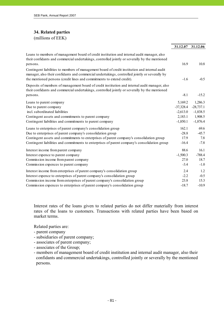# **34. Related parties**  (millions of EEK)

|                                                                                                                                                                                                                                                                            | 31.12.07    | 31.12.06    |
|----------------------------------------------------------------------------------------------------------------------------------------------------------------------------------------------------------------------------------------------------------------------------|-------------|-------------|
| Loans to members of management board of credit institution and internal audit manager, also<br>their confidants and commercial undertakings, controlled jointly or severally by the mentioned                                                                              |             |             |
| persons.                                                                                                                                                                                                                                                                   | 16.9        | 10.8        |
| Contingent liabilities to members of management board of credit institution and internal audit<br>manager, also their confidants and commercial undertakings, controlled jointly or severally by<br>the mentioned persons (credit lines and commitments to extend credit). | $-1.6$      | $-0.5$      |
| Deposits of members of management board of credit institution and internal audit manager, also<br>their confidants and commercial undertakings, controlled jointly or severally by the mentioned<br>persons.                                                               | $-8.1$      | $-15.2$     |
|                                                                                                                                                                                                                                                                            |             |             |
| Loans to parent company                                                                                                                                                                                                                                                    | 5,169.2     | 1,286.3     |
| Due to parent company                                                                                                                                                                                                                                                      | $-37,328.4$ | $-28,737.1$ |
| incl. subordinated liabilities                                                                                                                                                                                                                                             | $-2,613.0$  | $-1,838.5$  |
| Contingent assets and commitments to parent company                                                                                                                                                                                                                        | 2,183.1     | 1,908.5     |
| Contingent liabilities and commitments to parent company                                                                                                                                                                                                                   | $-1,850.1$  | $-1,876.4$  |
| Loans to enterprises of parent company's consolidation group                                                                                                                                                                                                               | 162.1       | 69.6        |
| Due to enterprises of parent company's consolidation group                                                                                                                                                                                                                 | $-28.8$     | $-45.7$     |
| Contingent assets and commitments to enterprises of parent company's consolidation group                                                                                                                                                                                   | 17.9        | 7.8         |
| Contingent liabilities and commitments to enterprises of parent company's consolidation group                                                                                                                                                                              | $-16.4$     | $-7.8$      |
| Interest income from parent company                                                                                                                                                                                                                                        | 88.6        | 16.1        |
| Interest expence to parent company                                                                                                                                                                                                                                         | $-1,500.3$  | $-788.4$    |
| Commission income from parent company                                                                                                                                                                                                                                      | 27.0        | 18.7        |
| Commission expences to parent company                                                                                                                                                                                                                                      | $-3.4$      | $-1.0$      |
| Interest income from enterprises of parent company's consolidation group                                                                                                                                                                                                   | 2.4         | 1.2         |
| Interest expence to enterprises of parent company's consolidation group                                                                                                                                                                                                    | $-2.2$      | $-0.5$      |
| Commission income from enterprises of parent company's consolidation group                                                                                                                                                                                                 | 23.8        | 15.3        |
| Commission expences to enterprises of parent company's consolidation group                                                                                                                                                                                                 | $-18.7$     | $-10.9$     |

Interest rates of the loans given to related parties do not differ materially from interest rates of the loans to customers. Transactions with related parties have been based on market terms.

Related parties are:

- parent company
- subsidiaries of parent company;
- associates of parent company;
- associates of the Group;
- members of management board of credit institution and internal audit manager, also their confidants and commercial undertakings, controlled jointly or severally by the mentioned persons.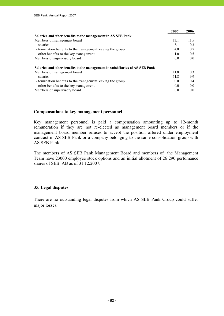|                                                                              | 2007 | 2006 |
|------------------------------------------------------------------------------|------|------|
| Salaries and other benefits to the management in AS SEB Pank                 |      |      |
| Members of management board                                                  | 13.1 | 11.5 |
| - salaries                                                                   | 8.1  | 10.3 |
| - termination benefits to the management leaving the group                   | 4.0  | 0.7  |
| - other benefits to the key management                                       | 1.0  | 0.5  |
| Members of supervisory board                                                 | 0.0  | 0.0  |
| Salaries and other benefits to the management in subsidiaries of AS SEB Pank |      |      |
| Members of management board                                                  | 11.8 | 10.3 |
| - salaries                                                                   | 11.8 | 9.9  |
| - termination benefits to the management leaving the group                   | 0.0  | 0.4  |
| - other benefits to the key management                                       | 0.0  | 0.0  |
| Members of supervisory board                                                 | 0.0  | 0.0  |

#### **Compensations to key management personnel**

Key management personnel is paid a compensation amounting up to 12-month remuneration if they are not re-elected as management board members or if the management board member refuses to accept the position offered under employment contract in AS SEB Pank or a company belonging to the same consolidation group with AS SEB Pank.

The members of AS SEB Pank Management Board and members of the Management Team have 23000 employee stock options and an initial allotment of 26 290 perfomance shares of SEB AB as of 31.12.2007.

# **35. Legal disputes**

There are no outstanding legal disputes from which AS SEB Pank Group could suffer major losses.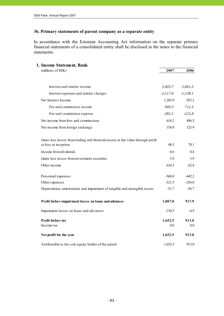# **36. Primary statements of parent company as a separate entity**

In accordance with the Estonian Accounting Act information on the separate primary financial statements of a consolidated entity shall be disclosed in the notes to the financial statements.

| 1. Income Statement, Bank                                                                                |            |            |
|----------------------------------------------------------------------------------------------------------|------------|------------|
| (millions of EEK)                                                                                        | 2007       | 2006       |
|                                                                                                          |            |            |
| Interest and similar income                                                                              | 3,403.7    | 2,061.3    |
| Interest expenses and similar charges                                                                    | $-2,117.8$ | $-1,138.1$ |
| Net Interest Income                                                                                      | 1,285.9    | 923.2      |
| Fee and commission income                                                                                | 900.3      | 712.3      |
| Fee and commission expense                                                                               | $-282.1$   | $-225.8$   |
| Net income from fees and commissions                                                                     | 618.2      | 486.5      |
| Net income from foreign exchange                                                                         | 154.8      | 123.9      |
| Gains less losses from trading and financial assets at fair value through profit<br>or loss at inception | 48.5       | 70.1       |
| Income from dividends                                                                                    | 0.6        | 0.4        |
| Gains less losses from investment securities                                                             | 5.9        | 3.9        |
| Other income                                                                                             | 634.3      | 62.8       |
|                                                                                                          |            |            |
| Personnel expenses                                                                                       | $-568.0$   | $-442.2$   |
| Other expenses                                                                                           | $-321.5$   | $-254.0$   |
| Depreciation, amortization and impairment of tangible and intangible assets                              | $-51.7$    | $-56.7$    |
| Profit before impairment losses on loans and advances                                                    | 1,807.0    | 917.9      |
| Impairment losses on loans and advances                                                                  | $-154.5$   | $-4.9$     |
| Profit before tax                                                                                        | 1,652.5    | 913.0      |
| Income tax                                                                                               | 0.0        | $0.0\,$    |
| Net profit for the year                                                                                  | 1,652.5    | 913.0      |
| Attributable to the sole equity holder of the parent                                                     | 1,652.5    | 913.0      |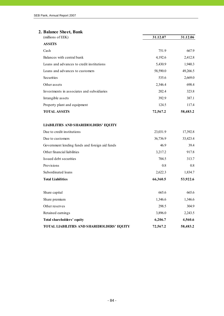| 2. Balance Sheet, Bank<br>(millions of EEK)    | 31.12.07 | 31.12.06 |
|------------------------------------------------|----------|----------|
| <b>ASSETS</b>                                  |          |          |
| Cash                                           | 751.9    | 667.9    |
| Balances with central bank                     | 4,192.6  | 2,412.8  |
| Loans and advances to credit institutions      | 5,430.9  | 1,940.3  |
| Loans and advances to customers                | 58,590.0 | 49,266.5 |
| Securities                                     | 535.6    | 2,669.0  |
| Other assets                                   | 2,346.4  | 698.4    |
| Investments in associates and subsidiaries     | 202.4    | 323.8    |
| Intangible assets                              | 392.9    | 387.1    |
| Property plant and equipment                   | 124.5    | 117.4    |
| <b>TOTAL ASSETS</b>                            | 72,567.2 | 58,483.2 |
| <b>LIABILITIES AND SHAREHOLDERS' EQUITY</b>    |          |          |
| Due to credit institutions                     | 23,031.9 | 17,392.8 |
| Due to customers                               | 36,736.9 | 33,423.4 |
| Government lending funds and foreign aid funds | 46.9     | 39.4     |
| Other financial liabilities                    | 3,217.2  | 917.8    |
| Issued debt securities                         | 704.5    | 313.7    |
| Provisions                                     | 0.8      | 0.8      |
| Subordinated loans                             | 2,622.3  | 1,834.7  |
| <b>Total Liabilities</b>                       | 66,360.5 | 53,922.6 |
| Share capital                                  | 665.6    | 665.6    |
| Share premium                                  | 1,346.6  | 1,346.6  |
| Other reserves                                 | 298.5    | 304.9    |
| Retained earnings                              | 3,896.0  | 2,243.5  |
| Total shareholders' equity                     | 6,206.7  | 4,560.6  |
| TOTAL LIABILITIES AND SHAREHOLDERS' EQUITY     | 72,567.2 | 58,483.2 |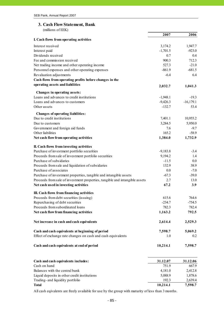# **3. Cash Flow Statement, Bank**

(millions of EEK)

| $\mu$                                                                       |            |             |
|-----------------------------------------------------------------------------|------------|-------------|
|                                                                             | 2007       | 2006        |
| I. Cash flows from operating activities                                     |            |             |
| Interest received                                                           | 3,174.2    | 1,947.7     |
| Interest paid                                                               | $-1,701.5$ | $-923.0$    |
| Dividends received                                                          | 0.7        | 0.4         |
| Fee and commission received                                                 | 900.3      | 712.3       |
| Net trading income and other operating income                               | 527.3      | $-21.0$     |
| Personnel expenses and other operating expenses                             | $-861.9$   | $-681.5$    |
| Revaluation adjustments                                                     | $-6.4$     | 6.4         |
| Cash flows from operating profits before changes in the                     |            |             |
| operating assets and liabilities                                            | 2,032.7    | 1,041.3     |
| Changes in operating assets:                                                |            |             |
| Loans and advances to credit institutions                                   | $-1,948.1$ | $-19.3$     |
| Loans and advances to customers                                             | $-9,426.3$ | $-16,179.1$ |
| Other assets                                                                | $-132.7$   | 53.4        |
| <b>Changes of operating liabilities:</b>                                    |            |             |
| Due to credit institutions                                                  | 7,401.1    | 10,955.2    |
| Due to customers                                                            | 3,284.5    | 5,950.0     |
| Government and foreign aid funds                                            | 7.6        | $-9.7$      |
| Other liabilities                                                           | 165.2      | $-58.9$     |
| Net cash flow from operating activities                                     | 1,384.0    | 1,732.9     |
|                                                                             |            |             |
| II. Cash flows from investing activities                                    |            |             |
| Purchase of investment portfolio securities                                 | $-9,183.8$ | $-3.4$      |
| Proceeds from sale of investment portfolio securities                       | 9,194.2    | 1.4         |
| Purchase of subsidaries                                                     | $-11.5$    | 0.0         |
| Proceeds from sale and liquidation of subsidaries                           | 132.9      | 38.9        |
| Purchase of associates                                                      | 0.0        | $-7.0$      |
| Purchase of investment properties, tangible and intangible assets           | $-67.3$    | $-39.0$     |
| Proceeds from sale of investment properties, tangible and intangible assets | 2.7        | 13.0        |
| Net cash used in investing activities                                       | 67.2       | 3.9         |
| III. Cash flows from financing activities                                   |            |             |
| Proceeds from debt securities (issuing)                                     | 615.6      | 764.6       |
| Repurchasing of debt securities                                             | $-234.7$   | $-754.5$    |
| Proceeds from subordinated loans                                            | 782.3      | 782.4       |
| Net cash flow from financing activities                                     | 1,163.2    | 792.5       |
| Net increase in cash and cash equivalents                                   | 2,614.4    | 2,529.3     |
|                                                                             |            |             |
| Cash and cash equivalents at beginning of period                            | 7,598.7    | 5,069.2     |
| Effect of exchange rate changes on cash and cash equivalents                | 1.0        | 0.2         |
| Cash and cash equivalents at end of period                                  | 10,214.1   | 7,598.7     |
|                                                                             |            |             |
| Cash and cash equivalents includes:                                         | 31.12.07   | 31.12.06    |
| Cash on hand                                                                | 751.9      | 667.9       |
| Balances with the central bank                                              | 4,181.0    | 2,412.8     |
| Liquid deposits in other credit institutions                                | 5,088.9    | 1,878.6     |
| Trading- and liquidity portfolio                                            | 192.3      | 2,639.4     |
| <b>Total</b>                                                                | 10,214.1   | 7,598.7     |
|                                                                             |            |             |

All cash eqivalents are freely available for use by the group with maturity of less than 3 months.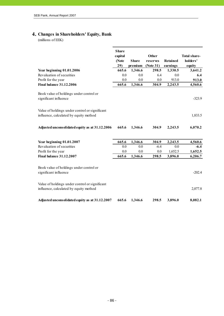# **4. Changes in Shareholders' Equity, Bank**

(millions of EEK)

|                                                                                          | <b>Share</b><br>capital<br>(Note<br>29) | <b>Share</b><br>premium | Other<br>reserves<br>(Note 31) | <b>Retained</b><br>earnings | Total share-<br>holders'<br>equity |
|------------------------------------------------------------------------------------------|-----------------------------------------|-------------------------|--------------------------------|-----------------------------|------------------------------------|
| Year beginning 01.01.2006                                                                | 665.6                                   | 1,346.6                 | 298.5                          | 1,330.5                     | 3,641.2                            |
| Revaluation of securities                                                                | 0.0                                     | 0.0                     | 6.4                            | 0.0                         | 6.4                                |
| Profit for the year                                                                      | 0.0                                     | 0.0                     | 0.0                            | 913.0                       | 913.0                              |
| <b>Final balance 31.12.2006</b>                                                          | 665.6                                   | 1,346.6                 | 304.9                          | 2,243.5                     | 4,560.6                            |
| Book value of holdings under control or<br>significant influence                         |                                         |                         |                                |                             | $-323.9$                           |
| Value of holdings under control or significant<br>influence, calculated by equity method |                                         |                         |                                |                             | 1,833.5                            |
| Adjusted unconsolidated equity as at 31.12.2006                                          | 665.6                                   | 1,346.6                 | 304.9                          | 2,243.5                     | 6,070.2                            |
| Year beginning 01.01.2007                                                                | 665.6                                   | 1,346.6                 | 304.9                          | 2,243.5                     | 4,560.6                            |
| Revaluation of securities                                                                | 0.0                                     | 0.0                     | $-6.4$                         | 0.0                         | $-6.4$                             |
| Profit for the year                                                                      | 0.0                                     | 0.0                     | 0.0                            | 1,652.5                     | 1,652.5                            |
| <b>Final balance 31.12.2007</b>                                                          | 665.6                                   | 1,346.6                 | 298.5                          | 3,896.0                     | 6,206.7                            |
| Book value of holdings under control or<br>significant influence                         |                                         |                         |                                |                             | $-202.4$                           |
| Value of holdings under control or significant<br>influence, calculated by equity method |                                         |                         |                                |                             | 2,077.8                            |
| Adjusted unconsolidated equity as at 31.12.2007                                          | 665.6                                   | 1,346.6                 | 298.5                          | 3,896.0                     | 8,082.1                            |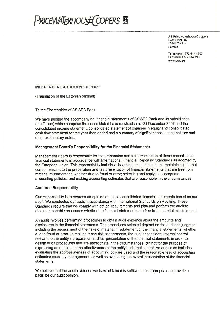# **PRICEWATERHOUSE COPERS**

**AS PricewaterhouseCoopers** Pärnu mnt. 15 10141 Tallinn Estonia

Telephone +372 614 1800 Facsimile +372 614 1900 www.pwc.ee

#### **INDEPENDENT AUDITOR'S REPORT**

(Translation of the Estonian original)\*

To the Shareholder of AS SEB Pank

We have audited the accompanying financial statements of AS SEB Pank and its subsidiaries (the Group) which comprise the consolidated balance sheet as of 31 December 2007 and the consolidated income statement, consolidated statement of changes in equity and consolidated cash flow statement for the year then ended and a summary of significant accounting policies and other explanatory notes.

#### Management Board's Responsibility for the Financial Statements

Management Board is responsible for the preparation and fair presentation of these consolidated financial statements in accordance with International Financial Reporting Standards as adopted by the European Union. This responsibility includes: designing, implementing and maintaining internal control relevant to the preparation and fair presentation of financial statements that are free from material misstatement, whether due to fraud or error; selecting and applying appropriate accounting policies; and making accounting estimates that are reasonable in the circumstances.

#### **Auditor's Responsibility**

Our responsibility is to express an opinion on these consolidated financial statements based on our audit. We conducted our audit in accordance with International Standards on Auditing. Those Standards require that we comply with ethical requirements and plan and perform the audit to obtain reasonable assurance whether the financial statements are free from material misstatement.

An audit involves performing procedures to obtain audit evidence about the amounts and disclosures in the financial statements. The procedures selected depend on the auditor's judgment, including the assessment of the risks of material misstatement of the financial statements, whether due to fraud or error. In making those risk assessments, the auditor considers internal control relevant to the entity's preparation and fair presentation of the financial statements in order to design audit procedures that are appropriate in the circumstances, but not for the purpose of expressing an opinion on the effectiveness of the entity's internal control. An audit also includes evaluating the appropriateness of accounting policies used and the reasonableness of accounting estimates made by management, as well as evaluating the overall presentation of the financial statements.

We believe that the audit evidence we have obtained is sufficient and appropriate to provide a basis for our audit opinion.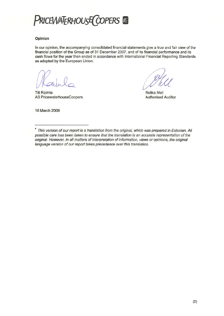**PRICEWATERHOUSE COPERS** 

## Opinion

In our opinion, the accompanying consolidated financial statements give a true and fair view of the financial position of the Group as of 31 December 2007, and of its financial performance and its cash flows for the year then ended in accordance with International Financial Reporting Standards as adopted by the European Union.

**Tiit Raimla** AS PricewaterhouseCoopers

Relika Mell **Authorised Auditor** 

10 March 2008

This version of our report is a translation from the original, which was prepared in Estonian. All possible care has been taken to ensure that the translation is an accurate representation of the original. However, in all matters of interpretation of information, views or opinions, the original language version of our report takes precedence over this translation.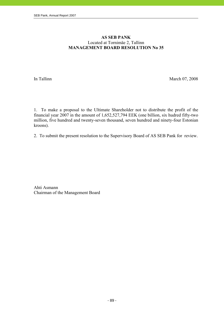# **AS SEB PANK**  Located at Tornimäe 2, Tallinn **MANAGEMENT BOARD RESOLUTION No 35**

In Tallinn March 07, 2008

1. To make a proposal to the Ultimate Shareholder not to distribute the profit of the financial year 2007 in the amount of 1,652,527,794 EEK (one billion, six hudred fifty-two million, five hundred and twenty-seven thousand, seven hundred and ninety-four Estonian kroons).

2. To submit the present resolution to the Supervisory Board of AS SEB Pank for review.

Ahti Asmann Chairman of the Management Board